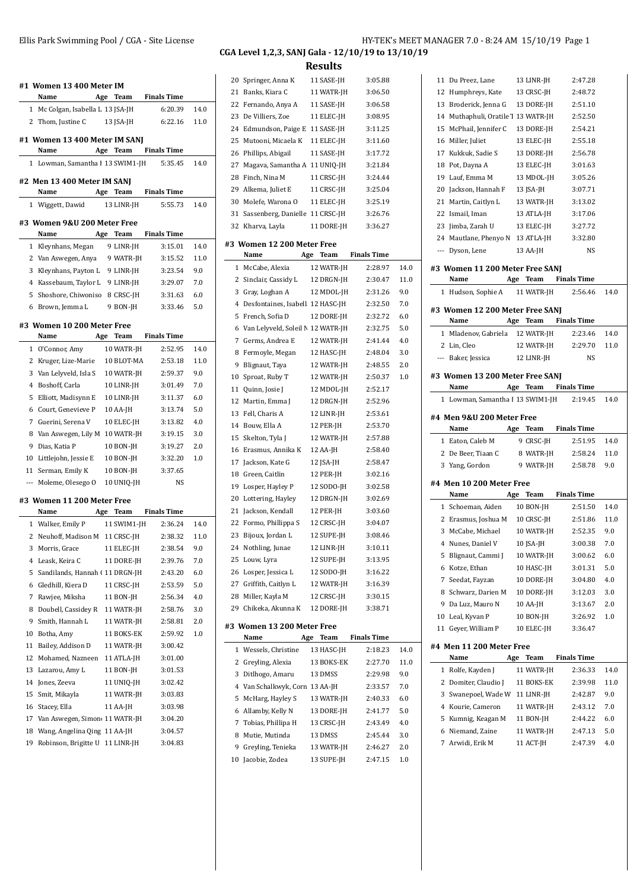|    | #1 Women 13 400 Meter IM<br>Name         |     |             | Age Team Finals Time |      |
|----|------------------------------------------|-----|-------------|----------------------|------|
|    | 1 Mc Colgan, Isabella L 13 JSA-JH        |     |             | 6:20.39              | 14.0 |
|    | 2 Thom, Justine C                        |     | 13 JSA-JH   | 6:22.16              | 11.0 |
|    |                                          |     |             |                      |      |
|    | #1 Women 13 400 Meter IM SANJ            |     |             |                      |      |
|    | Name                                     |     |             | Age Team Finals Time |      |
|    | 1 Lowman, Samantha I 13 SWIM1-JH 5:35.45 |     |             |                      | 14.0 |
|    | #2 Men 13 400 Meter IM SANJ              |     |             |                      |      |
|    | Name                                     |     | Age Team    | <b>Finals Time</b>   |      |
|    | 1 Wiggett, Dawid                         |     | 13 LINR-JH  | 5:55.73              | 14.0 |
|    | #3 Women 9&U 200 Meter Free              |     |             |                      |      |
|    | Name                                     |     |             | Age Team Finals Time |      |
|    | 1 Kleynhans, Megan                       |     | 9 LINR-JH   | 3:15.01              | 14.0 |
|    | 2 Van Aswegen, Anya 9 WATR-JH            |     |             | 3:15.52              | 11.0 |
|    | 3 Kleynhans, Payton L 9 LINR-JH          |     |             | 3:23.54              | 9.0  |
|    | 4 Kassebaum, Taylor L 9 LINR-JH          |     |             | 3:29.07              | 7.0  |
|    | 5 Shoshore, Chiwoniso 8 CRSC-JH          |     |             | 3:31.63              | 6.0  |
|    | 6 Brown, Jemma L                         |     | 9 BON-JH    | 3:33.46              | 5.0  |
|    |                                          |     |             |                      |      |
|    | #3  Women 10 200 Meter Free              |     |             |                      |      |
|    | Name                                     | Age | Team        | <b>Finals Time</b>   |      |
|    | 1 O'Connor, Amy                          |     | 10 WATR-JH  | 2:52.95              | 14.0 |
|    | 2 Kruger, Lize-Marie                     |     | 10 BLOT-MA  | 2:53.18              | 11.0 |
|    | 3 Van Lelyveld, Isla S                   |     | 10 WATR-JH  | 2:59.37              | 9.0  |
|    | 4 Boshoff, Carla                         |     | 10 LINR-JH  | 3:01.49              | 7.0  |
|    | 5<br>Elliott, Madisynn E                 |     | 10 LINR-JH  | 3:11.37              | 6.0  |
|    | 6 Court, Genevieve P                     |     | 10 AA-JH    | 3:13.74              | 5.0  |
|    | 7 Guerini, Serena V                      |     | 10 ELEC-JH  | 3:13.82              | 4.0  |
|    | 8 Van Aswegen, Lily M 10 WATR-JH         |     |             | 3:19.15              | 3.0  |
|    | 9 Dias, Katia P                          |     | 10 BON-JH   | 3:19.27              | 2.0  |
|    | 10 Littlejohn, Jessie E                  |     | 10 BON-JH   | 3:32.20              | 1.0  |
| 11 | Serman, Emily K                          |     | 10 BON-JH   | 3:37.65              |      |
|    | --- Moleme, Olesego O                    |     | 10 UNIO-JH  | <b>NS</b>            |      |
|    | #3 Women 11 200 Meter Free               |     |             |                      |      |
|    | Name                                     |     |             | Age Team Finals Time |      |
|    | 1 Walker, Emily P                        |     | 11 SWIM1-JH | 2:36.24              | 14.0 |
|    | 2 Neuhoff, Madison M 11 CRSC-JH          |     |             | 2:38.32              | 11.0 |
|    | 3<br>Morris, Grace                       |     | 11 ELEC-JH  | 2:38.54              | 9.0  |
|    | Leask, Keira C<br>4                      |     | 11 DORE-JH  | 2:39.76              | 7.0  |
|    | 5<br>Sandilands, Hannah (11 DRGN-JH      |     |             | 2:43.20              | 6.0  |
|    | Gledhill, Kiera D<br>6                   |     | 11 CRSC-JH  | 2:53.59              | 5.0  |
|    | Rawjee, Miksha<br>7                      |     | 11 BON-JH   | 2:56.34              | 4.0  |
|    | Doubell, Cassidey R<br>8                 |     | 11 WATR-JH  | 2:58.76              | 3.0  |
|    | 9<br>Smith, Hannah L                     |     | 11 WATR-JH  | 2:58.81              | 2.0  |
| 10 | Botha, Amy                               |     | 11 BOKS-EK  | 2:59.92              | 1.0  |
| 11 | Bailey, Addison D                        |     | 11 WATR-JH  | 3:00.42              |      |
| 12 | Mohamed, Nazneen                         |     | 11 ATLA-JH  | 3:01.00              |      |
| 13 | Lazarou, Amy L                           |     | 11 BON-JH   | 3:01.53              |      |
|    | 14 Jones, Zeeva                          |     | 11 UNIQ-JH  | 3:02.42              |      |
| 15 | Smit, Mikayla                            |     | 11 WATR-JH  | 3:03.83              |      |
| 16 | Stacey, Ella                             |     | 11 AA-JH    | 3:03.98              |      |
| 17 | Van Aswegen, Simon 11 WATR-JH            |     |             | 3:04.20              |      |
| 18 | Wang, Angelina Qing 11 AA-JH             |     |             | 3:04.57              |      |
| 19 | Robinson, Brigitte U                     |     | 11 LINR-JH  | 3:04.83              |      |

## **CGA Level 1,2,3, SANJ Gala - 12/10/19 to 13/10/19**

**Results**

|    |                                   | ເບບແເບ      |                    |      |
|----|-----------------------------------|-------------|--------------------|------|
|    | 20 Springer, Anna K               | 11 SASE-JH  | 3:05.88            |      |
| 21 | Banks, Kiara C                    | 11 WATR-JH  | 3:06.50            |      |
| 22 | Fernando, Anya A                  | 11 SASE-JH  | 3:06.58            |      |
| 23 | De Villiers, Zoe                  | 11 ELEC-JH  | 3:08.95            |      |
| 24 | Edmundson, Paige E                | 11 SASE-JH  | 3:11.25            |      |
| 25 | Mutooni, Micaela K                | 11 ELEC-JH  | 3:11.60            |      |
| 26 | Phillips, Abigail                 | 11 SASE-JH  | 3:17.72            |      |
| 27 | Magava, Samantha A 11 UNIQ-JH     |             | 3:21.84            |      |
| 28 | Finch, Nina M                     | 11 CRSC-JH  | 3:24.44            |      |
| 29 | Alkema, Juliet E                  | 11 CRSC-JH  | 3:25.04            |      |
| 30 | Molefe, Warona O                  | 11 ELEC-JH  | 3:25.19            |      |
| 31 | Sassenberg, Danielle 11 CRSC-JH   |             | 3:26.76            |      |
| 32 | Kharva, Layla                     | 11 DORE-JH  | 3:36.27            |      |
|    |                                   |             |                    |      |
|    | #3 Women 12 200 Meter Free        |             |                    |      |
|    | Name                              | Age<br>Team | <b>Finals Time</b> |      |
| 1  | McCabe, Alexia                    | 12 WATR-JH  | 2:28.97            | 14.0 |
| 2  | Sinclair, Cassidy L               | 12 DRGN-JH  | 2:30.47            | 11.0 |
| 3  | Gray, Loghan A                    | 12 MDOL-JH  | 2:31.26            | 9.0  |
| 4  | Desfontaines, Isabell 12 HASC-JH  |             | 2:32.50            | 7.0  |
| 5  | French, Sofia D                   | 12 DORE-JH  | 2:32.72            | 6.0  |
| 6  | Van Lelyveld, Soleil N 12 WATR-JH |             | 2:32.75            | 5.0  |
| 7  | Germs, Andrea E                   | 12 WATR-JH  | 2:41.44            | 4.0  |
| 8  | Fermoyle, Megan                   | 12 HASC-JH  | 2:48.04            | 3.0  |
| 9  | Blignaut, Taya                    | 12 WATR-JH  | 2:48.55            | 2.0  |
| 10 | Sproat, Ruby T                    | 12 WATR-JH  | 2:50.37            | 1.0  |
| 11 | Quinn, Josie J                    | 12 MDOL-JH  | 2:52.17            |      |
| 12 | Martin, Emma J                    | 12 DRGN-JH  | 2:52.96            |      |
| 13 | Fell, Charis A                    | 12 LINR-JH  | 2:53.61            |      |
| 14 | Bouw, Ella A                      | 12 PER-JH   | 2:53.70            |      |
| 15 | Skelton, Tyla J                   | 12 WATR-JH  | 2:57.88            |      |
| 16 | Erasmus, Annika K                 | 12 AA-JH    | 2:58.40            |      |
| 17 | Jackson, Kate G                   | 12 JSA-JH   | 2:58.47            |      |
| 18 | Green, Caitlin                    | 12 PER-JH   | 3:02.16            |      |
| 19 | Losper, Hayley P                  | 12 SODO-JH  | 3:02.58            |      |
| 20 | Lottering, Hayley                 | 12 DRGN-JH  | 3:02.69            |      |
| 21 | Jackson, Kendall                  | 12 PER-JH   | 3:03.60            |      |
| 22 | Formo, Phillippa S                | 12 CRSC-JH  | 3:04.07            |      |
| 23 | Bijoux, Jordan L                  | 12 SUPE-JH  | 3:08.46            |      |
| 24 | Nothling, Junae                   | 12 LINR-JH  | 3:10.11            |      |
| 25 | Louw, Lyra                        | 12 SUPE-JH  | 3:13.95            |      |
| 26 | Losper, Jessica L                 | 12 SODO-JH  | 3:16.22            |      |
| 27 | Griffith, Caitlyn L               | 12 WATR-JH  | 3:16.39            |      |
| 28 | Miller, Kayla M                   | 12 CRSC-JH  | 3:30.15            |      |
| 29 | Chikeka, Akunna K                 | 12 DORE-JH  | 3:38.71            |      |
|    | #3 Women 13 200 Meter Free        |             |                    |      |
|    | Name                              | Age<br>Team | <b>Finals Time</b> |      |
| 1  | Wessels, Christine                | 13 HASC-JH  | 2:18.23            | 14.0 |
| 2  | Greyling, Alexia                  | 13 BOKS-EK  | 2:27.70            | 11.0 |
| 3  | Ditlhogo, Amaru                   | 13 DMSS     | 2:29.98            | 9.0  |
| 4  | Van Schalkwyk, Corn 13 AA-JH      |             | 2:33.57            | 7.0  |
| 5  | McHarg, Hayley S                  | 13 WATR-JH  | 2:40.33            | 6.0  |
| 6  | Allamby, Kelly N                  | 13 DORE-JH  | 2:41.77            | 5.0  |
| 7  | Tobias, Phillipa H                | 13 CRSC-JH  | 2:43.49            | 4.0  |
| 8  | Mutie, Mutinda                    | 13 DMSS     | 2:45.44            | 3.0  |
| 9  | Greyling, Tenieka                 | 13 WATR-JH  | 2:46.27            | 2.0  |
| 10 | Jacobie, Zodea                    | 13 SUPE-JH  | 2:47.15            | 1.0  |
|    |                                   |             |                    |      |

| 12           | Du Preez, Lane                          |     | 13 LINR-JH              | 2:47.28              |            |
|--------------|-----------------------------------------|-----|-------------------------|----------------------|------------|
|              | Humphreys, Kate                         |     | 13 CRSC-JH              | 2:48.72              |            |
|              | 13 Broderick, Jenna G                   |     | 13 DORE-JH              | 2:51.10              |            |
|              | 14 Muthaphuli, Oratile 1 13 WATR-JH     |     |                         | 2:52.50              |            |
|              | 15 McPhail, Jennifer C                  |     | 13 DORE-JH              | 2:54.21              |            |
|              | 16 Miller, Juliet                       |     | 13 ELEC-JH              | 2:55.18              |            |
|              | 17 Kukkuk, Sadie S                      |     | 13 DORE-JH              | 2:56.78              |            |
|              | 18 Pot, Dayna A                         |     | 13 ELEC-JH              | 3:01.63              |            |
|              | 19 Lauf, Emma M                         |     | 13 MDOL-JH              | 3:05.26              |            |
|              | 20 Jackson, Hannah F 13 JSA-JH          |     |                         | 3:07.71              |            |
|              | 21 Martin, Caitlyn L                    |     | 13 WATR-JH              | 3:13.02              |            |
|              | 22 Ismail, Iman                         |     | 13 ATLA-JH              | 3:17.06              |            |
|              | 23 Jimba, Zarah U                       |     | 13 ELEC-JH              | 3:27.72              |            |
|              | 24 Mautlane, Phenyo N 13 ATLA-JH        |     |                         | 3:32.80              |            |
|              | --- Dyson, Lene                         |     | 13 AA-JH                | NS                   |            |
|              |                                         |     |                         |                      |            |
|              | #3 Women 11 200 Meter Free SANJ<br>Name | Age | Team                    | <b>Finals Time</b>   |            |
| $\mathbf{1}$ | Hudson, Sophie A                        |     | 11 WATR-JH              | 2:56.46              | 14.0       |
|              |                                         |     |                         |                      |            |
|              | #3 Women 12 200 Meter Free SANJ         |     |                         |                      |            |
|              | Name                                    |     | Age Team                | <b>Finals Time</b>   |            |
|              | 1 Mladenov, Gabriela 12 WATR-JH         |     |                         | 2:23.46              | 14.0       |
|              | 2 Lin, Cleo                             |     | 12 WATR-JH              | 2:29.70              | 11.0       |
|              | --- Baker, Jessica                      |     | 12 LINR-JH              | <b>NS</b>            |            |
|              | #3 Women 13 200 Meter Free SANJ         |     |                         |                      |            |
|              | Name                                    |     |                         | Age Team Finals Time |            |
|              | 1 Lowman, Samantha I 13 SWIM1-JH        |     |                         | 2:19.45              | 14.0       |
|              |                                         |     |                         |                      |            |
|              | #4 Men 9&U 200 Meter Free               |     |                         |                      |            |
|              |                                         |     |                         |                      |            |
|              | Name                                    | Age | Team                    | <b>Finals Time</b>   |            |
|              | 1 Eaton, Caleb M                        |     | 9 CRSC-JH               | 2:51.95              | 14.0       |
|              | 2 De Beer, Tiaan C                      |     | 8 WATR-JH               | 2:58.24              | 11.0       |
|              | 3 Yang, Gordon                          |     | 9 WATR-JH               | 2:58.78              | 9.0        |
|              | #4 Men 10 200 Meter Free                |     |                         |                      |            |
|              | Name                                    |     | Age Team                | <b>Finals Time</b>   |            |
|              | 1 Schoeman, Aiden                       |     | 10 BON-JH               | 2:51.50              | 14.0       |
|              | 2 Erasmus, Joshua M 10 CRSC-JH          |     |                         | 2:51.86              | 11.0       |
|              | 3 McCabe, Michael                       |     | 10 WATR-JH              | 2:52.35              | 9.0        |
| 4            | Nunes. Daniel V                         |     | 10 JSA-JH               | 3:00.38              | 7.0        |
| 5            | Blignaut, Cammi J                       |     | 10 WATR-JH              | 3:00.62              | 6.0        |
|              | 6 Kotze, Ethan                          |     | 10 HASC-JH              | 3:01.31              | 5.0        |
|              | 7 Seedat, Fayzan                        |     | 10 DORE-JH              | 3:04.80              | 4.0        |
| 8            | Schwarz, Darien M                       |     | 10 DORE-JH              | 3:12.03              | 3.0        |
| 9            | Da Luz, Mauro N                         |     | 10 AA-JH                | 3:13.67              | 2.0        |
|              | 10 Leal, Kyvan P                        |     | 10 BON-JH               | 3:26.92              | 1.0        |
| 11           | Gever, William P                        |     | 10 ELEC-JH              | 3:36.47              |            |
|              |                                         |     |                         |                      |            |
|              | #4 Men 11 200 Meter Free                |     |                         |                      |            |
|              | Name                                    | Age | Team                    | <b>Finals Time</b>   |            |
| 1            | Rolfe, Kayden J                         |     | 11 WATR-JH              | 2:36.33              | 14.0       |
|              | 2 Domiter, Claudio J                    |     | 11 BOKS-EK              | 2:39.98              | 11.0       |
|              | 3 Swanepoel, Wade W                     |     | 11 LINR-JH              | 2:42.87              | 9.0        |
|              | 4 Kourie, Cameron                       |     | 11 WATR-JH              | 2:43.12              | 7.0        |
|              | 5 Kumnig, Keagan M                      |     | 11 BON-JH               | 2:44.22              | 6.0        |
| 7            | 6 Niemand, Zaine<br>Arwidi, Erik M      |     | 11 WATR-JH<br>11 ACT-JH | 2:47.13<br>2:47.39   | 5.0<br>4.0 |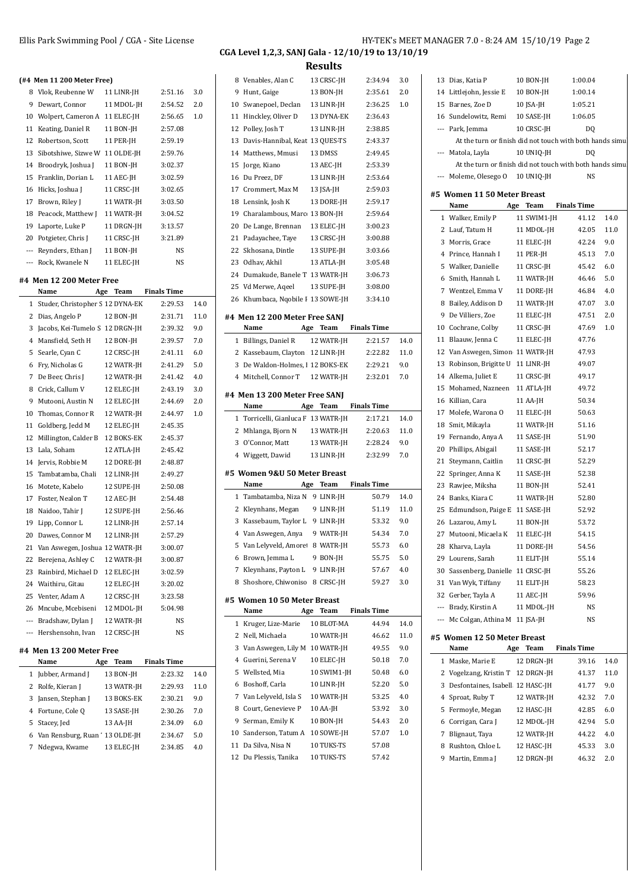**(#4 Men 11 200 Meter Free)**

**#4 Men 12 200 Meter Free**

**#4 Men 13 200 Meter Free**

**Name Age Team Fina** 1 Jubber, Armand J 13 BON-JH 2 Rolfe, Kieran J 13 WATR-JH 3 Jansen, Stephan J 13 BOKS-EK 4 Fortune, Cole Q 13 SASE-JH 5 Stacey, Jed 13 AA-JH 6 Van Rensburg, Ruan ' 13 OLDE-JH 7 Ndegwa, Kwame 13 ELEC-JH

**Name Age Team Fina** 1 Studer, Christopher S 12 DYNA-EK 2 Dias, Angelo P 12 BON-JH 3 Jacobs, Kei-Tumelo S 12 DRGN-JH 4 Mansfield, Seth H 12 BON-JH 5 Searle, Cyan C 12 CRSC-JH 6 Fry, Nicholas G 12 WATR-JH 7 De Beer, Chris J 12 WATR-JH 8 Crick, Callum V 12 ELEC-JH 9 Mutooni, Austin N 12 ELEC-JH 10 Thomas, Connor R 12 WATR-JH 11 Goldberg, Jedd M 12 ELEC-JH 12 Millington, Calder B 12 BOKS-EK 13 Lala, Soham 12 ATLA-JH 14 Jervis, Robbie M 12 DORE-JH 15 Tambatamba, Chali 12 LINR-JH 16 Motete, Kabelo 12 SUPE-JH 17 Foster, Nealon T 12 AEC-JH 18 Naidoo, Tahir J 12 SUPE-JH 19 Lipp, Connor L 12 LINR-JH 20 Dawes, Connor M 12 LINR-JH 21 Van Aswegen, Joshua 12 WATR-JH 22 Berejena, Ashley C 12 WATR-JH 23 Rainbird, Michael D 12 ELEC-JH 24 Waithiru, Gitau 12 ELEC-JH 25 Venter, Adam A 12 CRSC-JH 26 Mncube, Mcebiseni 12 MDOL-JH --- Bradshaw, Dylan J 12 WATR-JH --- Hershensohn, Ivan 12 CRSC-JH

8 Vlok, Reubenne W 11 LINR-JH 9 Dewart, Connor 11 MDOL-JH 10 Wolpert, Cameron A 11 ELEC-IH 11 Keating, Daniel R 11 BON-JH 12 Robertson, Scott 11 PER-JH 13 Sibotshiwe, Sizwe W 11 OLDE-JH 14 Broodryk, Joshua J 11 BON-JH 15 Franklin, Dorian L 11 AEC-JH 16 Hicks, Joshua J 11 CRSC-JH 17 Brown, Riley J 11 WATR-JH 18 Peacock, Matthew J 11 WATR-JH 19 Laporte, Luke P 11 DRGN-JH 20 Potgieter, Chris I 11 CRSC-IH --- Reynders, Ethan J 11 BON-JH --- Rock, Kwanele N 11 ELEC-JH

Ellis Park Swimming Pool / CGA - Site License **HY-TEK's MEET MANAGER 7.0 - 8:24 AM 15/10/19** Page 2

13 Dias, Katia P 10 BON-JH 1:00.04

## **CGA Level 1,2,3, SANJ Gala - 12/10/19 to 13/10/19**

|         |      |   | 8 Venables, Alan C                    |     | 13 CRSC-JH  | 2:34.94            | 3.0  |
|---------|------|---|---------------------------------------|-----|-------------|--------------------|------|
| 2:51.16 | 3.0  |   | 9 Hunt, Gaige                         |     | 13 BON-JH   | 2:35.61            | 2.0  |
| 2:54.52 | 2.0  |   | 10 Swanepoel, Declan                  |     | 13 LINR-JH  | 2:36.25            | 1.0  |
| 2:56.65 | 1.0  |   | 11 Hinckley, Oliver D                 |     | 13 DYNA-EK  | 2:36.43            |      |
| 2:57.08 |      |   | 12 Polley, Josh T                     |     | 13 LINR-JH  | 2:38.85            |      |
| 2:59.19 |      |   | 13 Davis-Hannibal, Keat 13 QUES-TS    |     |             | 2:43.37            |      |
| 2:59.76 |      |   | 14 Matthews, Mmusi                    |     | 13 DMSS     | 2:49.45            |      |
| 3:02.37 |      |   | 15 Jorge, Kiano                       |     | 13 AEC-JH   | 2:53.39            |      |
| 3:02.59 |      |   | 16 Du Preez, DF                       |     | 13 LINR-JH  | 2:53.64            |      |
| 3:02.65 |      |   | 17 Crommert, Max M                    |     | 13 JSA-JH   | 2:59.03            |      |
| 3:03.50 |      |   | 18 Lensink, Josh K                    |     | 13 DORE-JH  | 2:59.17            |      |
| 3:04.52 |      |   | 19 Charalambous, Marc 13 BON-JH       |     |             | 2:59.64            |      |
| 3:13.57 |      |   | 20 De Lange, Brennan                  |     | 13 ELEC-JH  | 3:00.23            |      |
| 3:21.89 |      |   | 21 Padayachee, Taye                   |     | 13 CRSC-JH  | 3:00.88            |      |
| NS      |      |   | 22 Skhosana, Dintle                   |     | 13 SUPE-JH  | 3:03.66            |      |
| NS      |      |   | 23 Odhav, Akhil                       |     | 13 ATLA-JH  | 3:05.48            |      |
|         |      |   | 24 Dumakude, Banele T 13 WATR-JH      |     |             | 3:06.73            |      |
|         |      |   | 25 Vd Merwe, Aqeel                    |     | 13 SUPE-JH  | 3:08.00            |      |
| ls Time |      |   | 26 Khumbaca, Nqobile F 13 SOWE-JH     |     |             | 3:34.10            |      |
| 2:29.53 | 14.0 |   |                                       |     |             |                    |      |
| 2:31.71 | 11.0 |   | #4 Men 12 200 Meter Free SANJ         |     |             |                    |      |
| 2:39.32 | 9.0  |   | Name                                  | Age | <b>Team</b> | <b>Finals Time</b> |      |
| 2:39.57 | 7.0  |   | 1 Billings, Daniel R                  |     | 12 WATR-JH  | 2:21.57            | 14.0 |
| 2:41.11 | 6.0  |   | 2 Kassebaum, Clayton 12 LINR-JH       |     |             | 2:22.82            | 11.0 |
| 2:41.29 | 5.0  |   | 3 De Waldon-Holmes, 1 12 BOKS-EK      |     |             | 2:29.21            | 9.0  |
| 2:41.42 | 4.0  |   | 4 Mitchell, Connor T                  |     | 12 WATR-JH  | 2:32.01            | 7.0  |
| 2:43.19 | 3.0  |   |                                       |     |             |                    |      |
| 2:44.69 | 2.0  |   | #4 Men 13 200 Meter Free SANJ<br>Name |     | Age Team    | <b>Finals Time</b> |      |
| 2:44.97 | 1.0  |   | 1 Torricelli, Gianluca F 13 WATR-JH   |     |             | 2:17.21            | 14.0 |
| 2:45.35 |      |   |                                       |     | 13 WATR-JH  |                    |      |
| 2:45.37 |      |   | 2 Mhlanga, Bjorn N                    |     |             | 2:20.63            | 11.0 |
| 2:45.42 |      |   | 3 O'Connor, Matt                      |     | 13 WATR-JH  | 2:28.24            | 9.0  |
| 2:48.87 |      |   | 4 Wiggett, Dawid                      |     | 13 LINR-JH  | 2:32.99            | 7.0  |
| 2:49.27 |      |   | #5 Women 9&U 50 Meter Breast          |     |             |                    |      |
| 2:50.08 |      |   | Name                                  |     | Age Team    | <b>Finals Time</b> |      |
| 2:54.48 |      |   | 1 Tambatamba, Niza N 9 LINR-JH        |     |             | 50.79              | 14.0 |
| 2:56.46 |      |   | 2 Kleynhans, Megan                    |     | 9 LINR-JH   | 51.19              | 11.0 |
| 2:57.14 |      |   | 3 Kassebaum, Taylor L 9 LINR-JH       |     |             | 53.32              | 9.0  |
| 2:57.29 |      |   | 4 Van Aswegen, Anya                   |     | 9 WATR-JH   | 54.34              | 7.0  |
| 3:00.07 |      |   | 5 Van Lelyveld, Amoret 8 WATR-JH      |     |             | 55.73              | 6.0  |
| 3:00.87 |      |   | 6 Brown, Jemma L                      |     | 9 BON-JH    | 55.75              | 5.0  |
| 3:02.59 |      | 7 | Kleynhans, Payton L 9 LINR-JH         |     |             | 57.67              | 4.0  |
| 3:20.02 |      |   | 8 Shoshore, Chiwoniso 8 CRSC-JH       |     |             | 59.27              | 3.0  |
| 3:23.58 |      |   |                                       |     |             |                    |      |
| 5:04.98 |      |   | #5 Women 10 50 Meter Breast           |     |             |                    |      |
| NS      |      |   | Name                                  |     | Age Team    | <b>Finals Time</b> |      |
| NS      |      |   | 1 Kruger, Lize-Marie                  |     | 10 BLOT-MA  | 44.94              | 14.0 |
|         |      |   | 2 Nell, Michaela                      |     | 10 WATR-JH  | 46.62              | 11.0 |
|         |      |   | 3 Van Aswegen, Lily M 10 WATR-JH      |     |             | 49.55              | 9.0  |
| ls Time |      |   | 4 Guerini, Serena V                   |     | 10 ELEC-JH  | 50.18              | 7.0  |
| 2:23.32 | 14.0 |   | 5 Wellsted, Mia                       |     | 10 SWIM1-JH | 50.48              | 6.0  |
| 2:29.93 | 11.0 |   | 6 Boshoff, Carla                      |     | 10 LINR-JH  | 52.20              | 5.0  |
| 2:30.21 | 9.0  |   | 7 Van Lelyveld, Isla S                |     | 10 WATR-JH  | 53.25              | 4.0  |
| 2:30.26 | 7.0  |   | 8 Court, Genevieve P                  |     | 10 AA-JH    | 53.92              | 3.0  |
| 2:34.09 | 6.0  |   | 9 Serman, Emily K                     |     | 10 BON-JH   | 54.43              | 2.0  |
| 2:34.67 | 5.0  |   | 10 Sanderson, Tatum A                 |     | 10 SOWE-JH  | 57.07              | 1.0  |
| 2:34.85 | 4.0  |   | 11 Da Silva, Nisa N                   |     | 10 TUKS-TS  | 57.08              |      |
|         |      |   | 12 Du Plessis, Tanika                 |     | 10 TUKS-TS  | 57.42              |      |
|         |      |   |                                       |     |             |                    |      |

| 15 Barnes, Zoe D<br>1:05.21<br>10 JSA-JH<br>16 Sundelowitz, Remi<br>10 SASE-JH<br>1:06.05<br>--- Park, Jemma<br>10 CRSC-JH<br>DQ<br>At the turn or finish did not touch with both hands simu<br>10 UNIQ-JH<br>--- Matola, Layla<br>DQ<br>At the turn or finish did not touch with both hands simu<br>--- Moleme, Olesego O<br>NS<br>10 UNIQ-JH<br>#5 Women 11 50 Meter Breast<br>Name<br>Age Team<br><b>Finals Time</b><br>1 Walker, Emily P<br>11 SWIM1-JH<br>41.12<br>14.0<br>2 Lauf, Tatum H<br>11 MDOL-JH<br>42.05<br>11.0<br>3 Morris, Grace<br>11 ELEC-JH<br>42.24<br>9.0<br>4 Prince, Hannah I<br>7.0<br>11 PER-JH<br>45.13<br>5 Walker, Danielle<br>11 CRSC-JH<br>6.0<br>45.42<br>6 Smith, Hannah L<br>11 WATR-JH<br>46.46<br>5.0<br>7 Wentzel, Emma V<br>11 DORE-JH<br>46.84<br>4.0<br>8 Bailey, Addison D<br>11 WATR-JH<br>47.07<br>3.0<br>9 De Villiers, Zoe<br>11 ELEC-JH<br>2.0<br>47.51<br>10 Cochrane, Colby<br>11 CRSC-JH<br>47.69<br>1.0<br>11 Blaauw, Jenna C<br>11 ELEC-JH<br>47.76<br>12 Van Aswegen, Simon 11 WATR-JH<br>47.93<br>13 Robinson, Brigitte U 11 LINR-JH<br>49.07<br>14 Alkema, Juliet E<br>11 CRSC-JH<br>49.17<br>15 Mohamed, Nazneen<br>11 ATLA-JH<br>49.72<br>16 Killian, Cara<br>11 AA-JH<br>50.34<br>17 Molefe, Warona O<br>11 ELEC-JH<br>50.63<br>18 Smit, Mikayla<br>11 WATR-JH<br>51.16<br>19 Fernando, Anya A<br>11 SASE-JH<br>51.90<br>Phillips, Abigail<br>20<br>11 SASE-JH<br>52.17<br>21 Steymann, Caitlin<br>11 CRSC-JH<br>52.29<br>22 Springer, Anna K<br>11 SASE-JH<br>52.38<br>23 Rawjee, Miksha<br>52.41<br>11 BON-JH<br>24 Banks, Kiara C<br>11 WATR-JH<br>52.80<br>25 Edmundson, Paige E 11 SASE-JH<br>52.92<br>26 Lazarou, Amy L<br>11 BON-JH<br>53.72<br>27 Mutooni, Micaela K<br>11 ELEC-JH<br>54.15<br>28 Kharva, Layla<br>11 DORE-JH<br>54.56<br>29 Lourens, Sarah<br>11 ELIT-JH<br>55.14<br>30 Sassenberg, Danielle 11 CRSC-JH<br>55.26<br>31 Van Wyk, Tiffany<br>11 ELIT-JH<br>58.23<br>32 Gerber, Tayla A<br>59.96<br>11 AEC-JH<br>--- Brady, Kirstin A<br>11 MDOL-JH<br>NS<br>--- Mc Colgan, Athina M 11 JSA-JH<br>NS<br>#5 Women 12 50 Meter Breast<br><b>Finals Time</b><br>Name<br>Age Team | 14 Littlejohn, Jessie E | 10 BON-JH | 1:00.14 |  |
|--------------------------------------------------------------------------------------------------------------------------------------------------------------------------------------------------------------------------------------------------------------------------------------------------------------------------------------------------------------------------------------------------------------------------------------------------------------------------------------------------------------------------------------------------------------------------------------------------------------------------------------------------------------------------------------------------------------------------------------------------------------------------------------------------------------------------------------------------------------------------------------------------------------------------------------------------------------------------------------------------------------------------------------------------------------------------------------------------------------------------------------------------------------------------------------------------------------------------------------------------------------------------------------------------------------------------------------------------------------------------------------------------------------------------------------------------------------------------------------------------------------------------------------------------------------------------------------------------------------------------------------------------------------------------------------------------------------------------------------------------------------------------------------------------------------------------------------------------------------------------------------------------------------------------------------------------------------------------------------------------------------------------------------------------------------------------------------------------------------------------------------------------------------|-------------------------|-----------|---------|--|
|                                                                                                                                                                                                                                                                                                                                                                                                                                                                                                                                                                                                                                                                                                                                                                                                                                                                                                                                                                                                                                                                                                                                                                                                                                                                                                                                                                                                                                                                                                                                                                                                                                                                                                                                                                                                                                                                                                                                                                                                                                                                                                                                                              |                         |           |         |  |
|                                                                                                                                                                                                                                                                                                                                                                                                                                                                                                                                                                                                                                                                                                                                                                                                                                                                                                                                                                                                                                                                                                                                                                                                                                                                                                                                                                                                                                                                                                                                                                                                                                                                                                                                                                                                                                                                                                                                                                                                                                                                                                                                                              |                         |           |         |  |
|                                                                                                                                                                                                                                                                                                                                                                                                                                                                                                                                                                                                                                                                                                                                                                                                                                                                                                                                                                                                                                                                                                                                                                                                                                                                                                                                                                                                                                                                                                                                                                                                                                                                                                                                                                                                                                                                                                                                                                                                                                                                                                                                                              |                         |           |         |  |
|                                                                                                                                                                                                                                                                                                                                                                                                                                                                                                                                                                                                                                                                                                                                                                                                                                                                                                                                                                                                                                                                                                                                                                                                                                                                                                                                                                                                                                                                                                                                                                                                                                                                                                                                                                                                                                                                                                                                                                                                                                                                                                                                                              |                         |           |         |  |
|                                                                                                                                                                                                                                                                                                                                                                                                                                                                                                                                                                                                                                                                                                                                                                                                                                                                                                                                                                                                                                                                                                                                                                                                                                                                                                                                                                                                                                                                                                                                                                                                                                                                                                                                                                                                                                                                                                                                                                                                                                                                                                                                                              |                         |           |         |  |
|                                                                                                                                                                                                                                                                                                                                                                                                                                                                                                                                                                                                                                                                                                                                                                                                                                                                                                                                                                                                                                                                                                                                                                                                                                                                                                                                                                                                                                                                                                                                                                                                                                                                                                                                                                                                                                                                                                                                                                                                                                                                                                                                                              |                         |           |         |  |
|                                                                                                                                                                                                                                                                                                                                                                                                                                                                                                                                                                                                                                                                                                                                                                                                                                                                                                                                                                                                                                                                                                                                                                                                                                                                                                                                                                                                                                                                                                                                                                                                                                                                                                                                                                                                                                                                                                                                                                                                                                                                                                                                                              |                         |           |         |  |
|                                                                                                                                                                                                                                                                                                                                                                                                                                                                                                                                                                                                                                                                                                                                                                                                                                                                                                                                                                                                                                                                                                                                                                                                                                                                                                                                                                                                                                                                                                                                                                                                                                                                                                                                                                                                                                                                                                                                                                                                                                                                                                                                                              |                         |           |         |  |
|                                                                                                                                                                                                                                                                                                                                                                                                                                                                                                                                                                                                                                                                                                                                                                                                                                                                                                                                                                                                                                                                                                                                                                                                                                                                                                                                                                                                                                                                                                                                                                                                                                                                                                                                                                                                                                                                                                                                                                                                                                                                                                                                                              |                         |           |         |  |
|                                                                                                                                                                                                                                                                                                                                                                                                                                                                                                                                                                                                                                                                                                                                                                                                                                                                                                                                                                                                                                                                                                                                                                                                                                                                                                                                                                                                                                                                                                                                                                                                                                                                                                                                                                                                                                                                                                                                                                                                                                                                                                                                                              |                         |           |         |  |
|                                                                                                                                                                                                                                                                                                                                                                                                                                                                                                                                                                                                                                                                                                                                                                                                                                                                                                                                                                                                                                                                                                                                                                                                                                                                                                                                                                                                                                                                                                                                                                                                                                                                                                                                                                                                                                                                                                                                                                                                                                                                                                                                                              |                         |           |         |  |
|                                                                                                                                                                                                                                                                                                                                                                                                                                                                                                                                                                                                                                                                                                                                                                                                                                                                                                                                                                                                                                                                                                                                                                                                                                                                                                                                                                                                                                                                                                                                                                                                                                                                                                                                                                                                                                                                                                                                                                                                                                                                                                                                                              |                         |           |         |  |
|                                                                                                                                                                                                                                                                                                                                                                                                                                                                                                                                                                                                                                                                                                                                                                                                                                                                                                                                                                                                                                                                                                                                                                                                                                                                                                                                                                                                                                                                                                                                                                                                                                                                                                                                                                                                                                                                                                                                                                                                                                                                                                                                                              |                         |           |         |  |
|                                                                                                                                                                                                                                                                                                                                                                                                                                                                                                                                                                                                                                                                                                                                                                                                                                                                                                                                                                                                                                                                                                                                                                                                                                                                                                                                                                                                                                                                                                                                                                                                                                                                                                                                                                                                                                                                                                                                                                                                                                                                                                                                                              |                         |           |         |  |
|                                                                                                                                                                                                                                                                                                                                                                                                                                                                                                                                                                                                                                                                                                                                                                                                                                                                                                                                                                                                                                                                                                                                                                                                                                                                                                                                                                                                                                                                                                                                                                                                                                                                                                                                                                                                                                                                                                                                                                                                                                                                                                                                                              |                         |           |         |  |
|                                                                                                                                                                                                                                                                                                                                                                                                                                                                                                                                                                                                                                                                                                                                                                                                                                                                                                                                                                                                                                                                                                                                                                                                                                                                                                                                                                                                                                                                                                                                                                                                                                                                                                                                                                                                                                                                                                                                                                                                                                                                                                                                                              |                         |           |         |  |
|                                                                                                                                                                                                                                                                                                                                                                                                                                                                                                                                                                                                                                                                                                                                                                                                                                                                                                                                                                                                                                                                                                                                                                                                                                                                                                                                                                                                                                                                                                                                                                                                                                                                                                                                                                                                                                                                                                                                                                                                                                                                                                                                                              |                         |           |         |  |
|                                                                                                                                                                                                                                                                                                                                                                                                                                                                                                                                                                                                                                                                                                                                                                                                                                                                                                                                                                                                                                                                                                                                                                                                                                                                                                                                                                                                                                                                                                                                                                                                                                                                                                                                                                                                                                                                                                                                                                                                                                                                                                                                                              |                         |           |         |  |
|                                                                                                                                                                                                                                                                                                                                                                                                                                                                                                                                                                                                                                                                                                                                                                                                                                                                                                                                                                                                                                                                                                                                                                                                                                                                                                                                                                                                                                                                                                                                                                                                                                                                                                                                                                                                                                                                                                                                                                                                                                                                                                                                                              |                         |           |         |  |
|                                                                                                                                                                                                                                                                                                                                                                                                                                                                                                                                                                                                                                                                                                                                                                                                                                                                                                                                                                                                                                                                                                                                                                                                                                                                                                                                                                                                                                                                                                                                                                                                                                                                                                                                                                                                                                                                                                                                                                                                                                                                                                                                                              |                         |           |         |  |
|                                                                                                                                                                                                                                                                                                                                                                                                                                                                                                                                                                                                                                                                                                                                                                                                                                                                                                                                                                                                                                                                                                                                                                                                                                                                                                                                                                                                                                                                                                                                                                                                                                                                                                                                                                                                                                                                                                                                                                                                                                                                                                                                                              |                         |           |         |  |
|                                                                                                                                                                                                                                                                                                                                                                                                                                                                                                                                                                                                                                                                                                                                                                                                                                                                                                                                                                                                                                                                                                                                                                                                                                                                                                                                                                                                                                                                                                                                                                                                                                                                                                                                                                                                                                                                                                                                                                                                                                                                                                                                                              |                         |           |         |  |
|                                                                                                                                                                                                                                                                                                                                                                                                                                                                                                                                                                                                                                                                                                                                                                                                                                                                                                                                                                                                                                                                                                                                                                                                                                                                                                                                                                                                                                                                                                                                                                                                                                                                                                                                                                                                                                                                                                                                                                                                                                                                                                                                                              |                         |           |         |  |
|                                                                                                                                                                                                                                                                                                                                                                                                                                                                                                                                                                                                                                                                                                                                                                                                                                                                                                                                                                                                                                                                                                                                                                                                                                                                                                                                                                                                                                                                                                                                                                                                                                                                                                                                                                                                                                                                                                                                                                                                                                                                                                                                                              |                         |           |         |  |
|                                                                                                                                                                                                                                                                                                                                                                                                                                                                                                                                                                                                                                                                                                                                                                                                                                                                                                                                                                                                                                                                                                                                                                                                                                                                                                                                                                                                                                                                                                                                                                                                                                                                                                                                                                                                                                                                                                                                                                                                                                                                                                                                                              |                         |           |         |  |
|                                                                                                                                                                                                                                                                                                                                                                                                                                                                                                                                                                                                                                                                                                                                                                                                                                                                                                                                                                                                                                                                                                                                                                                                                                                                                                                                                                                                                                                                                                                                                                                                                                                                                                                                                                                                                                                                                                                                                                                                                                                                                                                                                              |                         |           |         |  |
|                                                                                                                                                                                                                                                                                                                                                                                                                                                                                                                                                                                                                                                                                                                                                                                                                                                                                                                                                                                                                                                                                                                                                                                                                                                                                                                                                                                                                                                                                                                                                                                                                                                                                                                                                                                                                                                                                                                                                                                                                                                                                                                                                              |                         |           |         |  |
|                                                                                                                                                                                                                                                                                                                                                                                                                                                                                                                                                                                                                                                                                                                                                                                                                                                                                                                                                                                                                                                                                                                                                                                                                                                                                                                                                                                                                                                                                                                                                                                                                                                                                                                                                                                                                                                                                                                                                                                                                                                                                                                                                              |                         |           |         |  |
|                                                                                                                                                                                                                                                                                                                                                                                                                                                                                                                                                                                                                                                                                                                                                                                                                                                                                                                                                                                                                                                                                                                                                                                                                                                                                                                                                                                                                                                                                                                                                                                                                                                                                                                                                                                                                                                                                                                                                                                                                                                                                                                                                              |                         |           |         |  |
|                                                                                                                                                                                                                                                                                                                                                                                                                                                                                                                                                                                                                                                                                                                                                                                                                                                                                                                                                                                                                                                                                                                                                                                                                                                                                                                                                                                                                                                                                                                                                                                                                                                                                                                                                                                                                                                                                                                                                                                                                                                                                                                                                              |                         |           |         |  |
|                                                                                                                                                                                                                                                                                                                                                                                                                                                                                                                                                                                                                                                                                                                                                                                                                                                                                                                                                                                                                                                                                                                                                                                                                                                                                                                                                                                                                                                                                                                                                                                                                                                                                                                                                                                                                                                                                                                                                                                                                                                                                                                                                              |                         |           |         |  |
|                                                                                                                                                                                                                                                                                                                                                                                                                                                                                                                                                                                                                                                                                                                                                                                                                                                                                                                                                                                                                                                                                                                                                                                                                                                                                                                                                                                                                                                                                                                                                                                                                                                                                                                                                                                                                                                                                                                                                                                                                                                                                                                                                              |                         |           |         |  |
|                                                                                                                                                                                                                                                                                                                                                                                                                                                                                                                                                                                                                                                                                                                                                                                                                                                                                                                                                                                                                                                                                                                                                                                                                                                                                                                                                                                                                                                                                                                                                                                                                                                                                                                                                                                                                                                                                                                                                                                                                                                                                                                                                              |                         |           |         |  |
|                                                                                                                                                                                                                                                                                                                                                                                                                                                                                                                                                                                                                                                                                                                                                                                                                                                                                                                                                                                                                                                                                                                                                                                                                                                                                                                                                                                                                                                                                                                                                                                                                                                                                                                                                                                                                                                                                                                                                                                                                                                                                                                                                              |                         |           |         |  |
|                                                                                                                                                                                                                                                                                                                                                                                                                                                                                                                                                                                                                                                                                                                                                                                                                                                                                                                                                                                                                                                                                                                                                                                                                                                                                                                                                                                                                                                                                                                                                                                                                                                                                                                                                                                                                                                                                                                                                                                                                                                                                                                                                              |                         |           |         |  |
|                                                                                                                                                                                                                                                                                                                                                                                                                                                                                                                                                                                                                                                                                                                                                                                                                                                                                                                                                                                                                                                                                                                                                                                                                                                                                                                                                                                                                                                                                                                                                                                                                                                                                                                                                                                                                                                                                                                                                                                                                                                                                                                                                              |                         |           |         |  |
|                                                                                                                                                                                                                                                                                                                                                                                                                                                                                                                                                                                                                                                                                                                                                                                                                                                                                                                                                                                                                                                                                                                                                                                                                                                                                                                                                                                                                                                                                                                                                                                                                                                                                                                                                                                                                                                                                                                                                                                                                                                                                                                                                              |                         |           |         |  |
|                                                                                                                                                                                                                                                                                                                                                                                                                                                                                                                                                                                                                                                                                                                                                                                                                                                                                                                                                                                                                                                                                                                                                                                                                                                                                                                                                                                                                                                                                                                                                                                                                                                                                                                                                                                                                                                                                                                                                                                                                                                                                                                                                              |                         |           |         |  |
|                                                                                                                                                                                                                                                                                                                                                                                                                                                                                                                                                                                                                                                                                                                                                                                                                                                                                                                                                                                                                                                                                                                                                                                                                                                                                                                                                                                                                                                                                                                                                                                                                                                                                                                                                                                                                                                                                                                                                                                                                                                                                                                                                              |                         |           |         |  |
|                                                                                                                                                                                                                                                                                                                                                                                                                                                                                                                                                                                                                                                                                                                                                                                                                                                                                                                                                                                                                                                                                                                                                                                                                                                                                                                                                                                                                                                                                                                                                                                                                                                                                                                                                                                                                                                                                                                                                                                                                                                                                                                                                              |                         |           |         |  |
|                                                                                                                                                                                                                                                                                                                                                                                                                                                                                                                                                                                                                                                                                                                                                                                                                                                                                                                                                                                                                                                                                                                                                                                                                                                                                                                                                                                                                                                                                                                                                                                                                                                                                                                                                                                                                                                                                                                                                                                                                                                                                                                                                              |                         |           |         |  |
|                                                                                                                                                                                                                                                                                                                                                                                                                                                                                                                                                                                                                                                                                                                                                                                                                                                                                                                                                                                                                                                                                                                                                                                                                                                                                                                                                                                                                                                                                                                                                                                                                                                                                                                                                                                                                                                                                                                                                                                                                                                                                                                                                              |                         |           |         |  |
|                                                                                                                                                                                                                                                                                                                                                                                                                                                                                                                                                                                                                                                                                                                                                                                                                                                                                                                                                                                                                                                                                                                                                                                                                                                                                                                                                                                                                                                                                                                                                                                                                                                                                                                                                                                                                                                                                                                                                                                                                                                                                                                                                              |                         |           |         |  |
|                                                                                                                                                                                                                                                                                                                                                                                                                                                                                                                                                                                                                                                                                                                                                                                                                                                                                                                                                                                                                                                                                                                                                                                                                                                                                                                                                                                                                                                                                                                                                                                                                                                                                                                                                                                                                                                                                                                                                                                                                                                                                                                                                              |                         |           |         |  |
|                                                                                                                                                                                                                                                                                                                                                                                                                                                                                                                                                                                                                                                                                                                                                                                                                                                                                                                                                                                                                                                                                                                                                                                                                                                                                                                                                                                                                                                                                                                                                                                                                                                                                                                                                                                                                                                                                                                                                                                                                                                                                                                                                              |                         |           |         |  |
| 14.0<br>1 Maske. Marie E<br>12 DRGN-IH<br>39.16                                                                                                                                                                                                                                                                                                                                                                                                                                                                                                                                                                                                                                                                                                                                                                                                                                                                                                                                                                                                                                                                                                                                                                                                                                                                                                                                                                                                                                                                                                                                                                                                                                                                                                                                                                                                                                                                                                                                                                                                                                                                                                              |                         |           |         |  |

|   | .                                   | $\cdots$ |            | .     |      |  |
|---|-------------------------------------|----------|------------|-------|------|--|
|   | 1 Maske, Marie E                    |          | 12 DRGN-JH | 39.16 | 14.0 |  |
|   | 2 Vogelzang, Kristin T 12 DRGN-JH   |          |            | 41.37 | 11.0 |  |
|   | 3 Desfontaines, Isabell: 12 HASC-JH |          |            | 41.77 | 9.0  |  |
|   | 4 Sproat, Ruby T                    |          | 12 WATR-JH | 42.32 | 7.0  |  |
|   | 5 Fermoyle, Megan                   |          | 12 HASC-JH | 42.85 | 6.0  |  |
|   | 6 Corrigan, Cara J                  |          | 12 MDOL-JH | 42.94 | 5.0  |  |
|   | Blignaut, Taya                      |          | 12 WATR-JH | 44.22 | 4.0  |  |
| 8 | Rushton, Chloe L                    |          | 12 HASC-JH | 45.33 | 3.0  |  |
| 9 | Martin, Emma J                      |          | 12 DRGN-IH | 46.32 | 2.0  |  |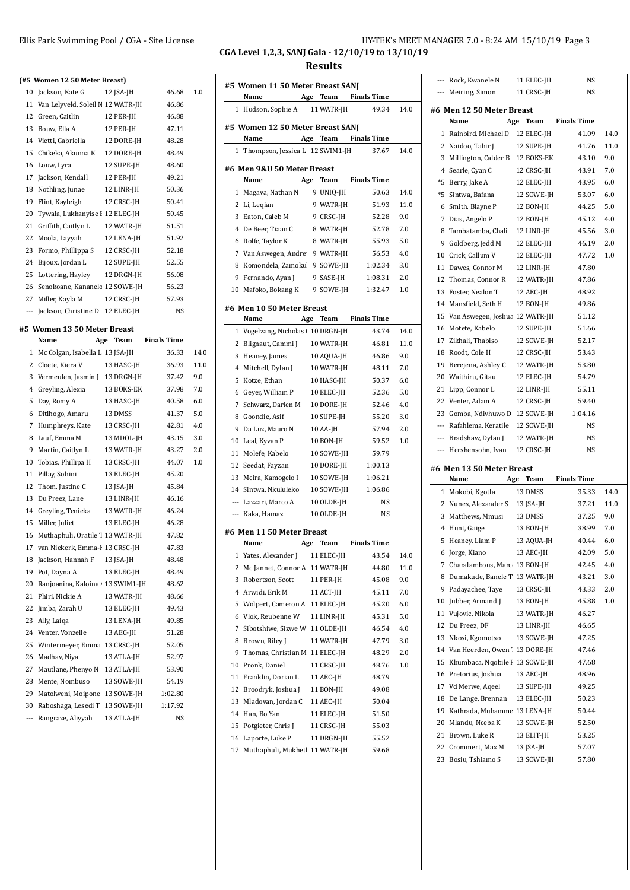## Ellis Park Swimming Pool / CGA - Site License **HY-TEK's MEET MANAGER 7.0 - 8:24 AM 15/10/19** Page 3

--- Rock, Kwanele N 11 ELEC-JH NS

### **CGA Level 1,2,3, SANJ Gala - 12/10/19 to 13/10/19 Results**

**#5 Women 11 50 Meter Breast SANJ**

|                | (#5 Women 12 50 Meter Breast)        |            |                    |      |
|----------------|--------------------------------------|------------|--------------------|------|
|                | 10 Jackson, Kate G                   | 12 ISA-JH  | 46.68              | 1.0  |
|                | 11 Van Lelyveld, Soleil N 12 WATR-JH |            | 46.86              |      |
|                | 12 Green, Caitlin                    | 12 PER-JH  | 46.88              |      |
|                | 13 Bouw, Ella A                      | 12 PER-JH  | 47.11              |      |
|                | 14 Vietti, Gabriella                 | 12 DORE-JH | 48.28              |      |
|                | 15 Chikeka, Akunna K                 | 12 DORE-JH | 48.49              |      |
|                | 16 Louw, Lyra                        | 12 SUPE-JH | 48.60              |      |
| 17             | Jackson, Kendall                     | 12 PER-JH  | 49.21              |      |
|                | 18 Nothling, Junae                   | 12 LINR-JH | 50.36              |      |
|                | 19 Flint, Kayleigh                   | 12 CRSC-JH | 50.41              |      |
|                | 20 Tywala, Lukhanyise I 12 ELEC-JH   |            | 50.45              |      |
| 21             | Griffith, Caitlyn L                  | 12 WATR-JH | 51.51              |      |
| 22             | Moola, Layyah                        | 12 LENA-JH | 51.92              |      |
| 23             | Formo, Phillippa S                   | 12 CRSC-JH | 52.18              |      |
|                | 24 Bijoux, Jordan L                  | 12 SUPE-JH | 52.55              |      |
| 25             |                                      |            |                    |      |
|                | Lottering, Hayley                    | 12 DRGN-JH | 56.08              |      |
| 26             | Senokoane, Kananelc 12 SOWE-JH       |            | 56.23              |      |
| 27             | Miller, Kayla M                      | 12 CRSC-JH | 57.93              |      |
|                | --- Jackson, Christine D 12 ELEC-JH  |            | NS                 |      |
|                | #5 Women 13 50 Meter Breast          |            |                    |      |
|                | Name<br>Age                          | Team       | <b>Finals Time</b> |      |
| $\mathbf{1}$   | Mc Colgan, Isabella L 13 JSA-JH      |            | 36.33              | 14.0 |
| $\overline{2}$ | Cloete, Kiera V                      | 13 HASC-JH | 36.93              | 11.0 |
| 3              | Vermeulen, Jasmin J 13 DRGN-JH       |            | 37.42              | 9.0  |
| 4              | Greyling, Alexia                     | 13 BOKS-EK | 37.98              | 7.0  |
| 5              | Day, Romy A                          | 13 HASC-JH | 40.58              | 6.0  |
| 6              | Ditlhogo, Amaru                      | 13 DMSS    | 41.37              | 5.0  |
| 7              | Humphreys, Kate                      | 13 CRSC-JH | 42.81              | 4.0  |
| 8              | Lauf, Emma M                         | 13 MDOL-JH | 43.15              | 3.0  |
| 9              | Martin, Caitlyn L                    | 13 WATR-JH | 43.27              | 2.0  |
| 10             | Tobias, Phillipa H                   | 13 CRSC-JH | 44.07              | 1.0  |
| 11             | Pillay, Sohini                       | 13 ELEC-JH | 45.20              |      |
| 12             | Thom, Justine C                      | 13 JSA-JH  | 45.84              |      |
| 13             | Du Preez, Lane                       | 13 LINR-JH | 46.16              |      |
| 14             | Greyling, Tenieka                    | 13 WATR-JH | 46.24              |      |
| 15             | Miller, Juliet                       | 13 ELEC-JH | 46.28              |      |
| 16             | Muthaphuli, Oratile 1 13 WATR-JH     |            | 47.82              |      |
|                | 17 van Niekerk, Emma-I 13 CRSC-JH    |            | 47.83              |      |
| 18             | Jackson, Hannah F                    | 13 JSA-JH  | 48.48              |      |
| 19             | Pot, Dayna A                         | 13 ELEC-JH | 48.49              |      |
| 20             | Ranjoanina, Kaloina 13 SWIM1-JH      |            | 48.62              |      |
| 21             | Phiri, Nickie A                      | 13 WATR-JH | 48.66              |      |
| 22             | Jimba, Zarah U                       | 13 ELEC-JH | 49.43              |      |
| 23             | Ally, Laiga                          | 13 LENA-JH | 49.85              |      |
| 24             | Venter, Vonzelle                     | 13 AEC-JH  | 51.28              |      |
| 25             | Wintermeyer, Emma                    | 13 CRSC-JH | 52.05              |      |
| 26             | Madhav, Niya                         | 13 ATLA-JH | 52.97              |      |
| 27             | Mautlane, Phenyo N                   | 13 ATLA-JH | 53.90              |      |
| 28             | Mente, Nombuso                       | 13 SOWE-JH | 54.19              |      |
| 29             | Matolweni, Moipone                   | 13 SOWE-JH | 1:02.80            |      |
| 30             | Raboshaga, Lesedi T                  | 13 SOWE-JH | 1:17.92            |      |
| ---            | Rangraze, Aliyyah                    | 13 ATLA-JH | NS                 |      |
|                |                                      |            |                    |      |

|              | Name                                     | Age | Team       | <b>Finals Time</b>   |         |
|--------------|------------------------------------------|-----|------------|----------------------|---------|
| $\mathbf{1}$ | Hudson, Sophie A 11 WATR-JH              |     |            | 49.34                | 14.0    |
|              | #5 Women 12 50 Meter Breast SANJ<br>Name |     | Age Team   | <b>Finals Time</b>   |         |
|              | 1 Thompson, Jessica L 12 SWIM1-JH        |     |            | 37.67                | 14.0    |
|              | #6 Men 9&U 50 Meter Breast               |     |            |                      |         |
|              | Name                                     |     | Age Team   | <b>Finals Time</b>   |         |
| 1            | Magava, Nathan N                         |     | 9 UNIQ-JH  | 50.63                | 14.0    |
| 2            | Li, Leqian                               |     | 9 WATR-JH  | 51.93                | 11.0    |
|              | 3 Eaton, Caleb M                         |     | 9 CRSC-JH  | 52.28                | 9.0     |
|              | 4 De Beer, Tiaan C                       |     | 8 WATR-JH  | 52.78                | 7.0     |
| 6            | Rolfe, Taylor K                          |     | 8 WATR-JH  | 55.93                | 5.0     |
|              | 7 Van Aswegen, Andrey 9 WATR-JH          |     |            | 56.53                | 4.0     |
| 8            | Komondela, Zamokul 9 SOWE-JH             |     |            | 1:02.34              | 3.0     |
| 9            | Fernando, Ayan J                         |     | 9 SASE-JH  | 1:08.31              | 2.0     |
|              | 10 Mafoko, Bokang K                      |     | 9 SOWE-JH  | 1:32.47              | 1.0     |
|              | #6 Men 10 50 Meter Breast                |     |            |                      |         |
|              | Name                                     |     |            | Age Team Finals Time |         |
| 1            | Vogelzang, Nicholas (10 DRGN-JH          |     |            | 43.74                | 14.0    |
| 2            | Blignaut, Cammi J                        |     | 10 WATR-JH | 46.81                | 11.0    |
| 3            | Heaney, James                            |     | 10 AQUA-JH | 46.86                | 9.0     |
| 4            | Mitchell, Dylan J                        |     | 10 WATR-JH | 48.11                | 7.0     |
| 5            | Kotze, Ethan                             |     | 10 HASC-JH | 50.37                | 6.0     |
| 6            | Geyer, William P                         |     | 10 ELEC-JH | 52.36                | 5.0     |
| 7            | Schwarz, Darien M                        |     | 10 DORE-JH | 52.46                | 4.0     |
| 8            | Goondie, Asif                            |     | 10 SUPE-JH | 55.20                | 3.0     |
| 9            | Da Luz, Mauro N                          |     | 10 AA-JH   | 57.94                | 2.0     |
|              | 10 Leal, Kyvan P                         |     | 10 BON-JH  | 59.52                | 1.0     |
| 11           | Molefe, Kabelo                           |     | 10 SOWE-JH | 59.79                |         |
| 12           | Seedat, Fayzan                           |     | 10 DORE-JH | 1:00.13              |         |
|              | 13 Mcira, Kamogelo I                     |     | 10 SOWE-JH | 1:06.21              |         |
|              | 14 Sintwa, Nkululeko                     |     | 10 SOWE-JH | 1:06.86              |         |
|              | --- Lazzari, Marco A                     |     | 10 OLDE-JH | NS                   |         |
|              | --- Kaka, Hamaz                          |     | 10 OLDE-JH | NS                   |         |
|              | #6 Men 11 50 Meter Breast                |     |            |                      |         |
|              | Name                                     |     | Age Team   | <b>Finals Time</b>   |         |
|              | 1 Yates, Alexander J                     |     | 11 ELEC-JH | 43.54                | 14.0    |
|              | 2 Mc Jannet, Connor A 11 WATR-JH         |     |            | 44.80                | 11.0    |
| 3            | Robertson, Scott                         |     | 11 PER-JH  | 45.08                | 9.0     |
| 4            | Arwidi, Erik M                           |     | 11 ACT-JH  | 45.11                | 7.0     |
| 5            | Wolpert, Cameron A 11 ELEC-JH            |     |            | 45.20                | 6.0     |
| 6            | Vlok, Reubenne W                         |     | 11 LINR-JH | 45.31                | 5.0     |
| 7            | Sibotshiwe, Sizwe W 11 OLDE-JH           |     |            | 46.54                | 4.0     |
| 8            | Brown, Riley J                           |     | 11 WATR-JH | 47.79                | 3.0     |
| 9            | Thomas, Christian M 11 ELEC-JH           |     |            | 48.29                | 2.0     |
| 10           | Pronk, Daniel                            |     | 11 CRSC-IH | 48.76                | $1.0\,$ |
| 11           | Franklin, Dorian L                       |     | 11 AEC-JH  | 48.79                |         |
| 12           | Broodryk, Joshua J                       |     | 11 BON-JH  | 49.08                |         |
| 13           | Mladovan, Jordan C                       |     | 11 AEC-JH  | 50.04                |         |
| 14           | Han, Bo Yan                              |     | 11 ELEC-JH | 51.50                |         |
| 15           | Potgieter, Chris J                       |     | 11 CRSC-JH | 55.03                |         |
| 16           | Laporte, Luke P                          |     | 11 DRGN-JH | 55.52                |         |
| 17           | Muthaphuli, Mukhetl 11 WATR-JH           |     |            | 59.68                |         |
|              |                                          |     |            |                      |         |

|              | Meiring, Simon<br>$\cdots$          |     | 11 CRSC-JH              | NS                 |      |
|--------------|-------------------------------------|-----|-------------------------|--------------------|------|
|              | #6 Men 12 50 Meter Breast           |     |                         |                    |      |
|              | Name<br>Age                         |     | Team                    | <b>Finals Time</b> |      |
| $\mathbf{1}$ | Rainbird, Michael D                 |     | 12 ELEC-JH              | 41.09              | 14.0 |
| 2            | Naidoo, Tahir J                     |     | 12 SUPE-JH              | 41.76              | 11.0 |
| 3            | Millington, Calder B 12 BOKS-EK     |     |                         | 43.10              | 9.0  |
| $^{4}$       | Searle, Cyan C                      |     | 12 CRSC-JH              | 43.91              | 7.0  |
| *5           | Berry, Jake A                       |     | 12 ELEC-JH              | 43.95              | 6.0  |
| *5           | Sintwa, Bafana                      |     | 12 SOWE-JH              | 53.07              | 6.0  |
|              | 6 Smith, Blayne P                   |     | 12 BON-JH               | 44.25              | 5.0  |
| 7            | Dias, Angelo P                      |     | 12 BON-JH               | 45.12              | 4.0  |
| 8            | Tambatamba, Chali                   |     | 12 LINR-JH              | 45.56              | 3.0  |
| 9            | Goldberg, Jedd M                    |     | 12 ELEC-JH              | 46.19              | 2.0  |
|              | 10 Crick, Callum V                  |     | 12 ELEC-JH              | 47.72              | 1.0  |
| 11           | Dawes, Connor M                     |     | 12 LINR-JH              | 47.80              |      |
|              | 12 Thomas, Connor R                 |     | 12 WATR-JH              | 47.86              |      |
| 13           | Foster, Nealon T                    |     | 12 AEC-JH               | 48.92              |      |
|              | 14 Mansfield, Seth H                |     | 12 BON-JH               | 49.86              |      |
|              | 15 Van Aswegen, Joshua 12 WATR-JH   |     |                         | 51.12              |      |
| 16           | Motete, Kabelo                      |     | 12 SUPE-JH              | 51.66              |      |
| 17           | Zikhali, Thabiso                    |     | 12 SOWE-JH              | 52.17              |      |
|              | 18 Roodt, Cole H                    |     | 12 CRSC-JH              | 53.43              |      |
|              | 19 Berejena, Ashley C               |     | 12 WATR-JH              | 53.80              |      |
|              | 20 Waithiru. Gitau                  |     | 12 ELEC-JH              | 54.79              |      |
|              | 21 Lipp, Connor L                   |     | 12 LINR-JH              | 55.11              |      |
|              | 22 Venter, Adam A                   |     | 12 CRSC-JH              | 59.40              |      |
| 23           | Gomba, Ndivhuwo D 12 SOWE-JH        |     |                         | 1:04.16            |      |
|              | --- Rafahlema, Keratile             |     | 12 SOWE-JH              | NS                 |      |
|              | --- Bradshaw, Dylan J               |     | 12 WATR-JH              | NS                 |      |
|              | --- Hershensohn, Ivan               |     | 12 CRSC-JH              | <b>NS</b>          |      |
|              | #6 Men 13 50 Meter Breast           |     |                         |                    |      |
|              |                                     |     | Team                    |                    |      |
|              | Name                                | Age |                         | <b>Finals Time</b> |      |
| 1            | Mokobi, Kgotla                      |     | 13 DMSS                 | 35.33              | 14.0 |
| 2            | Nunes, Alexander S                  |     | 13 JSA-JH               | 37.21              | 11.0 |
| 3            | Matthews, Mmusi                     |     | 13 DMSS                 | 37.25              | 9.0  |
|              | 4 Hunt, Gaige                       |     | 13 BON-JH               | 38.99              | 7.0  |
| 5            | Heaney, Liam P                      |     | 13 AQUA-JH              | 40.44              | 6.0  |
| 6            | Jorge, Kiano                        |     | 13 AEC-JH               | 42.09              | 5.0  |
| 7            | Charalambous, Marco 13 BON-JH       |     |                         | 42.45              | 4.0  |
| 8            | Dumakude, Banele T 13 WATR-JH       |     |                         | 43.21              | 3.0  |
| 9            | Padayachee, Taye                    |     | 13 CRSC-JH              | 43.33              | 2.0  |
| 10           | Jubber, Armand J                    |     | 13 BON-JH               | 45.88              | 1.0  |
| 11           | Vujovic, Nikola                     |     | 13 WATR-JH              | 46.27              |      |
| 12           | Du Preez, DF                        |     | 13 LINR-JH              | 46.65              |      |
| 13           | Nkosi, Kgomotso                     |     | 13 SOWE-JH              | 47.25              |      |
| 14           | Van Heerden, Owen 7 13 DORE-JH      |     |                         | 47.46              |      |
| 15           | Khumbaca, Ngobile F 13 SOWE-JH      |     |                         | 47.68              |      |
| 16           | Pretorius, Joshua                   |     | 13 AEC-JH               | 48.96              |      |
| 17           | Vd Merwe, Aqeel                     |     | 13 SUPE-JH              | 49.25              |      |
| 18           | De Lange, Brennan                   |     | 13 ELEC-JH              | 50.23              |      |
| 19           | Kathrada, Muhamme 13 LENA-JH        |     |                         | 50.44              |      |
| 20           | Mlandu, Nceba K                     |     | 13 SOWE-JH              | 52.50              |      |
| 21           | Brown, Luke R                       |     | 13 ELIT-JH              | 53.25              |      |
| 22<br>23     | Crommert, Max M<br>Bosiu, Tshiamo S |     | 13 JSA-JH<br>13 SOWE-JH | 57.07<br>57.80     |      |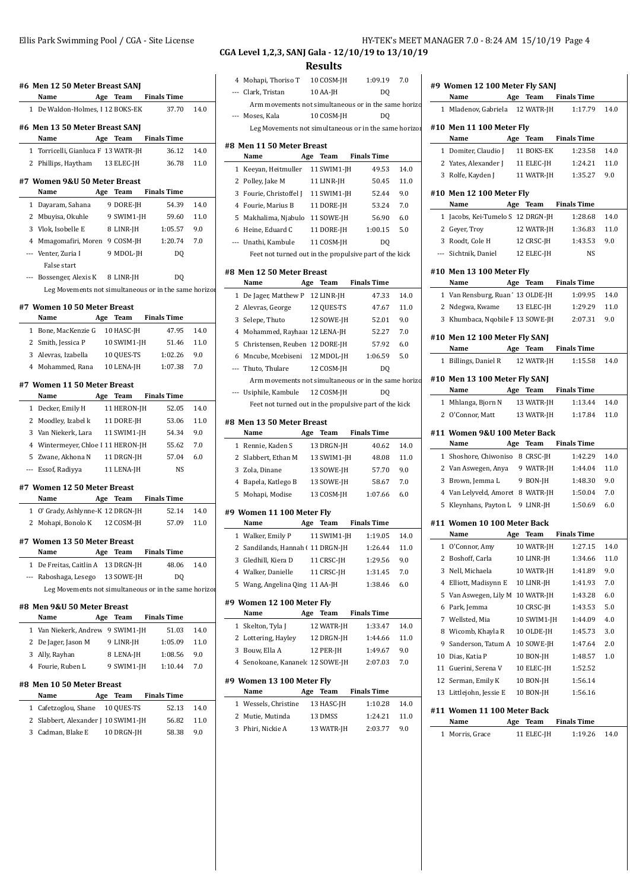| #6 Men 12 50 Meter Breast SANJ                                     |     |             |                      |              | 4              |
|--------------------------------------------------------------------|-----|-------------|----------------------|--------------|----------------|
| Name                                                               |     | Age Team    | Finals Time          |              |                |
| 1 De Waldon-Holmes, I 12 BOKS-EK                                   |     |             | 37.70                | 14.0         |                |
| #6 Men 13 50 Meter Breast SANJ                                     |     |             |                      |              |                |
| Name                                                               |     | Age Team    | <b>Finals Time</b>   |              |                |
| 1 Torricelli, Gianluca F 13 WATR-JH                                |     |             | 36.12                | 14.0         | #8 M           |
| 2 Phillips, Haytham 13 ELEC-JH                                     |     |             | 36.78                | 11.0         | 1              |
| #7 Women 9&U 50 Meter Breast                                       |     |             |                      |              | 2              |
| Name                                                               |     | Age Team    | <b>Finals Time</b>   |              | 3              |
| 1 Dayaram, Sahana                                                  |     | 9 DORE-JH   | 54.39                | 14.0         | 4              |
| 2 Mbuyisa, Okuhle                                                  |     | 9 SWIM1-JH  | 59.60                | 11.0         | 5              |
| 3 Vlok, Isobelle E                                                 |     | 8 LINR-JH   | 1:05.57              | 9.0          | 6              |
| 4 Mmagomafiri, Moren 9 COSM-JH                                     |     |             | 1:20.74              | 7.0          |                |
| --- Venter, Zuria I                                                |     | 9 MDOL-JH   | DQ                   |              |                |
| False start                                                        |     |             |                      |              | #8 M           |
| --- Bossenger, Alexis K                                            |     | 8 LINR-JH   | DQ                   |              |                |
| Leg Movements not simultaneous or in the same horizor              |     |             |                      |              | 1              |
| #7 Women 10 50 Meter Breast                                        |     |             |                      |              | 2              |
| Name                                                               | Age | <b>Team</b> | <b>Finals Time</b>   |              | 3              |
| 1 Bone, MacKenzie G                                                |     | 10 HASC-JH  | 47.95                | 14.0         | 4              |
| 2 Smith, Jessica P                                                 |     | 10 SWIM1-JH | 51.46                | 11.0         | 5              |
| 3 Alevras, Izabella                                                |     | 10 QUES-TS  | 1:02.26              | 9.0          | 6              |
| 4 Mohammed, Rana 10 LENA-JH                                        |     |             | 1:07.38              | 7.0          |                |
| #7 Women 11 50 Meter Breast                                        |     |             |                      |              |                |
| Name                                                               |     | Age Team    | <b>Finals Time</b>   |              |                |
| 1 Decker, Emily H                                                  |     | 11 HERON-JH | 52.05                | 14.0         |                |
| 2 Moodley, Izabel k                                                |     | 11 DORE-JH  | 53.06                | 11.0         | #8 M           |
| 3 Van Niekerk, Lara                                                |     | 11 SWIM1-JH | 54.34                | 9.0          |                |
| 4 Wintermeyer, Chloe I 11 HERON-JH                                 |     |             | 55.62                | 7.0          | 1              |
| 5 Zwane, Akhona N                                                  |     | 11 DRGN-JH  | 57.04                | 6.0          | 2              |
| --- Essof, Radiyya                                                 |     | 11 LENA-JH  | <b>NS</b>            |              | 3              |
|                                                                    |     |             |                      |              | 4              |
| #7 Women 12 50 Meter Breast                                        |     | Age Team    |                      |              | 5              |
| Name                                                               |     |             | <b>Finals Time</b>   |              |                |
| 1 O' Grady, Ashlynne-K 12 DRGN-JH<br>2 Mohapi, Bonolo K 12 COSM-JH |     |             | 52.14<br>57.09       | 14.0<br>11.0 | #9 W           |
|                                                                    |     |             |                      |              |                |
| #7 Women 13 50 Meter Breast                                        |     |             |                      |              | 1              |
| Name                                                               |     |             | Age Team Finals Time |              | 2<br>3         |
| 1 De Freitas, Caitlin A                                            |     | 13 DRGN-JH  | 48.06                | 14.0         | 4              |
| --- Raboshaga, Lesego 13 SOWE-JH                                   |     |             | DQ                   |              | 5 <sup>1</sup> |
| Leg Movements not simultaneous or in the same horizor              |     |             |                      |              |                |
| #8 Men 9&U 50 Meter Breast                                         |     |             |                      |              | #9 W           |
| Name                                                               |     | Age Team    | <b>Finals Time</b>   |              |                |
| 1 Van Niekerk, Andrew 9 SWIM1-JH                                   |     |             | 51.03                | 14.0         | $\mathbf{1}$   |
| 2 De Jager, Jason M                                                |     | 9 LINR-JH   | 1:05.09              | 11.0         | $\overline{2}$ |
| 3 Ally, Rayhan                                                     |     | 8 LENA-JH   | 1:08.56              | 9.0          | 3              |
| 4 Fourie, Ruben L                                                  |     | 9 SWIM1-JH  | 1:10.44              | 7.0          | 4              |
| #8 Men 10 50 Meter Breast                                          |     |             |                      |              | #9 W           |
| Name<br>Age                                                        |     | Team        | <b>Finals Time</b>   |              |                |
| 1 Cafetzoglou, Shane                                               |     | 10 QUES-TS  | 52.13                | 14.0         | 1              |
| 2 Slabbert, Alexander J 10 SWIM1-JH                                |     |             | 56.82                | 11.0         | 2              |
| 3 Cadman, Blake E                                                  |     | 10 DRGN-JH  | 58.38                | 9.0          | 3              |
|                                                                    |     |             |                      |              |                |
|                                                                    |     |             |                      |              |                |

## **CGA Level 1,2,3, SANJ Gala - 12/10/19 to 13/10/19**

**Results**

| 4 Mohapi, Thoriso T 10 COSM-JH 1:09.19                             |             |                      | 7.0         |                                                                                                                                                                                                          |
|--------------------------------------------------------------------|-------------|----------------------|-------------|----------------------------------------------------------------------------------------------------------------------------------------------------------------------------------------------------------|
| --- Clark, Tristan                                                 | $10$ AA-JH  | DQ                   |             | #9 W                                                                                                                                                                                                     |
| Arm movements not simultaneous or in the same horizo               |             |                      |             | Ņ<br>1 N                                                                                                                                                                                                 |
| --- Moses, Kala                                                    | 10 COSM-JH  | D <sub>0</sub>       |             |                                                                                                                                                                                                          |
| Leg Movements not simultaneous or in the same horizor              |             |                      |             | #10 N                                                                                                                                                                                                    |
| #8 Men 11 50 Meter Breast                                          |             |                      |             | Ņ                                                                                                                                                                                                        |
| Name                                                               |             | Age Team Finals Time |             | $1 \Gamma$                                                                                                                                                                                               |
| 1 Keeyan, Heitmuller 11 SWIM1-JH                                   |             | 49.53                | 14.0        | 2 <sub>1</sub>                                                                                                                                                                                           |
| 2 Polley, Jake M                                                   | 11 LINR-JH  | 50.45                | 11.0        | 3 F                                                                                                                                                                                                      |
| 3 Fourie, Christoffel J 11 SWIM1-JH                                |             | 52.44                | 9.0         | #10 N                                                                                                                                                                                                    |
| 4 Fourie, Marius B                                                 | 11 DORE-JH  | 53.24                | 7.0         | Ŋ                                                                                                                                                                                                        |
| 5 Makhalima, Njabulo 11 SOWE-JH                                    |             | 56.90                | 6.0         | $1 \;$                                                                                                                                                                                                   |
| 6 Heine, Eduard C                                                  |             | 11 DORE-JH 1:00.15   | 5.0         | 2 <sub>0</sub>                                                                                                                                                                                           |
| --- Unathi, Kambule                                                | 11 COSM-JH  | D <sub>0</sub>       |             | 3 F                                                                                                                                                                                                      |
| Feet not turned out in the propulsive part of the kick             |             |                      |             | --- S                                                                                                                                                                                                    |
| #8 Men 12 50 Meter Breast                                          |             |                      |             | #10 N                                                                                                                                                                                                    |
| Name                                                               |             | Age Team Finals Time |             | Ņ                                                                                                                                                                                                        |
| 1 De Jager, Matthew P 12 LINR-JH                                   |             | 47.33                | 14.0        | 1 <sub>1</sub>                                                                                                                                                                                           |
| 2 Alevras, George 12 QUES-TS                                       |             | 47.67                | 11.0        | 2 N                                                                                                                                                                                                      |
| 3 Selepe, Thuto 12 SOWE-JH                                         |             | 52.01                | 9.0         | 3 F                                                                                                                                                                                                      |
| 4 Mohammed, Rayhaar 12 LENA-JH                                     |             | 52.27                | 7.0         |                                                                                                                                                                                                          |
| 5 Christensen, Reuben 12 DORE-JH                                   |             | 57.92                | 6.0         | #10 N                                                                                                                                                                                                    |
| 6 Mncube, Mcebiseni 12 MDOL-JH                                     |             | 1:06.59              | 5.0         | Ņ                                                                                                                                                                                                        |
| --- Thuto, Thulare                                                 | 12 COSM-JH  | DQ                   |             | 1 F                                                                                                                                                                                                      |
| Arm movements not simultaneous or in the same horizo               |             |                      |             | #10 N                                                                                                                                                                                                    |
| --- Usiphile, Kambule 12 COSM-JH                                   |             | DO                   |             | Ņ                                                                                                                                                                                                        |
| Feet not turned out in the propulsive part of the kick             |             |                      |             | 1 N                                                                                                                                                                                                      |
|                                                                    |             |                      |             |                                                                                                                                                                                                          |
| #8 Men 13 50 Meter Breast                                          |             |                      |             |                                                                                                                                                                                                          |
| Name                                                               | Age Team    | <b>Finals Time</b>   |             |                                                                                                                                                                                                          |
| 1 Rennie, Kaden S                                                  | 13 DRGN-JH  | 40.62                | 14.0        |                                                                                                                                                                                                          |
| 2 Slabbert, Ethan M                                                | 13 SWIM1-JH | 48.08                | 11.0        |                                                                                                                                                                                                          |
| 3 Zola, Dinane                                                     | 13 SOWE-JH  | 57.70                | 9.0         |                                                                                                                                                                                                          |
| 4 Bapela, Katlego B                                                | 13 SOWE-JH  | 58.67                | 7.0         |                                                                                                                                                                                                          |
| 5 Mohapi, Modise                                                   | 13 COSM-JH  | 1:07.66              | 6.0         |                                                                                                                                                                                                          |
|                                                                    |             |                      |             |                                                                                                                                                                                                          |
| #9 Women 11 100 Meter Fly<br>Name<br>Age                           | Team        | Finals Time          |             |                                                                                                                                                                                                          |
|                                                                    |             | 1:19.05              | 14.0        |                                                                                                                                                                                                          |
| 1 Walker, Emily P 11 SWIM1-JH<br>2 Sandilands, Hannah ( 11 DRGN-JH |             | 1:26.44              | 11.0        | 1                                                                                                                                                                                                        |
| 3 Gledhill, Kiera D                                                | 11 CRSC-JH  | 1:29.56              | 9.0         |                                                                                                                                                                                                          |
| 4 Walker, Danielle                                                 | 11 CRSC-JH  | 1:31.45              | 7.0         |                                                                                                                                                                                                          |
| 5 Wang, Angelina Qing 11 AA-JH                                     |             | 1:38.46              | 6.0         |                                                                                                                                                                                                          |
|                                                                    |             |                      |             |                                                                                                                                                                                                          |
| #9 Women 12 100 Meter Fly                                          |             |                      |             |                                                                                                                                                                                                          |
| Name                                                               | Age Team    | <b>Finals Time</b>   |             |                                                                                                                                                                                                          |
| 1 Skelton, Tyla J                                                  | 12 WATR-JH  | 1:33.47              | 14.0        |                                                                                                                                                                                                          |
| 2 Lottering, Hayley 12 DRGN-JH<br>3 Bouw, Ella A                   | 12 PER-JH   | 1:44.66              | 11.0<br>9.0 |                                                                                                                                                                                                          |
|                                                                    |             | 1:49.67              |             |                                                                                                                                                                                                          |
| 4 Senokoane, Kananelc 12 SOWE-JH                                   |             | 2:07.03              | 7.0         | 11                                                                                                                                                                                                       |
| #9 Women 13 100 Meter Fly                                          |             |                      |             | 12                                                                                                                                                                                                       |
| Name                                                               | Age Team    | <b>Finals Time</b>   |             |                                                                                                                                                                                                          |
| 1 Wessels, Christine                                               | 13 HASC-JH  | 1:10.28              | 14.0        |                                                                                                                                                                                                          |
| 2 Mutie, Mutinda                                                   | 13 DMSS     | 1:24.21              | 11.0        | 20<br>#11 V<br>Ņ<br>1 <sup>5</sup><br>2 <sub>l</sub><br>3 E<br>4 V<br>5 F<br>#11 V<br>Ņ<br>$\mathbf{C}$<br>2 F<br>3 N<br>4 E<br>5 V<br>6 F<br>7 V<br>8 V<br>9 S<br>10 L<br>C<br>-S<br>13 L<br>#11 V<br>Ņ |
| 3 Phiri, Nickie A                                                  | 13 WATR-JH  | 2:03.77              | 9.0         | 1 N                                                                                                                                                                                                      |

|    | #9 Women 12 100 Meter Fly SANJ<br>Name Age Team Finals Time     |     |             |                      |      |
|----|-----------------------------------------------------------------|-----|-------------|----------------------|------|
|    | 1 Mladenov, Gabriela 12 WATR-JH 1:17.79                         |     |             |                      | 14.0 |
|    | #10 Men 11 100 Meter Fly<br>Name                                |     |             | Age Team Finals Time |      |
|    |                                                                 |     |             | 1:23.58              | 14.0 |
|    | 1 Domiter, Claudio J 11 BOKS-EK                                 |     |             |                      | 11.0 |
|    | 2 Yates, Alexander J 11 ELEC-JH<br>3 Rolfe, Kayden J 11 WATR-JH |     |             | 1:24.21<br>1:35.27   | 9.0  |
|    | #10 Men 12 100 Meter Fly                                        |     |             |                      |      |
|    | Name Age Team Finals Time                                       |     |             |                      |      |
|    | 1 Jacobs, Kei-Tumelo S 12 DRGN-JH                               |     |             | 1:28.68              | 14.0 |
|    | 2 Geyer, Troy 12 WATR-JH 1:36.83                                |     |             |                      | 11.0 |
|    | 3 Roodt, Cole H 12 CRSC-JH 1:43.53                              |     |             |                      | 9.0  |
|    | --- Sichtnik, Daniel 12 ELEC-JH                                 |     |             | <b>NS</b>            |      |
|    | #10 Men 13 100 Meter Fly<br>Name Age Team Finals Time           |     |             |                      |      |
|    | 1 Van Rensburg, Ruan ' 13 OLDE-JH                               |     |             | 1:09.95              | 14.0 |
|    | 2 Ndegwa, Kwame 13 ELEC-JH                                      |     |             | 1:29.29              | 11.0 |
|    | 3 Khumbaca, Nqobile F 13 SOWE-JH 2:07.31                        |     |             |                      | 9.0  |
|    | #10 Men 12 100 Meter Fly SANJ                                   |     |             |                      |      |
|    | Name                                                            |     |             | Age Team Finals Time |      |
|    | 1 Billings, Daniel R 12 WATR-JH 1:15.58                         |     |             |                      | 14.0 |
|    | #10 Men 13 100 Meter Fly SANJ<br>Name                           |     |             | Age Team Finals Time |      |
|    | 1 Mhlanga, Bjorn N 13 WATR-JH                                   |     |             | 1:13.44              | 14.0 |
|    | 2 O'Connor, Matt                                                |     |             | 13 WATR-JH 1:17.84   | 11.0 |
|    | #11 Women 9&U 100 Meter Back<br>Name                            |     |             | Age Team Finals Time |      |
|    | 1 Shoshore, Chiwoniso 8 CRSC-JH                                 |     |             | 1:42.29              | 14.0 |
|    | 2 Van Aswegen, Anya 9 WATR-JH                                   |     |             | 1:44.04              | 11.0 |
|    | 3 Brown, Jemma L 9 BON-JH                                       |     |             | 1:48.30              | 9.0  |
|    | 4 Van Lelyveld, Amoret 8 WATR-JH                                |     |             | 1:50.04              | 7.0  |
|    | 5 Kleynhans, Payton L 9 LINR-JH                                 |     |             | 1:50.69              | 6.0  |
|    | #11 Women 10 100 Meter Back<br>Name                             |     |             | Age Team Finals Time |      |
| 1  | O'Connor, Amy                                                   |     | 10 WATR-JH  | 1:27.15              | 14.0 |
| 2  | Boshoff, Carla                                                  |     | 10 LINR-JH  | 1:34.66              | 11.0 |
| 3  | Nell, Michaela                                                  |     | 10 WATR-JH  | 1:41.89              | 9.0  |
| 4  | Elliott, Madisynn E                                             |     | 10 LINR-JH  | 1:41.93              | 7.0  |
| 5  | Van Aswegen, Lily M                                             |     | 10 WATR-JH  | 1:43.28              | 6.0  |
| 6  | Park, Jemma                                                     |     | 10 CRSC-JH  | 1:43.53              | 5.0  |
| 7  | Wellsted, Mia                                                   |     | 10 SWIM1-JH | 1:44.09              | 4.0  |
| 8  | Wicomb, Khayla R                                                |     | 10 OLDE-JH  | 1:45.73              | 3.0  |
| 9  | Sanderson, Tatum A                                              |     | 10 SOWE-JH  | 1:47.64              | 2.0  |
| 10 | Dias, Katia P                                                   |     | 10 BON-JH   | 1:48.57              | 1.0  |
| 11 | Guerini, Serena V                                               |     | 10 ELEC-JH  | 1:52.52              |      |
| 12 | Serman, Emily K                                                 |     | 10 BON-JH   | 1:56.14              |      |
| 13 | Littlejohn, Jessie E                                            |     | 10 BON-JH   | 1:56.16              |      |
|    | #11 Women 11 100 Meter Back                                     |     |             |                      |      |
|    | Name                                                            | Age | Team        | <b>Finals Time</b>   |      |
| 1  | Morris, Grace                                                   |     | 11 ELEC-JH  | 1:19.26              | 14.0 |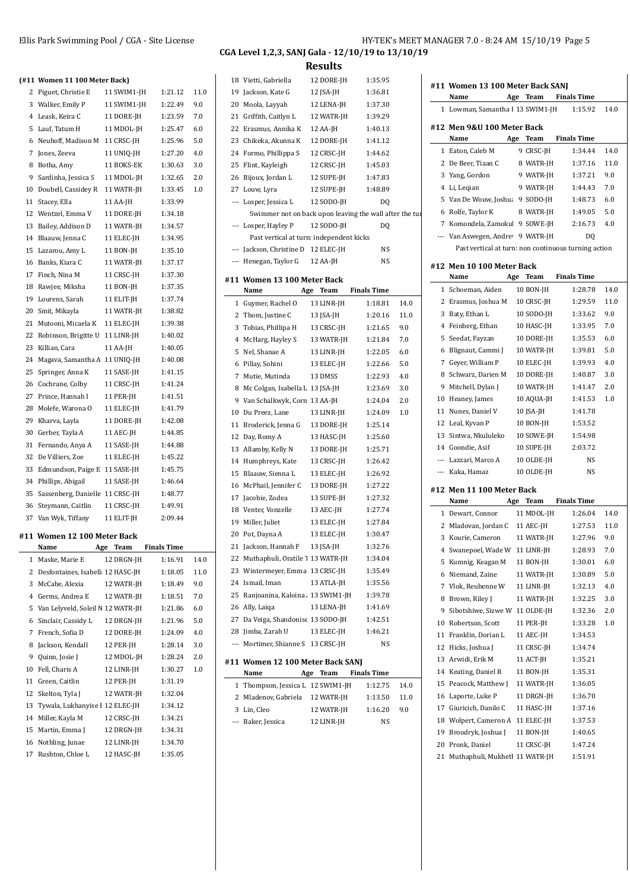|    | (#11 Women 11 100 Meter Back)     |          |             |                    |      |
|----|-----------------------------------|----------|-------------|--------------------|------|
|    | 2 Piguet, Christie E              |          | 11 SWIM1-JH | 1:21.12            | 11.0 |
|    | 3 Walker, Emily P                 |          | 11 SWIM1-JH | 1:22.49            | 9.0  |
|    | 4 Leask, Keira C                  |          | 11 DORE-JH  | 1:23.59            | 7.0  |
| 5  | Lauf, Tatum H                     |          | 11 MDOL-JH  | 1:25.47            | 6.0  |
|    | 6 Neuhoff, Madison M              |          | 11 CRSC-JH  | 1:25.96            | 5.0  |
| 7  | Jones, Zeeva                      |          | 11 UNIQ-JH  | 1:27.20            | 4.0  |
| 8  | Botha, Amy                        |          | 11 BOKS-EK  | 1:30.63            | 3.0  |
| 9  | Sardinha, Jessica S               |          | 11 MDOL-JH  | 1:32.65            | 2.0  |
| 10 | Doubell, Cassidey R               |          | 11 WATR-JH  | 1:33.45            | 1.0  |
| 11 | Stacey, Ella                      | 11 AA-JH |             | 1:33.99            |      |
|    | 12 Wentzel, Emma V                |          | 11 DORE-JH  | 1:34.18            |      |
|    | 13 Bailey, Addison D              |          | 11 WATR-JH  | 1:34.57            |      |
|    | 14 Blaauw, Jenna C                |          | 11 ELEC-JH  | 1:34.95            |      |
| 15 | Lazarou, Amy L                    |          | 11 BON-JH   | 1:35.10            |      |
|    | 16 Banks, Kiara C                 |          | 11 WATR-JH  | 1:37.17            |      |
|    | 17 Finch, Nina M                  |          | 11 CRSC-JH  | 1:37.30            |      |
|    | 18 Rawjee, Miksha                 |          | 11 BON-JH   | 1:37.35            |      |
|    | 19 Lourens, Sarah                 |          | 11 ELIT-JH  | 1:37.74            |      |
| 20 | Smit, Mikayla                     |          | 11 WATR-JH  | 1:38.82            |      |
| 21 | Mutooni, Micaela K                |          | 11 ELEC-JH  | 1:39.38            |      |
| 22 | Robinson, Brigitte U              |          | 11 LINR-JH  | 1:40.02            |      |
| 23 | Killian, Cara                     | 11 AA-JH |             | 1:40.05            |      |
|    | 24 Magava, Samantha A 11 UNIQ-JH  |          |             | 1:40.08            |      |
| 25 | Springer, Anna K                  |          | 11 SASE-JH  | 1:41.15            |      |
|    | 26 Cochrane, Colby                |          | 11 CRSC-JH  | 1:41.24            |      |
|    | 27 Prince, Hannah I               |          | 11 PER-JH   | 1:41.51            |      |
|    | 28 Molefe, Warona O               |          | 11 ELEC-JH  | 1:41.79            |      |
|    | 29 Kharva, Layla                  |          | 11 DORE-JH  | 1:42.08            |      |
| 30 | Gerber, Tayla A                   |          | 11 AEC-JH   | 1:44.85            |      |
| 31 | Fernando, Anya A                  |          | 11 SASE-JH  | 1:44.88            |      |
| 32 | De Villiers, Zoe                  |          | 11 ELEC-JH  | 1:45.22            |      |
| 33 | Edmundson, Paige E 11 SASE-JH     |          |             | 1:45.75            |      |
|    | 34 Phillips, Abigail              |          | 11 SASE-JH  | 1:46.64            |      |
| 35 | Sassenberg, Danielle 11 CRSC-JH   |          |             | 1:48.77            |      |
|    | 36 Steymann, Caitlin              |          | 11 CRSC-JH  | 1:49.91            |      |
| 37 | Van Wyk, Tiffany                  |          | 11 ELIT-JH  | 2:09.44            |      |
|    |                                   |          |             |                    |      |
|    | #11 Women 12 100 Meter Back       |          |             |                    |      |
|    | Name                              | Age      | <b>Team</b> | <b>Finals Time</b> |      |
| 1  | Maske, Marie E                    |          | 12 DRGN-JH  | 1:16.91            | 14.0 |
| 2  | Desfontaines, Isabell: 12 HASC-JH |          |             | 1:18.05            | 11.0 |
| 3  | McCabe, Alexia                    |          | 12 WATR-JH  | 1:18.49            | 9.0  |
| 4  | Germs, Andrea E                   |          | 12 WATR-JH  | 1:18.51            | 7.0  |
| 5  | Van Lelyveld, Soleil N 12 WATR-JH |          |             | 1:21.86            | 6.0  |
| 6  | Sinclair, Cassidy L               |          | 12 DRGN-JH  | 1:21.96            | 5.0  |
| 7  | French, Sofia D                   |          | 12 DORE-JH  | 1:24.09            | 4.0  |
| 8  | Jackson, Kendall                  |          | 12 PER-JH   | 1:28.14            | 3.0  |
| 9  | Quinn, Josie J                    |          | 12 MDOL-JH  | 1:28.24            | 2.0  |
| 10 | Fell, Charis A                    |          | 12 LINR-JH  | 1:30.27            | 1.0  |
| 11 | Green, Caitlin                    |          | 12 PER-JH   | 1:31.19            |      |
| 12 | Skelton, Tyla J                   |          | 12 WATR-JH  | 1:32.04            |      |
| 13 | Tywala, Lukhanyise I 12 ELEC-JH   |          |             | 1:34.12            |      |
|    | 14 Miller, Kayla M                |          | 12 CRSC-JH  | 1:34.21            |      |
| 15 | Martin, Emma J                    |          | 12 DRGN-JH  | 1:34.31            |      |
| 16 | Nothling, Junae                   |          | 12 LINR-JH  | 1:34.70            |      |
|    | 17 Rushton, Chloe L               |          | 12 HASC-IH  | 1:35.05            |      |

## **Results**

|              |                                                         |     | ,,,,,,,    |                    |      |
|--------------|---------------------------------------------------------|-----|------------|--------------------|------|
|              | 18 Vietti, Gabriella                                    |     | 12 DORE-JH | 1:35.95            |      |
|              | 19 Jackson, Kate G                                      |     | 12 JSA-JH  | 1:36.81            |      |
| 20           | Moola, Layyah                                           |     | 12 LENA-JH | 1:37.30            |      |
| 21           | Griffith, Caitlyn L                                     |     | 12 WATR-JH | 1:39.29            |      |
| 22           | Erasmus, Annika K                                       |     | 12 AA-JH   | 1:40.13            |      |
| 23           | Chikeka, Akunna K                                       |     | 12 DORE-JH | 1:41.12            |      |
|              | 24 Formo, Phillippa S                                   |     | 12 CRSC-JH | 1:44.62            |      |
| 25           | Flint, Kayleigh                                         |     | 12 CRSC-JH | 1:45.03            |      |
|              | 26 Bijoux, Jordan L                                     |     | 12 SUPE-JH | 1:47.83            |      |
|              | 27 Louw, Lyra                                           |     | 12 SUPE-JH | 1:48.89            |      |
| ---          | Losper, Jessica L                                       |     | 12 SODO-JH | D <sub>0</sub>     |      |
|              | Swimmer not on back upon leaving the wall after the tur |     |            |                    |      |
|              | --- Losper, Hayley P                                    |     | 12 SODO-JH | D <sub>0</sub>     |      |
|              | Past vertical at turn: independent kicks                |     |            |                    |      |
|              | --- Jackson, Christine D 12 ELEC-JH                     |     |            | NS                 |      |
|              | --- Henegan, Taylor G                                   |     | 12 AA-JH   | NS                 |      |
|              |                                                         |     |            |                    |      |
|              | #11 Women 13 100 Meter Back                             |     |            |                    |      |
|              | Name                                                    | Age | Team       | <b>Finals Time</b> |      |
| $\mathbf{1}$ | Guymer, Rachel O                                        |     | 13 LINR-JH | 1:18.81            | 14.0 |
|              | 2 Thom, Justine C                                       |     | 13 JSA-JH  | 1:20.16            | 11.0 |
| 3            | Tobias, Phillipa H                                      |     | 13 CRSC-JH | 1:21.65            | 9.0  |
|              | 4 McHarg, Hayley S                                      |     | 13 WATR-JH | 1:21.84            | 7.0  |
| 5            | Nel, Shanae A                                           |     | 13 LINR-JH | 1:22.05            | 6.0  |
| 6            | Pillay, Sohini                                          |     | 13 ELEC-JH | 1:22.66            | 5.0  |
| 7            | Mutie, Mutinda                                          |     | 13 DMSS    | 1:22.93            | 4.0  |
|              | 8 Mc Colgan, Isabella L 13 JSA-JH                       |     |            | 1:23.69            | 3.0  |
|              | 9 Van Schalkwyk, Corn 13 AA-JH                          |     |            | 1:24.04            | 2.0  |
|              | 10 Du Preez, Lane                                       |     | 13 LINR-JH | 1:24.09            | 1.0  |
| 11           | Broderick, Jenna G                                      |     | 13 DORE-JH | 1:25.14            |      |
|              | 12 Day, Romy A                                          |     | 13 HASC-JH | 1:25.60            |      |
|              | 13 Allamby, Kelly N                                     |     | 13 DORE-JH | 1:25.71            |      |
|              | 14 Humphreys, Kate                                      |     | 13 CRSC-JH | 1:26.42            |      |
| 15           | Blaauw, Sienna L                                        |     | 13 ELEC-JH | 1:26.92            |      |
|              | 16 McPhail, Jennifer C                                  |     | 13 DORE-JH | 1:27.22            |      |
| 17           | Jacobie, Zodea                                          |     | 13 SUPE-JH | 1:27.32            |      |
|              | 18 Venter, Vonzelle                                     |     | 13 AEC-JH  | 1:27.74            |      |
|              | 19 Miller, Juliet                                       |     | 13 ELEC-JH | 1:27.84            |      |
|              | 20 Pot, Dayna A                                         |     | 13 ELEC-JH | 1:30.47            |      |
| 21           | Jackson, Hannah F 13 JSA-JH                             |     |            | 1:32.76            |      |
| 22           | Muthaphuli, Oratile 1 13 WATR-JH                        |     |            | 1:34.04            |      |
|              | 23 Wintermeyer, Emma 13 CRSC-JH                         |     |            | 1:35.49            |      |
|              | 24 Ismail, Iman                                         |     | 13 ATLA-JH | 1:35.56            |      |
|              | 25 Ranjoanina, Kaloina . 13 SWIM1-JH                    |     |            | 1:39.78            |      |
|              | 26 Ally, Laiqa                                          |     | 13 LENA-JH | 1:41.69            |      |
|              | 27 Da Veiga, Shandonise 13 SODO-JH                      |     |            | 1:42.51            |      |
|              | 28 Jimba, Zarah U                                       |     | 13 ELEC-JH | 1:46.21            |      |
|              | --- Mortimer, Shianne S 13 CRSC-JH                      |     |            | NS                 |      |
|              |                                                         |     |            |                    |      |
|              | #11 Women 12 100 Meter Back SANJ                        |     |            |                    |      |
|              | Name                                                    | Age | Team       | Finals Time        |      |
|              | 1 Thompson, Jessica L 12 SWIM1-JH                       |     |            | 1:12.75            | 14.0 |
|              | 2 Mladenov, Gabriela 12 WATR-JH                         |     |            | 1:13.50            | 11.0 |
|              | 3 Lin, Cleo                                             |     | 12 WATR-JH | 1:16.20            | 9.0  |
|              | --- Baker, Jessica                                      |     | 12 LINR-JH | NS                 |      |

| #11 Women 13 100 Meter Back SANJ         |     |      |                      |      |
|------------------------------------------|-----|------|----------------------|------|
| Name                                     |     |      | Age Team Finals Time |      |
| 1 Lowman, Samantha I 13 SWIM1-JH 1:15.92 |     |      |                      | 14.0 |
| #12 Men 9&U 100 Meter Back               |     |      |                      |      |
| Name                                     | Age | Team | <b>Finals Time</b>   |      |

| --                                                   |           |         |    |      |
|------------------------------------------------------|-----------|---------|----|------|
| 1 Eaton, Caleb M                                     | 9 CRSC-IH | 1:34.44 |    | 14.0 |
| 2 De Beer, Tiaan C                                   | 8 WATR-JH | 1:37.16 |    | 11.0 |
| 3 Yang, Gordon                                       | 9 WATR-JH | 1:37.21 |    | 9.0  |
| 4 Li, Leqian                                         | 9 WATR-JH | 1:44.43 |    | 7.0  |
| 5 Van De Wouw, Joshua                                | 9 SODO-IH | 1:48.73 |    | 6.0  |
| 6 Rolfe, Taylor K                                    | 8 WATR-JH | 1.4905  |    | 5.0  |
| 7 Komondela, Zamokul 9 SOWE-JH                       |           | 2:16.73 |    | 4.0  |
| --- Van Aswegen, Andrey 9 WATR-JH                    |           |         | DO |      |
| Past vertical at turn: non continuous turning action |           |         |    |      |
|                                                      |           |         |    |      |

#### **#12 Men 10 100 Meter Back**

|                | Name                           | Age | Team       | <b>Finals Time</b> |      |
|----------------|--------------------------------|-----|------------|--------------------|------|
| 1              | Schoeman, Aiden                |     | 10 BON-JH  | 1:28.78            | 14.0 |
| 2              | Erasmus, Joshua M              |     | 10 CRSC-JH | 1:29.59            | 11.0 |
| 3              | Baty, Ethan L                  |     | 10 SODO-JH | 1:33.62            | 9.0  |
| 4              | Feinberg, Ethan                |     | 10 HASC-JH | 1:33.95            | 7.0  |
| 5              | Seedat, Fayzan                 |     | 10 DORE-JH | 1:35.53            | 6.0  |
| 6              | Blignaut, Cammi J              |     | 10 WATR-JH | 1:39.81            | 5.0  |
| 7              | Gever, William P               |     | 10 ELEC-JH | 1:39.93            | 4.0  |
| 8              | Schwarz, Darien M              |     | 10 DORE-JH | 1:40.87            | 3.0  |
| 9              | Mitchell, Dylan J              |     | 10 WATR-JH | 1:41.47            | 2.0  |
| 10             | Heaney, James                  |     | 10 AQUA-JH | 1:41.53            | 1.0  |
| 11             | Nunes, Daniel V                |     | 10 JSA-JH  | 1:41.78            |      |
| 12             | Leal, Kyvan P                  |     | 10 BON-JH  | 1:53.52            |      |
| 13             | Sintwa, Nkululeko              |     | 10 SOWE-JH | 1:54.98            |      |
|                | 14 Goondie, Asif               |     | 10 SUPE-JH | 2:03.72            |      |
|                | --- Lazzari, Marco A           |     | 10 OLDE-JH | <b>NS</b>          |      |
|                | --- Kaka, Hamaz                |     | 10 OLDE-JH | NS                 |      |
|                | #12 Men 11 100 Meter Back      |     |            |                    |      |
|                | Name                           | Age | Team       | <b>Finals Time</b> |      |
| 1              | Dewart, Connor                 |     | 11 MDOL-JH | 1:26.04            | 14.0 |
| 2              | Mladovan, Jordan C             |     | 11 AEC-JH  | 1:27.53            | 11.0 |
| 3              | Kourie, Cameron                |     | 11 WATR-JH | 1:27.96            | 9.0  |
| $\overline{4}$ | Swanepoel, Wade W              |     | 11 LINR-JH | 1:28.93            | 7.0  |
| 5              | Kumnig, Keagan M               |     | 11 BON-JH  | 1:30.01            | 6.0  |
| 6              | Niemand, Zaine                 |     | 11 WATR-JH | 1:30.89            | 5.0  |
| 7              | Vlok, Reubenne W               |     | 11 LINR-JH | 1:32.13            | 4.0  |
| 8              | Brown, Riley J                 |     | 11 WATR-JH | 1:32.25            | 3.0  |
| 9              | Sibotshiwe, Sizwe W            |     | 11 OLDE-JH | 1:32.36            | 2.0  |
| 10             | Robertson, Scott               |     | 11 PER-JH  | 1:33.28            | 1.0  |
| 11             | Franklin, Dorian L             |     | 11 AEC-JH  | 1:34.53            |      |
| 12             | Hicks, Joshua J                |     | 11 CRSC-JH | 1:34.74            |      |
| 13             | Arwidi, Erik M                 |     | 11 ACT-JH  | 1:35.21            |      |
| 14             | Keating, Daniel R              |     | 11 BON-JH  | 1:35.31            |      |
| 15             | Peacock, Matthew J             |     | 11 WATR-JH | 1:36.05            |      |
| 16             | Laporte, Luke P                |     | 11 DRGN-JH | 1:36.70            |      |
| 17             | Giuricich, Danilo C            |     | 11 HASC-JH | 1:37.16            |      |
| 18             | Wolpert, Cameron A             |     | 11 ELEC-JH | 1:37.53            |      |
| 19             | Broodryk, Joshua J             |     | 11 BON-JH  | 1:40.65            |      |
| 20             | Pronk, Daniel                  |     | 11 CRSC-JH | 1:47.24            |      |
| 21             | Muthaphuli, Mukhetl 11 WATR-JH |     |            | 1:51.91            |      |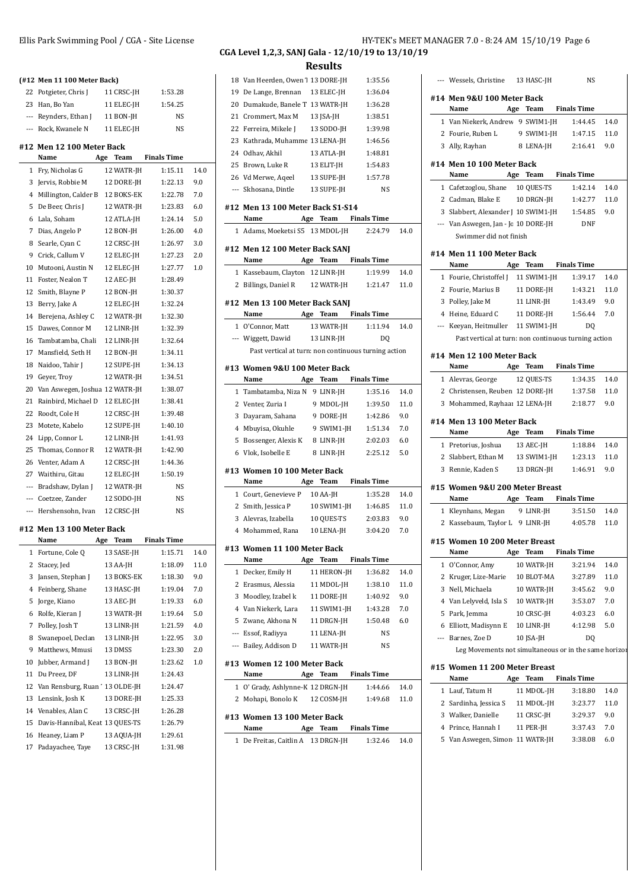|    | (#12 Men 11 100 Meter Back)       |                        |                    |      |
|----|-----------------------------------|------------------------|--------------------|------|
|    | 22 Potgieter, Chris J             | 11 CRSC-JH             | 1:53.28            |      |
|    | 23 Han, Bo Yan                    | 11 ELEC-JH             | 1:54.25            |      |
|    | --- Reynders, Ethan J             | 11 BON-JH              | NS                 |      |
|    | --- Rock, Kwanele N               | 11 ELEC-JH             | NS                 |      |
|    | #12 Men 12 100 Meter Back         |                        |                    |      |
|    | Name<br>Age                       | Team                   | <b>Finals Time</b> |      |
|    | 1 Fry, Nicholas G                 | 12 WATR-JH             | 1:15.11            | 14.0 |
|    | 3 Jervis, Robbie M                | 12 DORE-JH             | 1:22.13            | 9.0  |
|    | 4 Millington, Calder B 12 BOKS-EK |                        | 1:22.78            | 7.0  |
|    | 5 De Beer, Chris J                | 12 WATR-JH             | 1:23.83            | 6.0  |
|    | 6 Lala, Soham                     | 12 ATLA-JH             | 1:24.14            | 5.0  |
|    | 7 Dias, Angelo P                  | 12 BON-JH              | 1:26.00            | 4.0  |
|    | 8 Searle, Cyan C                  | 12 CRSC-JH             | 1:26.97            | 3.0  |
|    | 9 Crick, Callum V                 | 12 ELEC-JH             | 1:27.23            | 2.0  |
|    | 10 Mutooni, Austin N              | 12 ELEC-JH             | 1:27.77            | 1.0  |
|    | 11 Foster, Nealon T               | 12 AEC-JH              | 1:28.49            |      |
|    | 12 Smith, Blayne P                | 12 BON-JH              | 1:30.37            |      |
|    | 13 Berry, Jake A                  | 12 ELEC-JH             | 1:32.24            |      |
|    | 14 Berejena, Ashley C             | 12 WATR-JH             | 1:32.30            |      |
| 15 | Dawes, Connor M                   | 12 LINR-JH             | 1:32.39            |      |
| 16 | Tambatamba, Chali                 | 12 LINR-JH             | 1:32.64            |      |
| 17 | Mansfield, Seth H                 | 12 BON-JH              | 1:34.11            |      |
|    | 18 Naidoo, Tahir J                | 12 SUPE-JH             | 1:34.13            |      |
|    | 19 Geyer, Troy                    | 12 WATR-JH             | 1:34.51            |      |
|    | 20 Van Aswegen, Joshua 12 WATR-JH |                        | 1:38.07            |      |
|    | 21 Rainbird, Michael D            | 12 ELEC-JH             | 1:38.41            |      |
|    | 22 Roodt, Cole H                  | 12 CRSC-JH             | 1:39.48            |      |
|    | 23 Motete, Kabelo                 | 12 SUPE-JH             | 1:40.10            |      |
|    | 24 Lipp, Connor L                 | 12 LINR-JH             | 1:41.93            |      |
|    | 25 Thomas, Connor R               | 12 WATR-JH             | 1:42.90            |      |
|    | 26 Venter, Adam A                 | 12 CRSC-JH             | 1:44.36            |      |
|    | 27 Waithiru, Gitau                | 12 ELEC-JH             | 1:50.19            |      |
|    | --- Bradshaw, Dylan J             | 12 WATR-JH             | NS                 |      |
|    | --- Coetzee, Zander               | 12 SODO-JH             | NS                 |      |
|    | --- Hershensohn, Ivan             | 12 CRSC-JH             | NS                 |      |
|    |                                   |                        |                    |      |
|    | #12 Men 13 100 Meter Back<br>Name | Age Team               | <b>Finals Time</b> |      |
| 1  |                                   |                        | 1:15.71            | 14.0 |
| 2  | Fortune, Cole Q<br>Stacey, Jed    | 13 SASE-JH<br>13 AA-JH | 1:18.09            | 11.0 |
| 3  | Jansen, Stephan J                 | 13 BOKS-EK             |                    |      |
|    |                                   |                        | 1:18.30            | 9.0  |
| 4  | Feinberg, Shane                   | 13 HASC-JH             | 1:19.04            | 7.0  |
| 5  | Jorge, Kiano                      | 13 AEC-JH              | 1:19.33            | 6.0  |
| 6  | Rolfe, Kieran J                   | 13 WATR-JH             | 1:19.64            | 5.0  |
| 7  | Polley, Josh T                    | 13 LINR-JH             | 1:21.59            | 4.0  |
| 8  | Swanepoel, Declan                 | 13 LINR-JH             | 1:22.95            | 3.0  |
| 9  | Matthews, Mmusi                   | 13 DMSS                | 1:23.30            | 2.0  |
| 10 | Jubber, Armand J                  | 13 BON-JH              | 1:23.62            | 1.0  |
| 11 | Du Preez, DF                      | 13 LINR-JH             | 1:24.43            |      |
| 12 | Van Rensburg, Ruan' 13 OLDE-JH    |                        | 1:24.47            |      |

13 Lensink, Josh K 13 DORE-JH 1:25.33 14 Venables, Alan C 13 CRSC-JH 1:26.28 15 Davis-Hannibal, Keat 13 QUES-TS 1:26.79 16 Heaney, Liam P 13 AQUA-JH 1:29.61 17 Padayachee, Taye 13 CRSC-JH 1:31.98

#### **CGA Level 1,2,3, SANJ Gala - 12/10/19 to 13/10/19 Results**

18 Van Heerden, Owen 1 13 DORE-JH 1:35.56 19 De Lange, Brennan 13 ELEC-JH 1:36.04 20 Dumakude, Banele T 13 WATR-JH 1:36.28 21 Crommert, Max M 13 JSA-JH 1:38.51 22 Ferreira Mikele J 13 SODO-JH 1:39.98 23 Kathrada, Muhamme 13 LENA-JH 1:46.56 24 Odhav, Akhil 13 ATLA-JH 1:48.81 25 Brown, Luke R 13 ELIT-JH 1:54.83 26 Vd Merwe, Aqeel 13 SUPE-JH 1:57.78 --- Skhosana, Dintle 13 SUPE-JH NS **#12 Men 13 100 Meter Back S1-S14 Name Age Team Finals Time** 1 Adams, Moeketsi S5 13 MDOL-JH 2:24.79 14.0 **#12 Men 12 100 Meter Back SANJ Name Age Team Finals Time** 1 Kassebaum, Clayton 12 LINR-JH 1:19.99 14.0 2 Billings, Daniel R 12 WATR-JH 1:21.47 11.0 **#12 Men 13 100 Meter Back SANJ Name Age Team Finals Time** 1 O'Connor, Matt 13 WATR-JH 1:11.94 14.0 --- Wiggett, Dawid 13 LINR-JH DQ Past vertical at turn: non continuous turning action **#13 Women 9&U 100 Meter Back Name Age Team Finals Time** 1 Tambatamba, Niza N 9 LINR-JH 1:35.16 14.0 2 Venter, Zuria I 9 MDOL-JH 1:39.50 11.0 3 Dayaram, Sahana 9 DORE-JH 1:42.86 9.0 4 Mbuyisa, Okuhle 9 SWIM1-JH 1:51.34 7.0 5 Bossenger, Alexis K 8 LINR-JH 2:02.03 6.0 6 Vlok, Isobelle E 8 LINR-JH 2:25.12 5.0 **#13 Women 10 100 Meter Back Name Age Team Finals Time** 1 Court, Genevieve P 10 AA-JH 1:35.28 14.0 2 Smith, Jessica P 10 SWIM1-JH 1:46.85 11.0 3 Alevras, Izabella 10 QUES-TS 2:03.83 9.0 4 Mohammed, Rana 10 LENA-JH 3:04.20 7.0 **#13 Women 11 100 Meter Back Name Age Team Finals Time** 1 Decker, Emily H 11 HERON-JH 1:36.82 14.0 2 Erasmus, Alessia 11 MDOL-JH 1:38.10 11.0 3 Moodley, Izabel k 11 DORE-JH 1:40.92 9.0 4 Van Niekerk, Lara 11 SWIM1-JH 1:43.28 7.0 5 Zwane, Akhona N 11 DRGN-JH 1:50.48 6.0 --- Essof, Radiyya 11 LENA-JH NS --- Bailey, Addison D 11 WATR-JH NS **#13 Women 12 100 Meter Back Name Age Team Finals Time** 1 O' Grady, Ashlynne-K 12 DRGN-JH 1:44.66 14.0 2 Mohapi, Bonolo K 12 COSM-JH 1:49.68 11.0 **#13 Women 13 100 Meter Back Name Age Team Finals Time** 1 De Freitas, Caitlin A 13 DRGN-JH 1:32.46 14.0

Ellis Park Swimming Pool / CGA - Site License **HY-TEK's MEET MANAGER 7.0 - 8:24 AM 15/10/19** Page 6

|   | --- Wessels, Christine 13 HASC-JH                     |     |            | NS                   |      |
|---|-------------------------------------------------------|-----|------------|----------------------|------|
|   | #14 Men 9&U 100 Meter Back                            |     |            |                      |      |
|   | Name                                                  |     |            | Age Team Finals Time |      |
|   | 1 Van Niekerk, Andrew 9 SWIM1-JH 1:44.45              |     |            |                      | 14.0 |
|   | 2 Fourie, Ruben L 9 SWIM1-JH 1:47.15                  |     |            |                      | 11.0 |
|   | 3 Ally, Rayhan                                        |     |            | 8 LENA-JH 2:16.41    | 9.0  |
|   | #14 Men 10 100 Meter Back                             |     |            |                      |      |
|   | Name Age Team Finals Time                             |     |            |                      |      |
|   | 1 Cafetzoglou, Shane 10 QUES-TS                       |     |            | 1:42.14              | 14.0 |
|   | 2 Cadman, Blake E 10 DRGN-JH                          |     |            | 1:42.77              | 11.0 |
|   | 3 Slabbert, Alexander J 10 SWIM1-JH 1:54.85           |     |            |                      | 9.0  |
|   | --- Van Aswegen, Jan - Jc 10 DORE-JH                  |     |            | DNF                  |      |
|   | Swimmer did not finish                                |     |            |                      |      |
|   | #14 Men 11 100 Meter Back                             |     |            |                      |      |
|   | Name Age Team Finals Time                             |     |            |                      |      |
|   | 1 Fourie, Christoffel J     11 SWIM1-JH               |     |            | 1:39.17              | 14.0 |
|   | 2 Fourie, Marius B 11 DORE-JH                         |     |            | 1:43.21              | 11.0 |
|   | 3 Polley, Jake M                                      |     | 11 LINR-JH | 1:43.49              | 9.0  |
|   | 4 Heine, Eduard C 11 DORE-JH 1:56.44                  |     |            |                      | 7.0  |
|   | --- Keeyan, Heitmuller 11 SWIM1-JH                    |     |            | DQ                   |      |
|   | Past vertical at turn: non continuous turning action  |     |            |                      |      |
|   | #14 Men 12 100 Meter Back                             |     |            |                      |      |
|   | Age Team Finals Time<br>Name                          |     |            |                      |      |
|   | 1 Alevras, George                                     |     | 12 QUES-TS | 1:34.35              | 14.0 |
|   | 2 Christensen, Reuben 12 DORE-JH                      |     |            | 1:37.58              | 11.0 |
|   | 3 Mohammed, Rayhaar 12 LENA-JH                        |     |            | 2:18.77              | 9.0  |
|   |                                                       |     |            |                      |      |
|   | #14 Men 13 100 Meter Back                             |     |            |                      |      |
|   | Name                                                  |     |            | Age Team Finals Time |      |
|   | 1 Pretorius, Joshua 13 AEC-JH                         |     |            | 1:18.84              | 14.0 |
|   | 2 Slabbert, Ethan M 13 SWIM1-JH 1:23.13               |     |            |                      | 11.0 |
|   | 3 Rennie, Kaden S 13 DRGN-JH 1:46.91                  |     |            |                      | 9.0  |
|   | #15 Women 9&U 200 Meter Breast                        |     |            |                      |      |
|   | Name                                                  |     |            | Age Team Finals Time |      |
|   | 1 Kleynhans, Megan 9 LINR-JH                          |     |            | 3:51.50              | 14.0 |
|   | 2 Kassebaum, Taylor L 9 LINR-JH 4:05.78               |     |            |                      | 11.0 |
|   | #15 Women 10 200 Meter Breast                         |     |            |                      |      |
|   | Name<br>Age                                           |     | Team       | <b>Finals Time</b>   |      |
| 1 | O'Connor, Amy                                         |     | 10 WATR-JH | 3:21.94              | 14.0 |
| 2 | Kruger, Lize-Marie                                    |     | 10 BLOT-MA | 3:27.89              | 11.0 |
| 3 | Nell, Michaela                                        |     | 10 WATR-JH | 3:45.62              | 9.0  |
|   | 4 Van Lelyveld, Isla S                                |     | 10 WATR-JH | 3:53.07              | 7.0  |
| 5 | Park, Jemma                                           |     | 10 CRSC-JH | 4:03.23              | 6.0  |
|   | 6 Elliott, Madisynn E                                 |     | 10 LINR-JH | 4:12.98              | 5.0  |
|   | --- Barnes, Zoe D                                     |     | 10 JSA-JH  | DO                   |      |
|   | Leg Movements not simultaneous or in the same horizor |     |            |                      |      |
|   | #15 Women 11 200 Meter Breast                         |     |            |                      |      |
|   | Name                                                  | Age | Team       | <b>Finals Time</b>   |      |
| 1 | Lauf, Tatum H                                         |     | 11 MDOL-JH | 3:18.80              | 14.0 |
|   | 2 Sardinha, Jessica S                                 |     | 11 MDOL-JH | 3:23.77              | 11.0 |
|   | 3 Walker, Danielle                                    |     | 11 CRSC-JH | 3:29.37              | 9.0  |
| 4 | Prince, Hannah I                                      |     | 11 PER-JH  | 3:37.43              | 7.0  |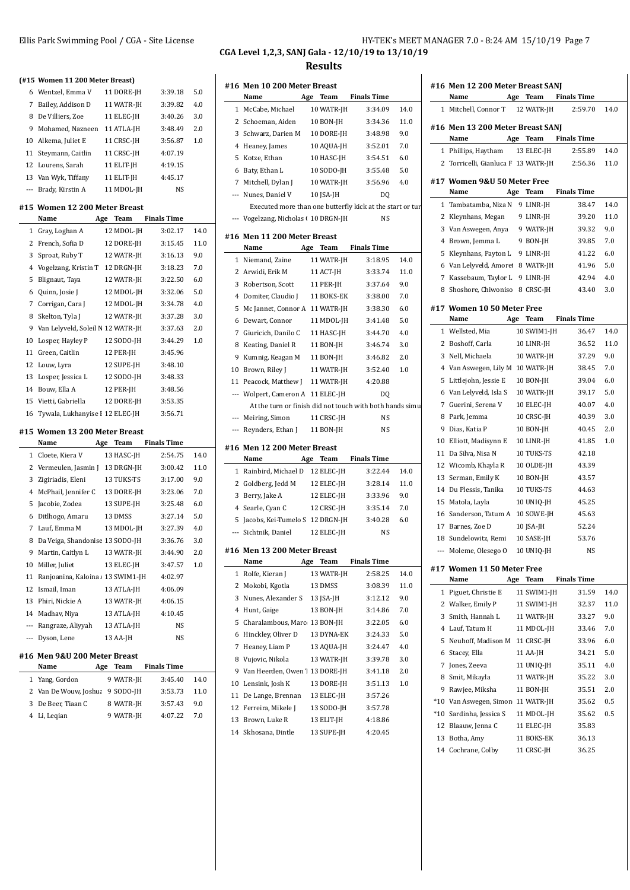#### Ellis Park Swimming Pool / CGA - Site License **HY-TEK's MEET MANAGER 7.0 - 8:24 AM 15/10/19** Page 7 **CGA Level 1,2,3, SANJ Gala - 12/10/19 to 13/10/19 Results**

**(#15 Women 11 200 Meter Breast)** Wentzel, Emma V 11 DORE-JH 3:39.18 5.0 Bailey, Addison D 11 WATR-JH 3:39.82 4.0 De Villiers, Zoe 11 ELEC-JH 3:40.26 3.0 Mohamed, Nazneen 11 ATLA-JH 3:48.49 2.0 Alkema, Juliet E 11 CRSC-JH 3:56.87 1.0 Steymann, Caitlin 11 CRSC-JH 4:07.19 Lourens, Sarah 11 ELIT-JH 4:19.15 Van Wyk, Tiffany 11 ELIT-JH 4:45.17 --- Brady, Kirstin A 11 MDOL-JH NS **#15 Women 12 200 Meter Breast Name Age Team Finals Time** Gray, Loghan A 12 MDOL-JH 3:02.17 14.0 French, Sofia D 12 DORE-JH 3:15.45 11.0 Sproat, Ruby T 12 WATR-JH 3:16.13 9.0 Vogelzang, Kristin T 12 DRGN-JH 3:18.23 7.0 Blignaut, Taya 12 WATR-JH 3:22.50 6.0 Quinn, Josie J 12 MDOL-JH 3:32.06 5.0 Corrigan, Cara J 12 MDOL-JH 3:34.78 4.0 8 Skelton, Tyla J 12 WATR-JH 3:37.28 3.0 Van Lelyveld, Soleil N 12 WATR-JH 3:37.63 2.0 Losper, Hayley P 12 SODO-JH 3:44.29 1.0 Green, Caitlin 12 PER-JH 3:45.96 Louw, Lyra 12 SUPE-JH 3:48.10 Losper, Jessica L 12 SODO-JH 3:48.33 Bouw, Ella A 12 PER-JH 3:48.56 Vietti, Gabriella 12 DORE-JH 3:53.35 16 Tywala, Lukhanyise I 12 ELEC-JH 3:56.71 **#15 Women 13 200 Meter Breast Name Age Team Finals Time** Cloete, Kiera V 13 HASC-JH 2:54.75 14.0 Vermeulen, Jasmin J 13 DRGN-JH 3:00.42 11.0 Zigiriadis, Eleni 13 TUKS-TS 3:17.00 9.0 McPhail, Jennifer C 13 DORE-JH 3:23.06 7.0 Jacobie, Zodea 13 SUPE-JH 3:25.48 6.0 Ditlhogo, Amaru 13 DMSS 3:27.14 5.0 Lauf, Emma M 13 MDOL-JH 3:27.39 4.0 Da Veiga, Shandonise 13 SODO-JH 3:36.76 3.0 Martin, Caitlyn L 13 WATR-JH 3:44.90 2.0 Miller, Juliet 13 ELEC-JH 3:47.57 1.0 11 Ranjoanina, Kaloina A 13 SWIM1-JH 4:02.97 Ismail, Iman 13 ATLA-JH 4:06.09 Phiri, Nickie A 13 WATR-JH 4:06.15 Madhav, Niya 13 ATLA-JH 4:10.45 --- Rangraze, Aliyyah 13 ATLA-JH NS --- Dyson, Lene 13 AA-JH NS **#16 Men 9&U 200 Meter Breast Name Age Team Finals Time** Yang, Gordon 9 WATR-JH 3:45.40 14.0 2 Van De Wouw, Joshua 9 SODO-JH 3:53.73 11.0 De Beer, Tiaan C 8 WATR-JH 3:57.43 9.0 Li, Leqian 9 WATR-JH 4:07.22 7.0

|          | #16 Men 10 200 Meter Breast                               |     |                          |                    |             |       | #16 Men 12 20                     |
|----------|-----------------------------------------------------------|-----|--------------------------|--------------------|-------------|-------|-----------------------------------|
|          | Name                                                      |     | Age Team                 | <b>Finals Time</b> |             |       | Name                              |
|          | 1 McCabe, Michael                                         |     | 10 WATR-JH               | 3:34.09            | 14.0        |       | 1 Mitchell, Cor                   |
|          | 2 Schoeman, Aiden                                         |     | 10 BON-JH                | 3:34.36            | 11.0        |       |                                   |
|          | 3 Schwarz, Darien M                                       |     | 10 DORE-JH               | 3:48.98            | 9.0         |       | #16 Men 13 20                     |
|          | 4 Heaney, James                                           |     | 10 AQUA-JH               | 3:52.01            | 7.0         |       | Name                              |
|          | 5 Kotze, Ethan                                            |     | 10 HASC-JH               | 3:54.51            | 6.0         |       | 1 Phillips, Hay                   |
|          | 6 Baty, Ethan L                                           |     | 10 SODO-JH               | 3:55.48            | 5.0         |       | 2 Torricelli, Gi                  |
|          | 7 Mitchell, Dylan J                                       |     | 10 WATR-JH               | 3:56.96            | 4.0         |       | #17 Women 98                      |
|          | --- Nunes, Daniel V                                       |     | 10 JSA-JH                | DQ                 |             |       | Name                              |
|          | Executed more than one butterfly kick at the start or tur |     |                          |                    |             |       | 1 Tambatamb                       |
|          | --- Vogelzang, Nicholas (10 DRGN-JH                       |     |                          | NS                 |             |       | 2 Kleynhans, I                    |
|          | #16 Men 11 200 Meter Breast                               |     |                          |                    |             |       | 3 Van Aswege                      |
|          | Name                                                      |     | Age Team                 | <b>Finals Time</b> |             |       | 4 Brown, Jemi                     |
|          | 1 Niemand, Zaine                                          |     | 11 WATR-JH               | 3:18.95            | 14.0        |       | 5 Kleynhans, I                    |
|          | 2 Arwidi, Erik M                                          |     | 11 ACT-JH                | 3:33.74            | 11.0        |       | 6 Van Lelyvelo                    |
|          | 3 Robertson, Scott                                        |     | 11 PER-JH                | 3:37.64            | 9.0         |       | 7 Kassebaum,                      |
|          | 4 Domiter, Claudio J                                      |     | 11 BOKS-EK               | 3:38.00            | 7.0         |       | 8 Shoshore, Cl                    |
|          | 5 Mc Jannet, Connor A 11 WATR-JH                          |     |                          | 3:38.30            | 6.0         |       | #17 Women 10                      |
|          | 6 Dewart, Connor                                          |     | 11 MDOL-JH               | 3:41.48            | 5.0         |       | Name                              |
|          | 7 Giuricich, Danilo C                                     |     | 11 HASC-JH               | 3:44.70            | 4.0         |       | 1 Wellsted, Mi                    |
|          | 8 Keating, Daniel R                                       |     | 11 BON-JH                | 3:46.74            | 3.0         |       | 2 Boshoff, Car                    |
|          | 9 Kumnig, Keagan M                                        |     | 11 BON-JH                | 3:46.82            | 2.0         |       | 3 Nell, Michae                    |
|          | 10 Brown, Riley J                                         |     | 11 WATR-JH               | 3:52.40            | 1.0         |       | 4 Van Aswege                      |
|          | 11 Peacock, Matthew J                                     |     | 11 WATR-JH               | 4:20.88            |             |       | 5 Littlejohn, Je                  |
|          | --- Wolpert, Cameron A 11 ELEC-JH                         |     |                          | DQ                 |             |       | 6 Van Lelyvelo                    |
|          | At the turn or finish did not touch with both hands simu  |     |                          |                    |             |       | 7 Guerini, Ser                    |
|          | --- Meiring, Simon                                        |     | 11 CRSC-JH               | NS                 |             |       | 8 Park, Jemma                     |
|          | --- Reynders, Ethan J                                     |     | 11 BON-JH                | NS                 |             |       | 9 Dias, Katia F                   |
|          | #16 Men 12 200 Meter Breast                               |     |                          |                    |             |       | 10 Elliott, Madi                  |
|          | Name                                                      | Age | Team                     | <b>Finals Time</b> |             |       | 11 Da Silva, Nis                  |
|          | 1 Rainbird, Michael D 12 ELEC-JH                          |     |                          | 3:22.44            | 14.0        |       | 12 Wicomb, Kh                     |
|          | 2 Goldberg, Jedd M                                        |     | 12 ELEC-JH               | 3:28.14            | 11.0        |       | 13 Serman, Em                     |
|          | 3 Berry, Jake A                                           |     | 12 ELEC-JH               | 3:33.96            | 9.0         |       | 14 Du Plessis, T                  |
|          | 4 Searle, Cyan C                                          |     | 12 CRSC-JH               | 3:35.14            | 7.0         |       | 15 Matola, Layl                   |
|          | 5 Jacobs, Kei-Tumelo S 12 DRGN-JH                         |     |                          | 3:40.28            | 6.0         |       | 16 Sanderson,                     |
|          | --- Sichtnik, Daniel                                      |     | 12 ELEC-JH               | NS                 |             |       | 17 Barnes, Zoe                    |
|          |                                                           |     |                          |                    |             |       | 18 Sundelowitz<br>--- Moleme, Ole |
|          |                                                           |     |                          |                    |             |       |                                   |
|          | #16 Men 13 200 Meter Breast                               |     |                          |                    |             |       |                                   |
|          | Name                                                      |     | Age Team                 | <b>Finals Time</b> |             |       | #17 Women 11                      |
|          | 1 Rolfe, Kieran J                                         |     | 13 WATR-JH               | 2:58.25            | 14.0        |       | Name                              |
|          | 2 Mokobi, Kgotla<br>3 Nunes, Alexander S                  |     | 13 DMSS<br>13 JSA-JH     | 3:08.39<br>3:12.12 | 11.0<br>9.0 |       | 1 Piguet, Chris                   |
|          | 4 Hunt, Gaige                                             |     | 13 BON-JH                | 3:14.86            | 7.0         |       | 2 Walker, Emi                     |
|          | 5 Charalambous, Marc 13 BON-JH                            |     |                          | 3:22.05            | 6.0         | 3     | Smith, Hann                       |
|          | 6 Hinckley, Oliver D                                      |     | 13 DYNA-EK               | 3:24.33            | 5.0         |       | 4 Lauf, Tatum                     |
|          | 7 Heaney, Liam P                                          |     | 13 AQUA-JH               | 3:24.47            | 4.0         | 5     | Neuhoff, Ma                       |
|          | 8 Vujovic, Nikola                                         |     | 13 WATR-JH               | 3:39.78            | 3.0         | 6     | Stacey, Ella                      |
|          | 9 Van Heerden, Owen 1 13 DORE-JH                          |     |                          | 3:41.18            | 2.0         | 7     | Jones, Zeeva                      |
|          | 10 Lensink, Josh K                                        |     | 13 DORE-JH               | 3:51.13            | 1.0         | 8     | Smit, Mikayl                      |
|          | 11 De Lange, Brennan                                      |     | 13 ELEC-JH               | 3:57.26            |             | 9     | Rawjee, Mik                       |
|          | 12 Ferreira, Mikele J                                     |     | 13 SODO-JH               | 3:57.78            |             | $*10$ | Van Aswege                        |
| 13<br>14 | Brown, Luke R<br>Skhosana, Dintle                         |     | 13 ELIT-JH<br>13 SUPE-JH | 4:18.86<br>4:20.45 |             | $*10$ | Sardinha, Je:<br>12 Blaauw, Jenr  |

|                | #16 Men 12 200 Meter Breast SANJ<br>Name |     | Age Team    | <b>Finals Time</b> |      |
|----------------|------------------------------------------|-----|-------------|--------------------|------|
| 1              | Mitchell, Connor T                       |     |             | 2:59.70            |      |
|                |                                          |     | 12 WATR-JH  |                    | 14.0 |
|                | #16 Men 13 200 Meter Breast SANJ<br>Name | Age | Team        | <b>Finals Time</b> |      |
|                | 1 Phillips, Haytham                      |     | 13 ELEC-JH  | 2:55.89            | 14.0 |
| $\mathbf{2}$   | Torricelli, Gianluca F 13 WATR-JH        |     |             | 2:56.36            | 11.0 |
|                | #17 Women 9&U 50 Meter Free<br>Name      | Age | Team        | <b>Finals Time</b> |      |
| 1              | Tambatamba, Niza N                       |     | 9 LINR-JH   | 38.47              | 14.0 |
| 2              | Kleynhans, Megan                         |     | 9 LINR-JH   | 39.20              | 11.0 |
| 3              | Van Aswegen, Anya                        |     | 9 WATR-JH   | 39.32              | 9.0  |
| 4              | Brown, Jemma L                           |     | 9 BON-JH    | 39.85              | 7.0  |
| 5              | Kleynhans, Payton L 9 LINR-JH            |     |             | 41.22              | 6.0  |
| 6              | Van Lelyveld, Amoret 8 WATR-JH           |     |             | 41.96              | 5.0  |
| 7              | Kassebaum, Taylor L                      |     | 9 LINR-JH   | 42.94              | 4.0  |
| 8              | Shoshore, Chiwoniso                      |     | 8 CRSC-JH   | 43.40              | 3.0  |
|                |                                          |     |             |                    |      |
|                | #17 Women 10 50 Meter Free<br>Name       |     | Age Team    | <b>Finals Time</b> |      |
|                | 1 Wellsted, Mia                          |     | 10 SWIM1-JH | 36.47              | 14.0 |
| 2              | Boshoff, Carla                           |     | 10 LINR-JH  | 36.52              | 11.0 |
| 3              | Nell, Michaela                           |     | 10 WATR-JH  | 37.29              | 9.0  |
|                |                                          |     |             |                    | 7.0  |
|                | 4 Van Aswegen, Lily M                    |     | 10 WATR-JH  | 38.45              |      |
| 5              | Littlejohn, Jessie E                     |     | 10 BON-JH   | 39.04              | 6.0  |
| 6              | Van Lelyveld, Isla S                     |     | 10 WATR-JH  | 39.17              | 5.0  |
| 7              | Guerini, Serena V                        |     | 10 ELEC-JH  | 40.07              | 4.0  |
| 8<br>9         | Park, Jemma                              |     | 10 CRSC-JH  | 40.39              | 3.0  |
|                | Dias, Katia P                            |     | 10 BON-JH   | 40.45              | 2.0  |
| 10             | Elliott, Madisynn E                      |     | 10 LINR-JH  | 41.85              | 1.0  |
| 11             | Da Silva, Nisa N                         |     | 10 TUKS-TS  | 42.18              |      |
| 12             | Wicomb, Khayla R                         |     | 10 OLDE-JH  | 43.39              |      |
| 13             | Serman, Emily K                          |     | 10 BON-JH   | 43.57              |      |
| 14             | Du Plessis, Tanika                       |     | 10 TUKS-TS  | 44.63              |      |
| 15             | Matola, Layla                            |     | 10 UNIO-JH  | 45.25              |      |
| 16             | Sanderson, Tatum A                       |     | 10 SOWE-JH  | 45.63              |      |
| 17             | Barnes, Zoe D                            |     | 10 JSA-JH   | 52.24              |      |
| 18             | Sundelowitz, Remi                        |     | 10 SASE-JH  | 53.76              |      |
| $---$          | Moleme, Olesego O                        |     | 10 UNIQ-JH  | NS                 |      |
|                | #17 Women 11 50 Meter Free<br>Name       | Age | Team        | <b>Finals Time</b> |      |
| 1              | Piguet, Christie E                       |     | 11 SWIM1-JH | 31.59              | 14.0 |
|                | 2 Walker, Emily P                        |     | 11 SWIM1-JH | 32.37              | 11.0 |
| 3              | Smith, Hannah L                          |     | 11 WATR-JH  | 33.27              | 9.0  |
| $\overline{4}$ | Lauf, Tatum H                            |     | 11 MDOL-JH  | 33.46              | 7.0  |
| 5              | Neuhoff, Madison M                       |     | 11 CRSC-JH  | 33.96              | 6.0  |
| 6              | Stacey, Ella                             |     | 11 AA-JH    | 34.21              | 5.0  |
| 7              | Jones, Zeeva                             |     | 11 UNIO-JH  | 35.11              | 4.0  |
| 8              | Smit, Mikayla                            |     | 11 WATR-JH  | 35.22              | 3.0  |
| 9              | Rawjee, Miksha                           |     | 11 BON-JH   | 35.51              | 2.0  |
| $*10$          | Van Aswegen, Simon 11 WATR-JH            |     |             | 35.62              | 0.5  |
| $*10$          | Sardinha, Jessica S                      |     | 11 MDOL-JH  | 35.62              | 0.5  |
| 12             | Blaauw, Jenna C                          |     | 11 ELEC-JH  | 35.83              |      |
| 13             | Botha, Amy                               |     | 11 BOKS-EK  | 36.13              |      |
| 14             | Cochrane, Colby                          |     | 11 CRSC-JH  | 36.25              |      |
|                |                                          |     |             |                    |      |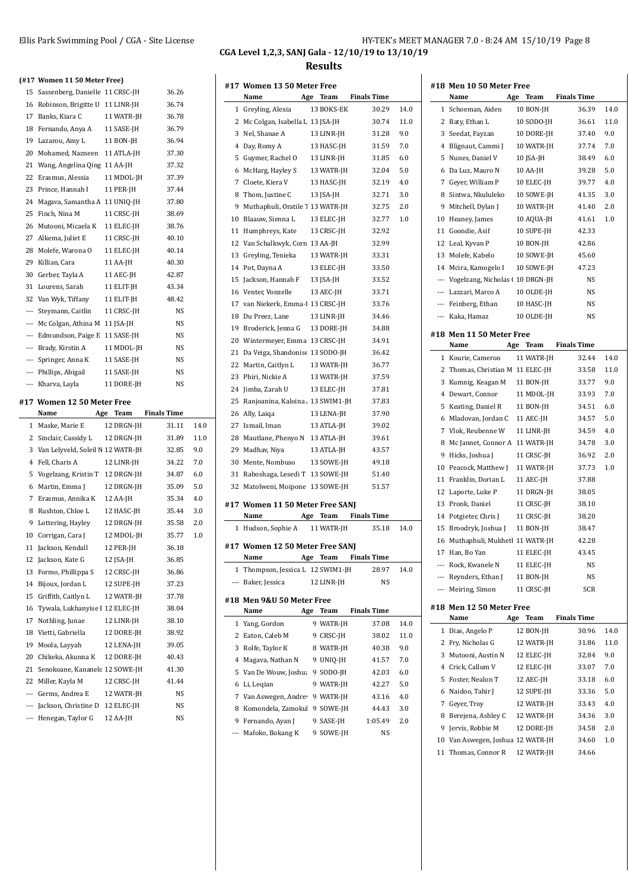#### Ellis Park Swimming Pool / CGA - Site License **HY-TEK's MEET MANAGER 7.0 - 8:24 AM 15/10/19** Page 8 **CGA Level 1,2,3, SANJ Gala - 12/10/19 to 13/10/19 Results**

**(#17 Women 11 50 Meter Free)** Sassenberg, Danielle 11 CRSC-JH 36.26 Robinson, Brigitte U 11 LINR-JH 36.74 Banks, Kiara C 11 WATR-JH 36.78 Fernando, Anya A 11 SASE-JH 36.79 Lazarou, Amy L 11 BON-JH 36.94 Mohamed, Nazneen 11 ATLA-JH 37.30 Wang, Angelina Qing 11 AA-JH 37.32 Erasmus, Alessia 11 MDOL-JH 37.39 23 Prince, Hannah I 11 PER-JH 37.44 Magava, Samantha A 11 UNIQ-JH 37.80 Finch, Nina M 11 CRSC-JH 38.69 Mutooni, Micaela K 11 ELEC-JH 38.76 27 Alkema, Juliet E 11 CRSC-JH 40.10 28 Molefe, Warona O 11 ELEC-JH 40.14 29 Killian, Cara 11 AA-JH 40.30 Gerber, Tayla A 11 AEC-JH 42.87 31 Lourens, Sarah 11 ELIT-JH 43.34 32 Van Wyk, Tiffany 11 ELIT-JH 48.42 --- Steymann, Caitlin 11 CRSC-JH NS --- Mc Colgan, Athina M 11 JSA-JH NS --- Edmundson, Paige E 11 SASE-JH NS --- Brady, Kirstin A 11 MDOL-JH NS --- Springer, Anna K 11 SASE-JH NS --- Phillips, Abigail 11 SASE-JH NS --- Kharva, Layla 11 DORE-JH NS **#17 Women 12 50 Meter Free Name Age Team Finals Time** Maske, Marie E 12 DRGN-JH 31.11 14.0 Sinclair, Cassidy L 12 DRGN-JH 31.89 11.0 Van Lelyveld, Soleil N 12 WATR-JH 32.85 9.0 Fell, Charis A 12 LINR-JH 34.22 7.0 Vogelzang, Kristin T 12 DRGN-JH 34.87 6.0 6 Martin, Emma J 12 DRGN-JH 35.09 5.0 Erasmus, Annika K 12 AA-JH 35.34 4.0 8 Rushton, Chloe L 12 HASC-JH 35.44 3.0 Lottering, Hayley 12 DRGN-JH 35.58 2.0 10 Corrigan, Cara J 12 MDOL-JH 35.77 1.0 Jackson, Kendall 12 PER-JH 36.18 Jackson, Kate G 12 JSA-JH 36.85 Formo, Phillippa S 12 CRSC-JH 36.86 14 Bijoux, Jordan L 12 SUPE-JH 37.23 Griffith, Caitlyn L 12 WATR-JH 37.78 16 Tywala, Lukhanyise I 12 ELEC-JH 38.04 Nothling, Junae 12 LINR-JH 38.10 Vietti, Gabriella 12 DORE-JH 38.92 Moola, Layyah 12 LENA-JH 39.05 20 Chikeka, Akunna K 12 DORE-JH 40.43 21 Senokoane, Kananelc 12 SOWE-JH 41.30 22 Miller, Kayla M 12 CRSC-JH 41.44 --- Germs, Andrea E 12 WATR-JH NS --- Jackson, Christine D 12 ELEC-JH NS --- Henegan, Taylor G 12 AA-JH NS

|     | Name                                    | Age | Team       | <b>Finals Time</b>   |         |
|-----|-----------------------------------------|-----|------------|----------------------|---------|
|     | 1 Greyling, Alexia                      |     | 13 BOKS-EK | 30.29                | 14.0    |
|     | 2 Mc Colgan, Isabella L 13 JSA-JH       |     |            | 30.74                | 11.0    |
|     | 3 Nel, Shanae A                         |     | 13 LINR-JH | 31.28                | 9.0     |
|     | 4 Day, Romy A                           |     | 13 HASC-JH | 31.59                | 7.0     |
|     | 5 Guymer, Rachel O 13 LINR-JH           |     |            | 31.85                | 6.0     |
|     | 6 McHarg, Hayley S                      |     | 13 WATR-JH | 32.04                | 5.0     |
|     | 7 Cloete, Kiera V                       |     | 13 HASC-JH | 32.19                | 4.0     |
|     | 8 Thom, Justine C                       |     | 13 JSA-JH  | 32.71                | 3.0     |
| 9   | Muthaphuli, Oratile 1 13 WATR-JH        |     |            | 32.75                | 2.0     |
|     | 10 Blaauw, Sienna L                     |     | 13 ELEC-JH | 32.77                | $1.0\,$ |
|     | 11 Humphreys, Kate 13 CRSC-JH           |     |            | 32.92                |         |
|     | 12 Van Schalkwyk, Corn 13 AA-JH         |     |            | 32.99                |         |
|     | 13 Greyling, Tenieka                    |     | 13 WATR-JH | 33.31                |         |
|     | 14 Pot, Dayna A                         |     | 13 ELEC-JH | 33.50                |         |
|     | 15 Jackson, Hannah F 13 JSA-JH          |     |            | 33.52                |         |
|     | 16 Venter, Vonzelle                     |     | 13 AEC-JH  | 33.71                |         |
|     | 17 van Niekerk, Emma-I 13 CRSC-JH       |     |            | 33.76                |         |
|     | 18 Du Preez, Lane                       |     | 13 LINR-JH | 34.46                |         |
|     | 19 Broderick, Jenna G 13 DORE-JH        |     |            | 34.88                |         |
|     |                                         |     |            |                      |         |
|     | 20 Wintermeyer, Emma 13 CRSC-JH         |     |            | 34.91                |         |
|     | 21 Da Veiga, Shandonise 13 SODO-JH      |     |            | 36.42                |         |
|     | 22 Martin, Caitlyn L 13 WATR-JH         |     |            | 36.77                |         |
|     | 23 Phiri, Nickie A                      |     | 13 WATR-JH | 37.59                |         |
|     | 24 Jimba, Zarah U                       |     | 13 ELEC-JH | 37.81                |         |
|     | 25 Ranjoanina, Kaloina . 13 SWIM1-JH    |     |            | 37.83                |         |
|     | 26 Ally, Laiga                          |     | 13 LENA-JH | 37.90                |         |
|     | 27 Ismail, Iman                         |     | 13 ATLA-JH | 39.02                |         |
|     | 28 Mautlane, Phenyo N 13 ATLA-JH        |     |            | 39.61                |         |
|     | 29 Madhav, Niya                         |     | 13 ATLA-JH | 43.57                |         |
|     | 30 Mente, Nombuso 13 SOWE-JH            |     |            | 49.18                |         |
|     | 31 Raboshaga, Lesedi T 13 SOWE-JH       |     |            | 51.40                |         |
|     | 32 Matolweni, Moipone 13 SOWE-JH        |     |            | 51.57                |         |
|     | #17 Women 11 50 Meter Free SANJ         |     |            |                      |         |
|     | Name Age Team Finals Time               |     |            |                      |         |
|     | 1 Hudson, Sophie A 11 WATR-JH           |     |            | 35.18                | 14.0    |
|     |                                         |     |            |                      |         |
|     | #17 Women 12 50 Meter Free SANJ<br>Name |     |            | Age Team Finals Time |         |
|     | 1 Thompson, Jessica L 12 SWIM1-JH       |     |            | 28.97                |         |
|     |                                         |     | 12 LINR-JH | NS                   | 14.0    |
| --- | Baker, Jessica                          |     |            |                      |         |
|     | #18 Men 9&U 50 Meter Free               |     |            |                      |         |
|     | Name                                    |     | Age Team   | <b>Finals Time</b>   |         |
|     | 1 Yang, Gordon                          |     | 9 WATR-JH  | 37.08                | 14.0    |
|     | 2 Eaton, Caleb M                        |     | 9 CRSC-JH  | 38.02                | 11.0    |
|     | 3 Rolfe, Taylor K                       |     | 8 WATR-JH  | 40.38                | 9.0     |
|     | 4 Magava, Nathan N                      |     | 9 UNIQ-JH  | 41.57                | 7.0     |
|     | 5 Van De Wouw, Joshua 9 SODO-JH         |     |            | 42.03                | 6.0     |
| 6   | Li, Leqian                              |     | 9 WATR-JH  | 42.27                | 5.0     |
|     | 7 Van Aswegen, Andrey 9 WATR-JH         |     |            | 43.16                | 4.0     |
|     | 8 Komondela, Zamokul 9 SOWE-JH          |     |            | 44.43                | 3.0     |
|     | 9 Fernando, Ayan J                      |     | 9 SASE-JH  | 1:05.49              | 2.0     |
|     | --- Mafoko, Bokang K                    |     | 9 SOWE-JH  | NS                   |         |
|     |                                         |     |            |                      |         |

**#17 Women 13 50 Meter Free**

|                          | #18 Men 10 50 Meter Free            |     |            |                    |      |
|--------------------------|-------------------------------------|-----|------------|--------------------|------|
|                          | Name                                | Age | Team       | <b>Finals Time</b> |      |
|                          | 1 Schoeman, Aiden                   |     | 10 BON-JH  | 36.39              | 14.0 |
| 2                        | Baty, Ethan L                       |     | 10 SODO-JH | 36.61              | 11.0 |
| 3                        | Seedat, Fayzan                      |     | 10 DORE-JH | 37.40              | 9.0  |
| $\overline{4}$           | Blignaut, Cammi J                   |     | 10 WATR-JH | 37.74              | 7.0  |
| 5                        | Nunes, Daniel V                     |     | 10 JSA-JH  | 38.49              | 6.0  |
| 6                        | Da Luz, Mauro N                     |     | 10 AA-JH   | 39.28              | 5.0  |
| 7                        | Geyer, William P                    |     | 10 ELEC-JH | 39.77              | 4.0  |
| 8                        | Sintwa, Nkululeko                   |     | 10 SOWE-JH | 41.35              | 3.0  |
| 9                        | Mitchell, Dylan J                   |     | 10 WATR-JH | 41.40              | 2.0  |
| 10                       | Heaney, James                       |     | 10 AQUA-JH | 41.61              | 1.0  |
| 11                       | Goondie, Asif                       |     | 10 SUPE-IH | 42.33              |      |
| 12                       | Leal, Kyvan P                       |     | 10 BON-JH  | 42.86              |      |
| 13                       | Molefe, Kabelo                      |     | 10 SOWE-JH | 45.60              |      |
| 14                       | Mcira, Kamogelo I                   |     | 10 SOWE-JH | 47.23              |      |
|                          | --- Vogelzang, Nicholas (10 DRGN-JH |     |            | NS                 |      |
| $\overline{a}$           | Lazzari, Marco A                    |     | 10 OLDE-JH | NS                 |      |
|                          | --- Feinberg, Ethan                 |     | 10 HASC-JH | NS                 |      |
|                          | --- Kaka, Hamaz                     |     | 10 OLDE-JH | NS                 |      |
|                          |                                     |     |            |                    |      |
|                          | #18 Men 11 50 Meter Free            |     |            |                    |      |
|                          | Name                                | Age | Team       | <b>Finals Time</b> |      |
| 1                        | Kourie, Cameron                     |     | 11 WATR-JH | 32.44              | 14.0 |
| 2                        | Thomas, Christian M 11 ELEC-JH      |     |            | 33.58              | 11.0 |
| 3                        | Kumnig, Keagan M                    |     | 11 BON-JH  | 33.77              | 9.0  |
| 4                        | Dewart, Connor                      |     | 11 MDOL-JH | 33.93              | 7.0  |
| 5                        | Keating, Daniel R                   |     | 11 BON-JH  | 34.51              | 6.0  |
| 6                        | Mladovan, Jordan C                  |     | 11 AEC-JH  | 34.57              | 5.0  |
| 7                        | Vlok, Reubenne W                    |     | 11 LINR-JH | 34.59              | 4.0  |
| 8                        | Mc Jannet, Connor A                 |     | 11 WATR-JH | 34.78              | 3.0  |
| 9                        | Hicks, Joshua J                     |     | 11 CRSC-JH | 36.92              | 2.0  |
| 10                       | Peacock, Matthew J                  |     | 11 WATR-JH | 37.73              | 1.0  |
| 11                       | Franklin, Dorian L                  |     | 11 AEC-JH  | 37.88              |      |
| 12                       | Laporte, Luke P                     |     | 11 DRGN-JH | 38.05              |      |
| 13                       | Pronk, Daniel                       |     | 11 CRSC-JH | 38.10              |      |
|                          | 14 Potgieter, Chris J               |     | 11 CRSC-JH | 38.20              |      |
| 15                       | Broodryk, Joshua J                  |     | 11 BON-JH  | 38.47              |      |
| 16                       | Muthaphuli, Mukhetl 11 WATR-JH      |     |            | 42.28              |      |
| 17                       | Han, Bo Yan                         |     | 11 ELEC-JH | 43.45              |      |
| $\overline{\phantom{a}}$ | Rock, Kwanele N                     |     | 11 ELEC-JH | NS                 |      |
|                          | Reynders, Ethan J                   |     | 11 BON-JH  | NS                 |      |
|                          | --- Meiring, Simon                  |     | 11 CRSC-JH | SCR                |      |
|                          | #18 Men 12 50 Meter Free            |     |            |                    |      |
|                          | Name                                | Age | Team       | <b>Finals Time</b> |      |
| 1                        | Dias, Angelo P                      |     | 12 BON-JH  | 30.96              | 14.0 |
| 2                        | Fry, Nicholas G                     |     | 12 WATR-JH | 31.86              | 11.0 |
| 3                        | Mutooni, Austin N                   |     | 12 ELEC-JH | 32.84              | 9.0  |
| 4                        | Crick, Callum V                     |     | 12 ELEC-JH | 33.07              | 7.0  |
| 5                        | Foster, Nealon T                    |     | 12 AEC-JH  | 33.18              | 6.0  |
| 6                        | Naidoo, Tahir J                     |     | 12 SUPE-JH | 33.36              | 5.0  |
| 7                        | Geyer, Troy                         |     | 12 WATR-JH | 33.43              | 4.0  |
| 8                        | Berejena, Ashley C                  |     | 12 WATR-JH | 34.36              | 3.0  |
| 9                        | Jervis, Robbie M                    |     | 12 DORE-JH |                    | 2.0  |
|                          |                                     |     |            | 34.58              |      |

10 Van Aswegen, Joshua 12 WATR-JH 34.60 1.0 Thomas, Connor R 12 WATR-JH 34.66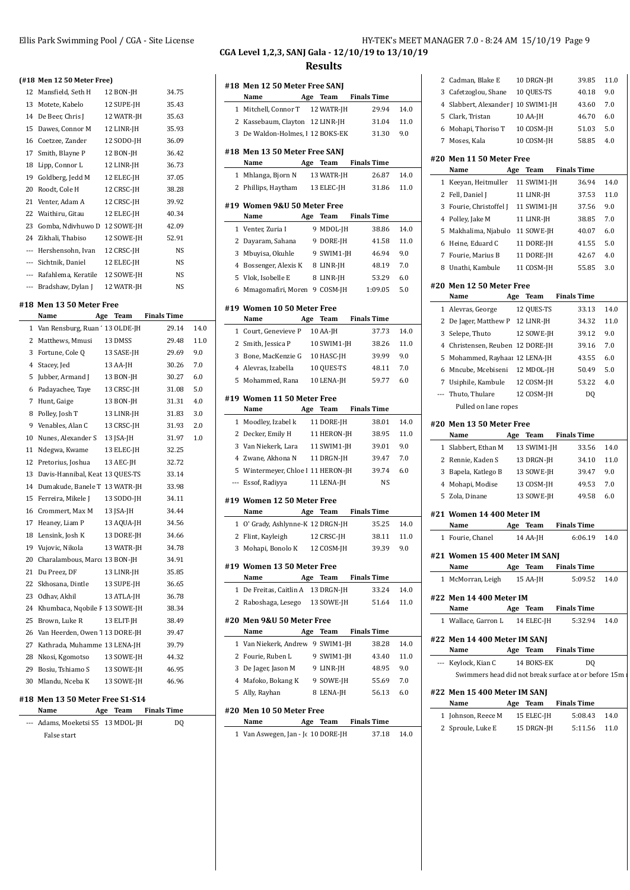12 Mansfield, Seth H 12 BON-JH 34.75 13 Motete, Kabelo 12 SUPE-JH 35.43 14 De Beer, Chris J 12 WATR-JH 35.63 15 Dawes, Connor M 12 LINR-JH 35.93 16 Coetzee, Zander 12 SODO-JH 36.09 17 Smith, Blayne P 12 BON-JH 36.42 18 Lipp, Connor L 12 LINR-JH 36.73 19 Goldberg, Jedd M 12 ELEC-JH 37.05 20 Roodt, Cole H 12 CRSC-JH 38.28 21 Venter, Adam A 12 CRSC-JH 39.92 22 Waithiru, Gitau 12 ELEC-JH 40.34 23 Gomba, Ndivhuwo D 12 SOWE-JH 42.09 24 Zikhali, Thabiso 12 SOWE-JH 52.91 --- Hershensohn, Ivan 12 CRSC-JH NS --- Sichtnik, Daniel 12 ELEC-JH NS --- Rafahlema, Keratile 12 SOWE-JH NS --- Bradshaw, Dylan J 12 WATR-JH NS

**(#18 Men 12 50 Meter Free)**

**#18 Men 13 50 Meter Free**

**Name Age Team Finals Time** 1 Van Rensburg, Ruan ' 13 OLDE-JH 29.14 14.0 Matthews, Mmusi 13 DMSS 29.48 11.0 Fortune, Cole Q 13 SASE-JH 29.69 9.0 Stacey, Jed 13 AA-JH 30.26 7.0 5 Jubber, Armand J 13 BON-JH 30.27 6.0 Padayachee, Taye 13 CRSC-JH 31.08 5.0 Hunt, Gaige 13 BON-JH 31.31 4.0 8 Polley, Josh T 13 LINR-JH 31.83 3.0 Venables, Alan C 13 CRSC-JH 31.93 2.0 Nunes, Alexander S 13 JSA-JH 31.97 1.0 Ndegwa, Kwame 13 ELEC-JH 32.25 Pretorius, Joshua 13 AEC-JH 32.72 13 Davis-Hannibal, Keat 13 QUES-TS 33.14 Dumakude, Banele T 13 WATR-JH 33.98 15 Ferreira, Mikele J 13 SODO-JH 34.11 Crommert, Max M 13 JSA-JH 34.44 17 Heaney, Liam P 13 AQUA-JH 34.56 Lensink, Josh K 13 DORE-JH 34.66 Vujovic, Nikola 13 WATR-JH 34.78 20 Charalambous, Marco 13 BON-JH 34.91 Du Preez, DF 13 LINR-JH 35.85 Skhosana, Dintle 13 SUPE-JH 36.65 Odhav, Akhil 13 ATLA-JH 36.78 24 Khumbaca, Nqobile F 13 SOWE-JH 38.34 25 Brown, Luke R 13 ELIT-JH 38.49

#### Ellis Park Swimming Pool / CGA - Site License **HY-TEK's MEET MANAGER 7.0 - 8:24 AM 15/10/19** Page 9 **CGA Level 1,2,3, SANJ Gala - 12/10/19 to 13/10/19**

**Results**

| Name<br>1 Mitchell, Connor T                                  | Age<br>Team | 12 WATR-JH  | 29.94                         | 14.0        |
|---------------------------------------------------------------|-------------|-------------|-------------------------------|-------------|
| 2 Kassebaum, Clayton 12 LINR-JH                               |             |             | 31.04                         | 11.0        |
| 3 De Waldon-Holmes, 1 12 BOKS-EK                              |             |             | 31.30                         | 9.0         |
|                                                               |             |             |                               |             |
| #18 Men 13 50 Meter Free SANJ<br>Name                         |             | Age Team    | <b>Finals Time</b>            |             |
| 1 Mhlanga, Bjorn N                                            |             | 13 WATR-JH  | 26.87                         | 14.0        |
| 2 Phillips, Haytham                                           |             | 13 ELEC-JH  | 31.86                         | 11.0        |
|                                                               |             |             |                               |             |
| #19 Women 9&U 50 Meter Free<br>Name                           | Age         | Team        | <b>Finals Time</b>            |             |
| 1 Venter, Zuria I                                             |             | 9 MDOL-JH   | 38.86                         | 14.0        |
| 2 Dayaram, Sahana                                             |             | 9 DORE-JH   | 41.58                         | 11.0        |
| 3 Mbuyisa, Okuhle                                             |             | 9 SWIM1-JH  | 46.94                         | 9.0         |
| 4 Bossenger, Alexis K                                         |             | 8 LINR-JH   | 48.19                         | 7.0         |
| 5 Vlok, Isobelle E                                            |             | 8 LINR-JH   | 53.29                         | 6.0         |
| 6 Mmagomafiri, Moren 9 COSM-JH                                |             |             | 1:09.05                       | 5.0         |
| #19 Women 10 50 Meter Free                                    |             |             |                               |             |
| Name                                                          | Age         | Team        | <b>Finals Time</b>            |             |
| 1 Court, Genevieve P                                          |             | 10 AA-JH    | 37.73                         | 14.0        |
| 2 Smith, Jessica P                                            |             | 10 SWIM1-JH | 38.26                         | 11.0        |
| 3 Bone, MacKenzie G                                           |             | 10 HASC-JH  | 39.99                         | 9.0         |
| 4 Alevras, Izabella                                           |             | 10 QUES-TS  | 48.11                         | 7.0         |
| 5 Mohammed, Rana                                              |             | 10 LENA-JH  | 59.77                         | 6.0         |
| #19 Women 11 50 Meter Free<br>Name                            | Age         | Team        | <b>Finals Time</b>            |             |
| 1 Moodley, Izabel k                                           |             | 11 DORE-JH  | 38.01                         | 14.0        |
| 2 Decker, Emily H                                             |             | 11 HERON-JH | 38.95                         | 11.0        |
| 3 Van Niekerk, Lara                                           |             | 11 SWIM1-JH | 39.01                         | 9.0         |
| 4 Zwane, Akhona N                                             |             | 11 DRGN-JH  | 39.47                         | 7.0         |
| 5 Wintermeyer, Chloe I 11 HERON-JH                            |             |             | 39.74                         | 6.0         |
| --- Essof, Radiyya                                            |             | 11 LENA-JH  | <b>NS</b>                     |             |
| #19 Women 12 50 Meter Free                                    |             |             |                               |             |
| Name                                                          |             | Age Team    | <b>Finals Time</b>            |             |
| 1 O' Grady, Ashlynne-K 12 DRGN-JH                             |             |             | 35.25                         | 14.0        |
| 2 Flint, Kayleigh                                             |             | 12 CRSC-JH  | 38.11                         | 11.0        |
| 3 Mohapi, Bonolo K                                            |             | 12 COSM-JH  | 39.39                         | 9.0         |
| #19 Women 13 50 Meter Free                                    |             |             |                               |             |
| Name                                                          |             |             | Age Team Finals Time          |             |
| 1 De Freitas, Caitlin A 13 DRGN-JH                            |             |             | 33.24                         | 14.0        |
| 2 Raboshaga, Lesego 13 SOWE-JH                                |             |             | 51.64                         | 11.0        |
| #20 Men 9&U 50 Meter Free                                     |             |             |                               |             |
| Name                                                          |             |             | Age Team Finals Time<br>38.28 |             |
| 1 Van Niekerk, Andrew 9 SWIM1-JH                              |             |             |                               | 14.0        |
| 2 Fourie, Ruben L 9 SWIM1-JH<br>3 De Jager, Jason M 9 LINR-JH |             |             | 43.40<br>48.95                | 11.0<br>9.0 |
| 4 Mafoko, Bokang K 9 SOWE-JH                                  |             |             | 55.69                         | 7.0         |
| 5 Ally, Rayhan                                                |             | 8 LENA-JH   | 56.13                         | 6.0         |
|                                                               |             |             |                               |             |
|                                                               |             |             |                               |             |
| #20 Men 10 50 Meter Free<br>Name                              |             |             | Age Team Finals Time          |             |

|     | 2 Cadman, Blake E                                    | 10 DRGN-JH  | 39.85              | 11.0    |
|-----|------------------------------------------------------|-------------|--------------------|---------|
| 3   | Cafetzoglou, Shane                                   | 10 QUES-TS  | 40.18              | 9.0     |
| 4   | Slabbert, Alexander J 10 SWIM1-JH                    |             | 43.60              | 7.0     |
| 5   | Clark, Tristan                                       | 10 AA-JH    | 46.70              | 6.0     |
| 6   | Mohapi, Thoriso T                                    | 10 COSM-JH  | 51.03              | 5.0     |
| 7   | Moses, Kala                                          | 10 COSM-JH  | 58.85              | 4.0     |
|     | #20 Men 11 50 Meter Free<br>Name                     | Age<br>Team | <b>Finals Time</b> |         |
|     | 1 Keeyan, Heitmuller                                 | 11 SWIM1-JH | 36.94              | 14.0    |
|     | 2 Fell, Daniel J                                     | 11 LINR-JH  | 37.53              | 11.0    |
|     | 3 Fourie, Christoffel J                              | 11 SWIM1-JH | 37.56              | 9.0     |
| 4   | Polley, Jake M                                       | 11 LINR-JH  | 38.85              | 7.0     |
| 5   | Makhalima, Njabulo                                   | 11 SOWE-JH  | 40.07              | 6.0     |
| 6   | Heine, Eduard C                                      | 11 DORE-JH  | 41.55              | 5.0     |
| 7   | Fourie, Marius B                                     | 11 DORE-JH  | 42.67              | 4.0     |
| 8   | Unathi, Kambule                                      | 11 COSM-JH  | 55.85              | 3.0     |
|     | #20 Men 12 50 Meter Free                             |             |                    |         |
|     | Name                                                 | Age<br>Team | <b>Finals Time</b> |         |
|     | 1 Alevras, George                                    | 12 QUES-TS  | 33.13              | 14.0    |
|     | 2 De Jager, Matthew P                                | 12 LINR-JH  | 34.32              | 11.0    |
|     | 3 Selepe, Thuto                                      | 12 SOWE-JH  | 39.12              | 9.0     |
| 4   | Christensen, Reuben 12 DORE-JH                       |             | 39.16              | 7.0     |
| 5   | Mohammed, Rayhaar 12 LENA-JH                         |             | 43.55              | 6.0     |
|     | 6 Mncube, Mcebiseni                                  | 12 MDOL-JH  | 50.49              | $5.0\,$ |
| 7   | Usiphile, Kambule                                    | 12 COSM-JH  | 53.22              | 4.0     |
| --- | Thuto, Thulare                                       | 12 COSM-JH  | DQ                 |         |
|     | Pulled on lane ropes                                 |             |                    |         |
|     | #20 Men 13 50 Meter Free                             |             |                    |         |
|     | Name                                                 | Age<br>Team | <b>Finals Time</b> |         |
|     | 1 Slabbert, Ethan M                                  | 13 SWIM1-JH | 33.56              | 14.0    |
| 2   | Rennie, Kaden S                                      | 13 DRGN-JH  | 34.10              | 11.0    |
| 3   | Bapela, Katlego B                                    | 13 SOWE-JH  | 39.47              | 9.0     |
| 4   | Mohapi, Modise                                       | 13 COSM-JH  | 49.53              | 7.0     |
| 5   | Zola, Dinane                                         | 13 SOWE-JH  | 49.58              | 6.0     |
|     | #21 Women 14 400 Meter IM                            |             |                    |         |
|     | Name                                                 | Team<br>Age | <b>Finals Time</b> |         |
|     | 1 Fourie, Chanel                                     | 14 AA-JH    | 6:06.19            | 14.0    |
|     | #21 Women 15 400 Meter IM SANJ<br>Name               | Age Team    | <b>Finals Time</b> |         |
|     | 1 McMorran, Leigh                                    | 15 AA-JH    | 5:09.52            | 14.0    |
|     |                                                      |             |                    |         |
|     | #22 Men 14 400 Meter IM                              |             |                    |         |
|     | Name                                                 | Age Team    | <b>Finals Time</b> |         |
|     | 1 Wallace, Garron L                                  | 14 ELEC-JH  | 5:32.94            | 14.0    |
|     | #22 Men 14 400 Meter IM SANJ<br>Name                 | Age Team    | <b>Finals Time</b> |         |
|     | --- Keylock, Kian C                                  | 14 BOKS-EK  | D <sub>0</sub>     |         |
|     | Swimmers head did not break surface at or before 15m |             |                    |         |
|     |                                                      |             |                    |         |
|     |                                                      |             |                    |         |
|     | #22 Men 15 400 Meter IM SANJ<br>Name                 | Age Team    | <b>Finals Time</b> |         |
|     | 1 Johnson, Reece M                                   | 15 ELEC-JH  | 5:08.43            | 14.0    |

#### 26 Van Heerden, Owen 1 13 DORE-JH 39.47 27 Kathrada, Muhamme 13 LENA-JH 39.79

#### **#18 Men 13 50 Meter Free S1-S14**

| Name                              |  | Age Team Finals Time |  |
|-----------------------------------|--|----------------------|--|
| --- Adams, Moeketsi S5 13 MDOL-JH |  | DO.                  |  |
| False start                       |  |                      |  |

28 Nkosi, Kgomotso 13 SOWE-JH 44.32 29 Bosiu, Tshiamo S 13 SOWE-JH 46.95 30 Mlandu, Nceba K 13 SOWE-JH 46.96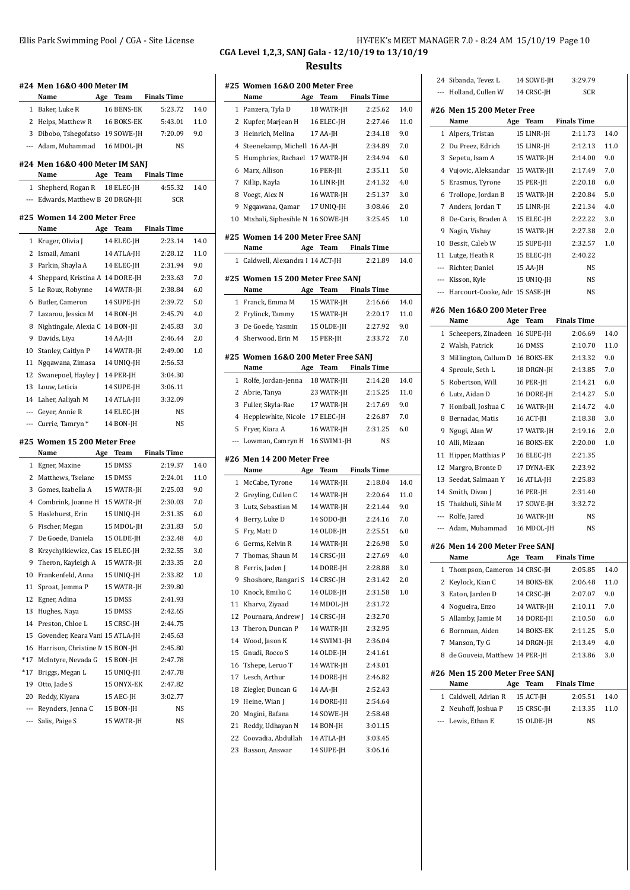|              | #24 Men 16&0 400 Meter IM         |     |            |                    |      |
|--------------|-----------------------------------|-----|------------|--------------------|------|
|              | Name                              | Age | Team       | Finals Time        |      |
| $\mathbf{1}$ | Baker, Luke R                     |     | 16 BENS-EK | 5:23.72            | 14.0 |
|              | 2 Helps, Matthew R                |     | 16 BOKS-EK | 5:43.01            | 11.0 |
|              | 3 Dibobo, Tshegofatso             |     | 19 SOWE-JH | 7:20.09            | 9.0  |
|              | --- Adam, Muhammad                |     | 16 MDOL-JH | <b>NS</b>          |      |
|              | #24 Men 16&0 400 Meter IM SANJ    |     |            |                    |      |
|              | Name                              | Age | Team       | <b>Finals Time</b> |      |
|              | 1 Shepherd, Rogan R 18 ELEC-JH    |     |            | 4:55.32            | 14.0 |
|              | --- Edwards, Matthew B 20 DRGN-JH |     |            | <b>SCR</b>         |      |
|              | #25 Women 14 200 Meter Free       |     |            |                    |      |
|              | Name                              | Age | Team       | <b>Finals Time</b> |      |
|              | 1 Kruger, Olivia J                |     | 14 ELEC-JH | 2:23.14            | 14.0 |
| 2            | Ismail, Amani                     |     | 14 ATLA-JH | 2:28.12            | 11.0 |
| 3            | Parkin, Shayla A                  |     | 14 ELEC-JH | 2:31.94            | 9.0  |
| 4            | Sheppard, Kristina A 14 DORE-JH   |     |            | 2:33.63            | 7.0  |
| 5            | Le Roux, Robynne                  |     | 14 WATR-JH | 2:38.84            | 6.0  |
| 6            | Butler, Cameron                   |     | 14 SUPE-JH | 2:39.72            | 5.0  |
| 7            | Lazarou, Jessica M                |     | 14 BON-JH  | 2:45.79            | 4.0  |
| 8            | Nightingale, Alexia C 14 BON-JH   |     |            | 2:45.83            | 3.0  |
| 9            | Davids, Liya                      |     | 14 AA-JH   | 2:46.44            | 2.0  |
| 10           | Stanley, Caitlyn P                |     | 14 WATR-JH | 2:49.00            | 1.0  |
| 11           | Ngqawana, Zimasa                  |     | 14 UNIO-JH | 2:56.53            |      |
| 12           | Swanepoel, Hayley J               |     | 14 PER-JH  | 3:04.30            |      |
| 13           | Louw, Leticia                     |     | 14 SUPE-JH | 3:06.11            |      |
| 14           | Laher, Aaliyah M                  |     | 14 ATLA-JH | 3:32.09            |      |
| ---          | Geyer, Annie R                    |     | 14 ELEC-JH | NS                 |      |
| $---$        | Currie, Tamryn *                  |     | 14 BON-JH  | NS                 |      |
|              | #25 Women 15 200 Meter Free       |     |            |                    |      |
|              | Name                              | Age | Team       | <b>Finals Time</b> |      |
| $\mathbf{1}$ | Egner, Maxine                     |     | 15 DMSS    | 2:19.37            | 14.0 |
|              | 2 Matthews, Tselane               |     | 15 DMSS    | 2:24.01            | 11.0 |
| 3            | Gomes. Izabella A                 |     | 15 WATR-JH | 2:25.03            | 9.0  |
| 4            | Combrink, Joanne H                |     | 15 WATR-JH | 2:30.03            | 7.0  |
| 5            | Haslehurst, Erin                  |     | 15 UNIQ-JH | 2:31.35            | 6.0  |
| 6            | Fischer, Megan                    |     | 15 MDOL-IH | 2:31.83            | 5.0  |
| 7            | De Goede, Daniela                 |     | 15 OLDE-JH | 2:32.48            | 4.0  |
| 8            | Krzychylkiewicz, Cas 15 ELEC-JH   |     |            | 2:32.55            | 3.0  |
| 9            | Theron, Kayleigh A                |     | 15 WATR-JH | 2:33.35            | 2.0  |
|              | 10 Frankenfeld, Anna              |     | 15 UNIQ-JH | 2:33.82            | 1.0  |
| 11           | Sproat, Jemma P                   |     | 15 WATR-JH | 2:39.80            |      |
| 12           | Egner, Adina                      |     | 15 DMSS    | 2:41.93            |      |
|              | 13 Hughes, Naya                   |     | 15 DMSS    | 2:42.65            |      |
|              | 14 Preston, Chloe L               |     | 15 CRSC-JH | 2:44.75            |      |
| 15           | Govender, Keara Vani 15 ATLA-JH   |     |            | 2:45.63            |      |
| 16           | Harrison, Christine M 15 BON-JH   |     |            | 2:45.80            |      |
| *17          | McIntyre, Nevada G                |     | 15 BON-JH  | 2:47.78            |      |
| $*17$        | Briggs, Megan L                   |     | 15 UNIO-JH | 2:47.78            |      |
| 19           | Otto, Jade S                      |     | 15 ONYX-EK | 2:47.82            |      |
| 20           | Reddy, Kiyara                     |     | 15 AEC-JH  | 3:02.77            |      |
| ---          | Reynders, Jenna C                 |     | 15 BON-JH  | NS                 |      |

--- Salis, Paige S 15 WATR-JH NS

#### Ellis Park Swimming Pool / CGA - Site License **HEET MANAGER 7.0 - 8:24 AM 15/10/19** Page 10 **CGA Level 1,2,3, SANJ Gala - 12/10/19 to 13/10/19 Results**

**#25 Women 16&O 200 Meter Free Name Age Team Finals Time** Panzera, Tyla D 18 WATR-JH 2:25.62 14.0 Kupfer, Marjean H 16 ELEC-JH 2:27.46 11.0 Heinrich, Melina 17 AA-JH 2:34.18 9.0 4 Steenekamp, Michell 16 AA-JH 2:34.89 7.0 5 Humphries, Rachael 17 WATR-IH 2:34.94 6.0 Marx, Allison 16 PER-JH 2:35.11 5.0 Killip, Kayla 16 LINR-JH 2:41.32 4.0 Voegt, Alex N 16 WATR-JH 2:51.37 3.0 Ngqawana, Qamar 17 UNIQ-JH 3:08.46 2.0 Mtshali, Siphesihle N 16 SOWE-JH 3:25.45 1.0 **#25 Women 14 200 Meter Free SANJ Name Age Team Finals Time** Caldwell, Alexandra L 14 ACT-JH 2:21.89 14.0 **#25 Women 15 200 Meter Free SANJ Name Age Team Finals Time** Franck, Emma M 15 WATR-JH 2:16.66 14.0 Frylinck, Tammy 15 WATR-JH 2:20.17 11.0 De Goede, Yasmin 15 OLDE-JH 2:27.92 9.0 Sherwood, Erin M 15 PER-JH 2:33.72 7.0 **#25 Women 16&O 200 Meter Free SANJ Name Age Team Finals Time** Rolfe, Jordan-Jenna 18 WATR-JH 2:14.28 14.0 Abrie, Tanya 23 WATR-JH 2:15.25 11.0 Fuller, Skyla-Rae 17 WATR-JH 2:17.69 9.0 4 Hepplewhite, Nicole 17 ELEC-JH 2:26.87 7.0 Fryer, Kiara A 16 WATR-JH 2:31.25 6.0 --- Lowman, Camryn H 16 SWIM1-JH NS **#26 Men 14 200 Meter Free Name Age Team Finals Time** McCabe, Tyrone 14 WATR-JH 2:18.04 14.0 Greyling, Cullen C 14 WATR-JH 2:20.64 11.0 Lutz, Sebastian M 14 WATR-JH 2:21.44 9.0 Berry, Luke D 14 SODO-JH 2:24.16 7.0 Fry, Matt D 14 OLDE-JH 2:25.51 6.0 Germs, Kelvin R 14 WATR-JH 2:26.98 5.0 Thomas, Shaun M 14 CRSC-JH 2:27.69 4.0 8 Ferris, Jaden J 14 DORE-JH 2:28.88 3.0 Shoshore, Rangari S 14 CRSC-JH 2:31.42 2.0 Knock, Emilio C 14 OLDE-JH 2:31.58 1.0 Kharva, Ziyaad 14 MDOL-JH 2:31.72 Pournara, Andrew J 14 CRSC-JH 2:32.70 Theron, Duncan P 14 WATR-JH 2:32.95 Wood, Jason K 14 SWIM1-JH 2:36.04 Gnudi, Rocco S 14 OLDE-JH 2:41.61 Tshepe, Leruo T 14 WATR-JH 2:43.01 Lesch, Arthur 14 DORE-JH 2:46.82 Ziegler, Duncan G 14 AA-JH 2:52.43 19 Heine, Wian J 14 DORE-JH 2:54.64 Mngini, Bafana 14 SOWE-JH 2:58.48 Reddy, Udhayan N 14 BON-JH 3:01.15 Coovadia, Abdullah 14 ATLA-JH 3:03.45 Basson, Answar 14 SUPE-JH 3:06.16

|   | --- Lewis, Ethan E                                    | 15 OLDE-JH  | NS                 |              |  |  |  |  |  |
|---|-------------------------------------------------------|-------------|--------------------|--------------|--|--|--|--|--|
|   | 2 Neuhoff, Joshua P                                   | 15 CRSC-JH  | 2:13.35            | 11.0         |  |  |  |  |  |
|   | 1 Caldwell, Adrian R                                  | 15 ACT-JH   | 2:05.51            | 14.0         |  |  |  |  |  |
|   |                                                       |             |                    |              |  |  |  |  |  |
|   | #26 Men 15 200 Meter Free SANJ<br>Name                | Age Team    | <b>Finals Time</b> |              |  |  |  |  |  |
|   |                                                       |             |                    |              |  |  |  |  |  |
|   | 8 de Gouveia, Matthew 14 PER-JH                       |             | 2:13.86            | 3.0          |  |  |  |  |  |
|   | 7 Manson, Ty G                                        | 14 DRGN-JH  | 2:13.49            | 4.0          |  |  |  |  |  |
|   | 6 Bornman, Aiden                                      | 14 BOKS-EK  | 2:11.25            | 5.0          |  |  |  |  |  |
|   | 5 Allamby, Jamie M                                    | 14 DORE-JH  | 2:10.50            | 6.0          |  |  |  |  |  |
|   | 4 Nogueira, Enzo                                      | 14 WATR-JH  | 2:10.11            | 7.0          |  |  |  |  |  |
|   | 3 Eaton, Jarden D                                     | 14 CRSC-JH  | 2:07.07            | 9.0          |  |  |  |  |  |
|   | 2 Keylock, Kian C                                     | 14 BOKS-EK  | 2:06.48            | 11.0         |  |  |  |  |  |
| 1 | Thompson, Cameron 14 CRSC-JH                          |             | 2:05.85            | 14.0         |  |  |  |  |  |
|   | Name                                                  | Age Team    | <b>Finals Time</b> |              |  |  |  |  |  |
|   | #26  Men 14 200 Meter Free SANJ                       |             |                    |              |  |  |  |  |  |
|   | --- Adam, Muhammad                                    | 16 MDOL-IH  | NS                 |              |  |  |  |  |  |
|   | --- Rolfe, Jared                                      | 16 WATR-JH  | NS                 |              |  |  |  |  |  |
|   | 15 Thakhuli, Sihle M                                  | 17 SOWE-JH  | 3:32.72            |              |  |  |  |  |  |
|   | 14 Smith, Divan J                                     | 16 PER-JH   | 2:31.40            |              |  |  |  |  |  |
|   | 13 Seedat, Salmaan Y                                  | 16 ATLA-JH  | 2:25.83            |              |  |  |  |  |  |
|   | 12 Margro, Bronte D                                   | 17 DYNA-EK  | 2:23.92            |              |  |  |  |  |  |
|   | 11 Hipper, Matthias P                                 | 16 ELEC-JH  | 2:21.35            |              |  |  |  |  |  |
|   | 10 Alli, Mizaan                                       | 16 BOKS-EK  | 2:20.00            | 1.0          |  |  |  |  |  |
|   | 9 Ngugi, Alan W                                       | 17 WATR-JH  | 2:19.16            | 2.0          |  |  |  |  |  |
|   | 8 Bernadac, Matis                                     | 16 ACT-JH   | 2:18.38            | 3.0          |  |  |  |  |  |
|   | 7 Honiball, Joshua C                                  | 16 WATR-JH  | 2:14.72            | 4.0          |  |  |  |  |  |
|   | 6 Lutz, Aidan D                                       | 16 DORE-JH  | 2:14.27            | 5.0          |  |  |  |  |  |
|   | 5 Robertson, Will                                     | 16 PER-JH   | 2:14.21            | 6.0          |  |  |  |  |  |
|   | 4 Sproule, Seth L                                     | 18 DRGN-JH  | 2:13.85            |              |  |  |  |  |  |
|   |                                                       |             |                    | 7.0          |  |  |  |  |  |
|   | 2 Walsh, Patrick<br>3 Millington, Callum D 16 BOKS-EK |             | 2:13.32            | 9.0          |  |  |  |  |  |
|   | 1 Scheepers, Zinadeen 16 SUPE-JH                      | 16 DMSS     | 2:06.69<br>2:10.70 | 14.0<br>11.0 |  |  |  |  |  |
|   | Name                                                  | Age Team    | <b>Finals Time</b> |              |  |  |  |  |  |
|   | #26 Men 16&0 200 Meter Free                           |             |                    |              |  |  |  |  |  |
|   |                                                       |             |                    |              |  |  |  |  |  |
|   | --- Harcourt-Cooke, Adr. 15 SASE-JH                   |             | NS                 |              |  |  |  |  |  |
|   | --- Kisson, Kyle                                      | 15 UNIQ-JH  | NS                 |              |  |  |  |  |  |
|   | --- Richter, Daniel                                   | 15 AA-JH    | NS                 |              |  |  |  |  |  |
|   | 11 Lutge, Heath R                                     | 15 ELEC-JH  | 2:40.22            |              |  |  |  |  |  |
|   | 10 Bessit, Caleb W                                    | 15 SUPE-JH  | 2:32.57            | 1.0          |  |  |  |  |  |
|   | 9 Nagin, Vishay                                       | 15 WATR-JH  | 2:27.38            | 2.0          |  |  |  |  |  |
|   | 8 De-Caris, Braden A                                  | 15 ELEC-JH  | 2:22.22            | 3.0          |  |  |  |  |  |
|   | 7 Anders, Jordan T                                    | 15 LINR-JH  | 2:21.34            | 4.0          |  |  |  |  |  |
|   | 6 Trollope, Jordan B                                  | 15 WATR-JH  | 2:20.84            | 5.0          |  |  |  |  |  |
| 5 | Erasmus, Tyrone                                       | 15 PER-JH   | 2:20.18            | 6.0          |  |  |  |  |  |
|   | 4 Vujovic, Aleksandar                                 | 15 WATR-JH  | 2:17.49            | 7.0          |  |  |  |  |  |
|   | 3 Sepetu, Isam A                                      | 15 WATR-JH  | 2:14.00            | 9.0          |  |  |  |  |  |
|   | 2 Du Preez, Edrich                                    | 15 LINR-JH  | 2:12.13            | 11.0         |  |  |  |  |  |
|   | 1 Alpers, Tristan                                     | 15 LINR-JH  | 2:11.73            | 14.0         |  |  |  |  |  |
|   | Name                                                  | Age<br>Team | <b>Finals Time</b> |              |  |  |  |  |  |
|   | #26 Men 15 200 Meter Free                             |             |                    |              |  |  |  |  |  |
|   | --- Holland, Cullen W                                 | 14 CRSC-JH  | SCR                |              |  |  |  |  |  |
|   | 24 Sibanda, Tevez L                                   | 14 SOWE-JH  | 3:29.79            |              |  |  |  |  |  |
|   |                                                       |             |                    |              |  |  |  |  |  |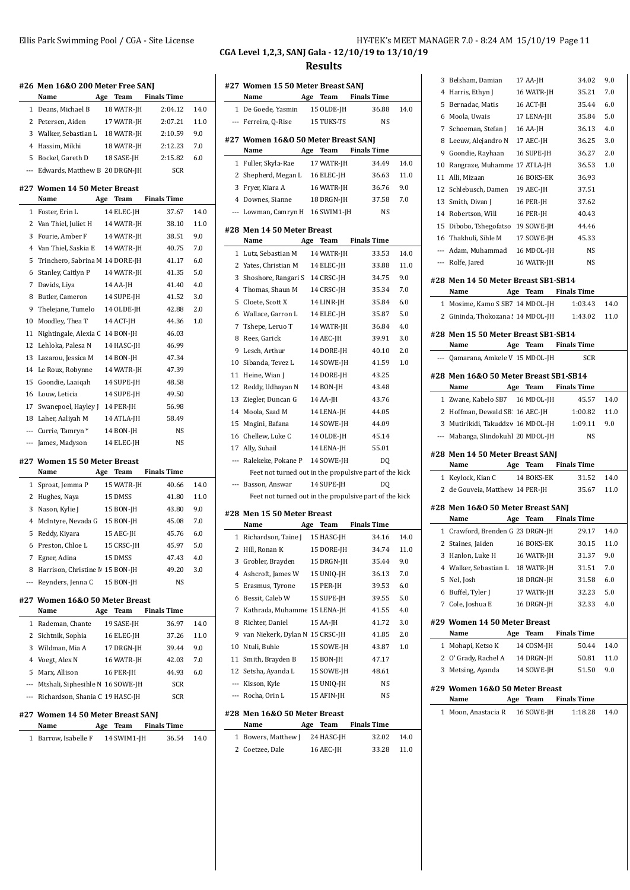|     | #26 Men 16&0 200 Meter Free SANJ<br>Name | Age | Team       | <b>Finals Time</b>   |      |
|-----|------------------------------------------|-----|------------|----------------------|------|
|     | 1 Deans, Michael B                       |     | 18 WATR-JH | 2:04.12              | 14.0 |
| 2   | Petersen. Aiden                          |     | 17 WATR-JH | 2:07.21              | 11.0 |
|     | 3 Walker, Sebastian L 18 WATR-JH         |     |            | 2:10.59              | 9.0  |
| 4   | Hassim, Mikhi                            |     | 18 WATR-JH | 2:12.23              | 7.0  |
| 5   | Bockel, Gareth D                         |     | 18 SASE-JH | 2:15.82              | 6.0  |
| --- | Edwards, Matthew B 20 DRGN-JH            |     |            | <b>SCR</b>           |      |
|     | #27 Women 14 50 Meter Breast<br>Name     | Age | Team       | <b>Finals Time</b>   |      |
| 1   | Foster, Erin L                           |     | 14 ELEC-JH | 37.67                | 14.0 |
| 2   | Van Thiel, Juliet H                      |     | 14 WATR-JH | 38.10                | 11.0 |
| 3   | Fourie, Amber F                          |     | 14 WATR-JH | 38.51                | 9.0  |
| 4   | Van Thiel, Saskia E                      |     | 14 WATR-JH | 40.75                | 7.0  |
| 5   | Trinchero, Sabrina M 14 DORE-JH          |     |            | 41.17                | 6.0  |
| 6   | Stanley, Caitlyn P                       |     | 14 WATR-JH | 41.35                | 5.0  |
| 7   | Davids, Liva                             |     | 14 AA-JH   | 41.40                | 4.0  |
| 8   | Butler, Cameron                          |     | 14 SUPE-JH | 41.52                | 3.0  |
| 9   | Thelejane, Tumelo                        |     | 14 OLDE-IH | 42.88                | 2.0  |
| 10  | Moodley, Thea T                          |     | 14 ACT-JH  | 44.36                | 1.0  |
| 11  | Nightingale, Alexia C                    |     | 14 BON-JH  | 46.03                |      |
| 12  | Lehloka, Palesa N                        |     | 14 HASC-IH | 46.99                |      |
| 13  | Lazarou, Jessica M                       |     | 14 BON-JH  | 47.34                |      |
| 14  | Le Roux, Robynne                         |     | 14 WATR-JH | 47.39                |      |
| 15  | Goondie, Laaiqah                         |     | 14 SUPE-JH | 48.58                |      |
| 16  | Louw, Leticia                            |     | 14 SUPE-JH | 49.50                |      |
| 17  | Swanepoel, Hayley J                      |     | 14 PER-JH  | 56.98                |      |
|     | 18 Laher, Aaliyah M                      |     | 14 ATLA-JH | 58.49                |      |
|     | --- Currie, Tamryn *                     |     | 14 BON-JH  | <b>NS</b>            |      |
|     | --- James, Madyson                       |     | 14 ELEC-JH | <b>NS</b>            |      |
|     | #27 Women 15 50 Meter Breast             |     |            |                      |      |
|     | Name                                     |     |            | Age Team Finals Time |      |
| 1   | Sproat, Jemma P                          |     | 15 WATR-JH | 40.66                | 14.0 |
| 2   | Hughes, Naya                             |     | 15 DMSS    | 41.80                | 11.0 |
| 3   | Nason, Kylie J                           |     | 15 BON-JH  | 43.80                | 9.0  |
| 4   | McIntyre, Nevada G 15 BON-JH             |     |            | 45.08                | 7.0  |
| 5   | Reddy, Kiyara                            |     | 15 AEC-JH  | 45.76                | 6.0  |
| 6   | Preston, Chloe L                         |     | 15 CRSC-JH | 45.97                | 5.0  |
| 7   | Egner, Adina                             |     | 15 DMSS    | 47.43                | 4.0  |
|     | 8 Harrison, Christine M 15 BON-JH        |     |            | 49.20                | 3.0  |
|     | --- Reynders, Jenna C                    |     | 15 BON-IH  | NS                   |      |
|     | #27 Women 16&0 50 Meter Breast           |     |            |                      |      |
|     | Name                                     |     | Age Team   | <b>Finals Time</b>   |      |
| 1   | Rademan, Chante                          |     | 19 SASE-JH | 36.97                | 14.0 |
| 2   | Sichtnik, Sophia                         |     | 16 ELEC-JH | 37.26                | 11.0 |
|     | 3 Wildman, Mia A                         |     | 17 DRGN-JH | 39.44                | 9.0  |
|     | 4 Voegt, Alex N                          |     | 16 WATR-JH | 42.03                | 7.0  |
|     | 5 Marx, Allison                          |     | 16 PER-JH  | 44.93                | 6.0  |

#### **#27 Women 14 50 Meter Breast SANJ**

 $\overline{a}$ 

--- Mtshali, Siphesihle N 16 SOWE-JH SCR --- Richardson, Shania C 19 HASC-JH SCR

| Name                 | Age Team    | <b>Finals Time</b> |       |      |
|----------------------|-------------|--------------------|-------|------|
| 1 Barrow, Isabelle F | 14 SWIM1-JH |                    | 36.54 | 14.0 |

## Ellis Park Swimming Pool / CGA - Site License HY-TEK's MEET MANAGER 7.0 - 8:24 AM 15/10/19 Page 11 **CGA Level 1,2,3, SANJ Gala - 12/10/19 to 13/10/19**

|              | #27 Women 15 50 Meter Breast SANJ<br>Name              |     | Age Team    | <b>Finals Time</b> |           |      |
|--------------|--------------------------------------------------------|-----|-------------|--------------------|-----------|------|
|              | 1 De Goede, Yasmin                                     |     | 15 OLDE-JH  |                    | 36.88     | 14.0 |
|              | --- Ferreira, Q-Rise                                   |     | 15 TUKS-TS  |                    | NS        |      |
|              | #27 Women 16&0 50 Meter Breast SANJ<br>Name            |     | Age Team    | <b>Finals Time</b> |           |      |
| $\mathbf{1}$ | Fuller, Skyla-Rae                                      |     | 17 WATR-JH  |                    | 34.49     | 14.0 |
| 2            | Shepherd, Megan L 16 ELEC-JH                           |     |             |                    | 36.63     | 11.0 |
|              | 3 Fryer, Kiara A                                       |     | 16 WATR-JH  |                    | 36.76     | 9.0  |
|              | 4 Downes, Sianne                                       |     | 18 DRGN-JH  |                    | 37.58     | 7.0  |
|              | --- Lowman, Camryn H 16 SWIM1-JH                       |     |             |                    | <b>NS</b> |      |
|              | #28 Men 14 50 Meter Breast<br>Name                     | Age | Team        | <b>Finals Time</b> |           |      |
| $\mathbf{1}$ | Lutz, Sebastian M                                      |     | 14 WATR-JH  |                    | 33.53     | 14.0 |
|              | 2 Yates, Christian M                                   |     | 14 ELEC-JH  |                    | 33.88     | 11.0 |
| 3            | Shoshore, Rangari S                                    |     | 14 CRSC-JH  |                    | 34.75     | 9.0  |
| 4            | Thomas, Shaun M                                        |     | 14 CRSC-JH  |                    | 35.34     | 7.0  |
| 5            | Cloete, Scott X                                        |     | 14 LINR-JH  |                    | 35.84     | 6.0  |
|              | 6 Wallace, Garron L                                    |     | 14 ELEC-JH  |                    | 35.87     | 5.0  |
| 7            | Tshepe, Leruo T                                        |     | 14 WATR-JH  |                    | 36.84     | 4.0  |
| 8            | Rees, Garick                                           |     | 14 AEC-JH   |                    | 39.91     | 3.0  |
|              | 9 Lesch, Arthur                                        |     | 14 DORE-JH  |                    | 40.10     | 2.0  |
|              | 10 Sibanda, Tevez L                                    |     | 14 SOWE-JH  |                    | 41.59     | 1.0  |
|              | 11 Heine, Wian J                                       |     | 14 DORE-JH  |                    | 43.25     |      |
|              | 12 Reddy, Udhayan N                                    |     | 14 BON-JH   |                    | 43.48     |      |
| 13           | Ziegler, Duncan G                                      |     | 14 AA-JH    |                    | 43.76     |      |
|              | 14 Moola, Saad M                                       |     | 14 LENA-JH  |                    | 44.05     |      |
|              | 15 Mngini, Bafana                                      |     | 14 SOWE-JH  |                    | 44.09     |      |
|              | 16 Chellew, Luke C                                     |     | 14 OLDE-JH  |                    | 45.14     |      |
|              | 17 Ally, Suhail                                        |     | 14 LENA-JH  |                    | 55.01     |      |
|              | --- Ralekeke, Pokane P 14 SOWE-JH                      |     |             |                    | DQ        |      |
|              | Feet not turned out in the propulsive part of the kick |     |             |                    |           |      |
|              | Basson, Answar                                         |     | 14 SUPE-JH  |                    | DQ        |      |
|              | Feet not turned out in the propulsive part of the kick |     |             |                    |           |      |
|              | #28 Men 15 50 Meter Breast                             |     |             |                    |           |      |
|              | Name                                                   | Age | <b>Team</b> | <b>Finals Time</b> |           |      |
|              | 1 Richardson, Taine J                                  |     | 15 HASC-JH  |                    | 34.16     | 14.0 |
| 2            | Hill, Ronan K                                          |     | 15 DORE-JH  |                    | 34.74     | 11.0 |
|              | 3 Grobler, Brayden                                     |     | 15 DRGN-JH  |                    | 35.44     | 9.0  |
|              | 4 Ashcroft, James W                                    |     | 15 UNIO-JH  |                    | 36.13     | 7.0  |
|              | 5 Erasmus, Tyrone                                      |     | 15 PER-JH   |                    | 39.53     | 6.0  |
|              | 6 Bessit, Caleb W                                      |     | 15 SUPE-JH  |                    | 39.55     | 5.0  |
| 7            | Kathrada, Muhamme 15 LENA-JH                           |     |             |                    | 41.55     | 4.0  |
|              | 8 Richter, Daniel                                      |     | 15 AA-JH    |                    | 41.72     | 3.0  |
|              | 9 van Niekerk, Dylan N 15 CRSC-JH                      |     |             |                    | 41.85     | 2.0  |
|              | 10 Ntuli, Buhle                                        |     | 15 SOWE-JH  |                    | 43.87     | 1.0  |
| 11           | Smith, Brayden B                                       |     | 15 BON-JH   |                    | 47.17     |      |
|              | 12 Setsha, Ayanda L                                    |     | 15 SOWE-JH  |                    | 48.61     |      |
|              | --- Kisson, Kyle                                       |     | 15 UNIO-JH  |                    | NS        |      |
|              | --- Rocha, Orin L                                      |     | 15 AFIN-JH  |                    | NS        |      |
|              | #28 Men 16&0 50 Meter Breast                           |     |             |                    |           |      |
|              | Name                                                   | Age | Team        | <b>Finals Time</b> |           |      |
|              | 1 Bowers, Matthew J                                    |     | 24 HASC-JH  |                    | 32.02     | 14.0 |
|              | 2 Coetzee, Dale                                        |     | 16 AEC-JH   |                    | 33.28     | 11.0 |
|              |                                                        |     |             |                    |           |      |

|    | 3 Belsham, Damian                                                       |     | 17 AA-JH   | 34.02                | 9.0  |
|----|-------------------------------------------------------------------------|-----|------------|----------------------|------|
| 4  | Harris, Ethyn J                                                         |     | 16 WATR-JH | 35.21                | 7.0  |
| 5  | Bernadac, Matis                                                         |     | 16 ACT-JH  | 35.44                | 6.0  |
|    | 6 Moola, Uwais                                                          |     | 17 LENA-JH | 35.84                | 5.0  |
| 7  | Schoeman, Stefan J                                                      |     | 16 AA-JH   | 36.13                | 4.0  |
| 8  | Leeuw, Alejandro N                                                      |     | 17 AEC-JH  | 36.25                | 3.0  |
| 9  | Goondie, Rayhaan                                                        |     | 16 SUPE-JH | 36.27                | 2.0  |
| 10 | Rangraze, Muhamme 17 ATLA-JH                                            |     |            | 36.53                | 1.0  |
|    | 11 Alli, Mizaan                                                         |     | 16 BOKS-EK | 36.93                |      |
|    | 12 Schlebusch, Damen                                                    |     | 19 AEC-JH  | 37.51                |      |
|    | 13 Smith, Divan J                                                       |     | 16 PER-JH  | 37.62                |      |
|    | 14 Robertson, Will                                                      |     | 16 PER-JH  | 40.43                |      |
|    | 15 Dibobo, Tshegofatso 19 SOWE-JH                                       |     |            | 44.46                |      |
|    | 16 Thakhuli, Sihle M                                                    |     | 17 SOWE-JH | 45.33                |      |
|    | --- Adam, Muhammad 16 MDOL-JH                                           |     |            | NS                   |      |
|    | --- Rolfe, Jared                                                        |     | 16 WATR-JH | NS                   |      |
|    | #28 Men 14 50 Meter Breast SB1-SB14                                     |     |            |                      |      |
|    | Name Age Team Finals Time                                               |     |            |                      |      |
|    | 1 Mosime, Kamo S SB7 14 MDOL-JH                                         |     |            | 1:03.43              | 14.0 |
|    | 2 Gininda, Thokozana! 14 MDOL-JH                                        |     |            | 1:43.02              | 11.0 |
|    | #28 Men 15 50 Meter Breast SB1-SB14                                     |     |            |                      |      |
|    | Name                                                                    |     |            | Age Team Finals Time |      |
|    | --- Qamarana, Amkele V 15 MDOL-JH                                       |     |            | SCR                  |      |
|    |                                                                         |     |            |                      |      |
|    | #28 Men 16&0 50 Meter Breast SB1-SB14<br>Name                           |     |            | Age Team Finals Time |      |
|    | 1 Zwane, Kabelo SB7 16 MDOL-JH                                          |     |            | 45.57                | 14.0 |
|    | 2 Hoffman, Dewald SB: 16 AEC-JH                                         |     |            | 1:00.82              | 11.0 |
|    |                                                                         |     |            |                      |      |
|    |                                                                         |     |            | 1:09.11              | 9.0  |
|    | 3 Mutirikidi, Takuddzw 16 MDOL-JH<br>--- Mabanga, Slindokuhl 20 MDOL-JH |     |            | NS                   |      |
|    |                                                                         |     |            |                      |      |
|    | #28 Men 14 50 Meter Breast SANJ                                         |     |            |                      |      |
|    | Name                                                                    |     |            | Age Team Finals Time |      |
|    | 1 Keylock, Kian C                                                       |     | 14 BOKS-EK | 31.52                | 14.0 |
|    | 2 de Gouveia, Matthew 14 PER-JH                                         |     |            | 35.67                | 11.0 |
|    | #28 Men 16&0 50 Meter Breast SANJ                                       |     |            |                      |      |
|    | Name                                                                    |     |            | Age Team Finals Time |      |
|    | 1 Crawford, Brenden G 23 DRGN-JH                                        |     |            | 29.17                | 14.0 |
|    | 2 Staines, Jaiden 16 BOKS-EK                                            |     |            | 30.15                | 11.0 |
|    | 3 Hanlon, Luke H                                                        |     | 16 WATR-JH | 31.37                | 9.0  |
|    | 4 Walker, Sebastian L 18 WATR-JH                                        |     |            | 31.51                | 7.0  |
|    | 5 Nel, Josh                                                             |     | 18 DRGN-JH | 31.58                | 6.0  |
|    | 6 Buffel, Tyler J                                                       |     | 17 WATR-JH | 32.23                | 5.0  |
|    | 7 Cole, Joshua E                                                        |     | 16 DRGN-JH | 32.33                | 4.0  |
|    | #29 Women 14 50 Meter Breast                                            |     |            |                      |      |
|    | Name                                                                    |     | Age Team   | <b>Finals Time</b>   |      |
|    | 1 Mohapi, Ketso K                                                       |     | 14 COSM-JH | 50.44                | 14.0 |
|    | 2 O' Grady, Rachel A 14 DRGN-JH                                         |     |            | 50.81                | 11.0 |
|    | 3 Metsing, Ayanda                                                       |     | 14 SOWE-JH | 51.50                | 9.0  |
|    | #29 Women 16&0 50 Meter Breast                                          |     |            |                      |      |
|    | Name                                                                    | Age | Team       | <b>Finals Time</b>   |      |
| 1  | Moon, Anastacia R                                                       |     | 16 SOWE-JH | 1:18.28              | 14.0 |
|    |                                                                         |     |            |                      |      |
|    |                                                                         |     |            |                      |      |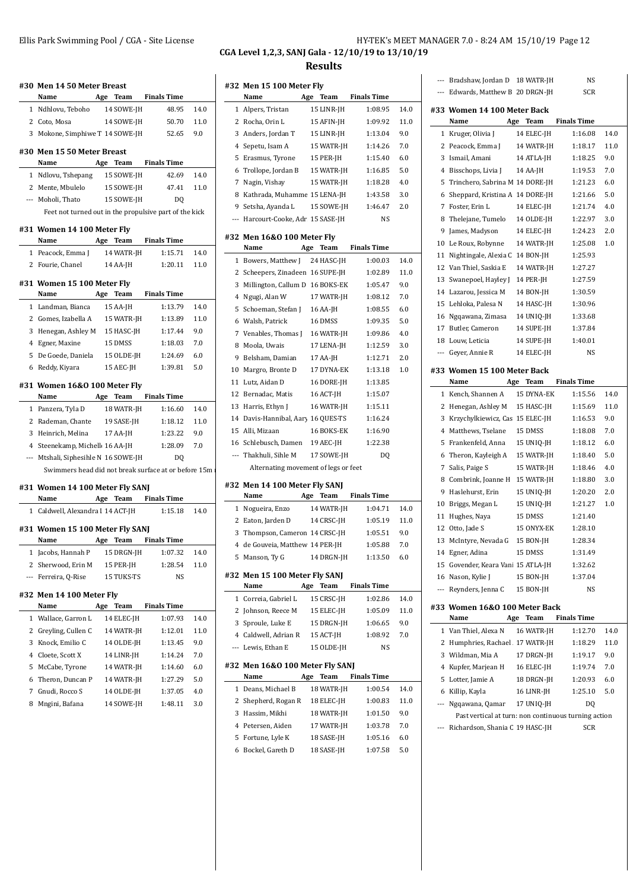| <b>Results</b>                    |                                                                                                                                                                                 |
|-----------------------------------|---------------------------------------------------------------------------------------------------------------------------------------------------------------------------------|
| --- Bradshaw, Jordan D 18 WATR-JH | N<br>$\sim$                                                                                                                                                                     |
|                                   | HY-TEK's MEET MANAGER 7.0 - 8:24 AM 15/10/19 Page 12<br>CGA Level 1,2,3, SANJ Gala - 12/10/19 to 13/10/19<br>#32 Men 15 100 Meter Fly<br>$-1$ $-1$ $-1$ $-1$<br>B. GO BROSS III |

| #30  Men 14 50 Meter Breast                            |     |            |                    |      | #32 Men 15 100 Meter              |
|--------------------------------------------------------|-----|------------|--------------------|------|-----------------------------------|
| Name                                                   | Age | Team       | <b>Finals Time</b> |      | Name<br>Age                       |
| 1 Ndhlovu, Teboho                                      |     | 14 SOWE-JH | 48.95              | 14.0 | 1 Alpers, Tristan                 |
| 2 Coto, Mosa                                           |     | 14 SOWE-JH | 50.70              | 11.0 | 2 Rocha, Orin L                   |
| 3 Mokone, Simphiwe T 14 SOWE-JH                        |     |            | 52.65              | 9.0  | 3 Anders, Jordan T                |
|                                                        |     |            |                    |      | 4 Sepetu, Isam A                  |
| #30 Men 15 50 Meter Breast<br>Name                     | Age | Team       | <b>Finals Time</b> |      | 5 Erasmus, Tyrone                 |
| 1 Ndlovu, Tshepang                                     |     | 15 SOWE-JH | 42.69              | 14.0 | 6 Trollope, Jordan B              |
| 2 Mente, Mbulelo                                       |     | 15 SOWE-JH | 47.41              | 11.0 | 7 Nagin, Vishay                   |
| --- Moholi, Thato                                      |     | 15 SOWE-JH | DQ                 |      | 8 Kathrada, Muhamme               |
| Feet not turned out in the propulsive part of the kick |     |            |                    |      | 9 Setsha, Ayanda L                |
|                                                        |     |            |                    |      | --- Harcourt-Cooke, Adr           |
| #31 Women 14 100 Meter Fly                             |     |            |                    |      | #32 Men 16&0 100 Me               |
| Name                                                   |     | Age Team   | <b>Finals Time</b> |      | Name<br>Age                       |
| 1 Peacock, Emma J                                      |     | 14 WATR-JH | 1:15.71            | 14.0 | 1 Bowers, Matthew J               |
| 2 Fourie, Chanel                                       |     | 14 AA-JH   | 1:20.11            | 11.0 | 2 Scheepers, Zinadeen             |
| #31 Women 15 100 Meter Fly                             |     |            |                    |      | 3 Millington, Callum D            |
| Name                                                   | Age | Team       | <b>Finals Time</b> |      | 4 Ngugi, Alan W                   |
| 1 Landman, Bianca                                      |     | 15 AA-JH   | 1:13.79            | 14.0 | 5 Schoeman, Stefan J              |
| 2 Gomes, Izabella A                                    |     | 15 WATR-JH | 1:13.89            | 11.0 | 6 Walsh, Patrick                  |
| 3 Henegan, Ashley M                                    |     | 15 HASC-JH | 1:17.44            | 9.0  | 7 Venables, Thomas J              |
| 4 Egner, Maxine                                        |     | 15 DMSS    | 1:18.03            | 7.0  | 8 Moola, Uwais                    |
| 5 De Goede, Daniela                                    |     | 15 OLDE-JH | 1:24.69            | 6.0  | 9 Belsham, Damian                 |
| 6 Reddy, Kiyara                                        |     | 15 AEC-JH  | 1:39.81            | 5.0  | 10 Margro, Bronte D               |
|                                                        |     |            |                    |      | 11 Lutz, Aidan D                  |
| #31 Women 16&0 100 Meter Fly                           |     |            |                    |      | 12 Bernadac, Matis                |
| Name                                                   | Age | Team       | <b>Finals Time</b> |      | 13 Harris, Ethyn J                |
| 1 Panzera, Tyla D                                      |     | 18 WATR-JH | 1:16.60            | 14.0 | 14 Davis-Hannibal, Aary           |
| 2 Rademan, Chante                                      |     | 19 SASE-JH | 1:18.12            | 11.0 | 15 Alli, Mizaan                   |
| 3 Heinrich, Melina                                     |     | 17 AA-JH   | 1:23.22            | 9.0  | 16 Schlebusch, Damen              |
| 4 Steenekamp, Michell 16 AA-JH                         |     |            | 1:28.09            | 7.0  | --- Thakhuli, Sihle M             |
| --- Mtshali, Siphesihle N 16 SOWE-JH                   |     |            | DQ                 |      | Alternating moveme                |
| Swimmers head did not break surface at or before 15m   |     |            |                    |      |                                   |
| #31 Women 14 100 Meter Fly SANJ                        |     |            |                    |      | #32 Men 14 100 Meter              |
| Name                                                   | Age | Team       | <b>Finals Time</b> |      | Name<br>Age                       |
| 1 Caldwell, Alexandra I 14 ACT-JH                      |     |            | 1:15.18            | 14.0 | 1 Nogueira, Enzo                  |
|                                                        |     |            |                    |      | 2 Eaton, Jarden D                 |
| #31 Women 15 100 Meter Fly SANJ<br>Name                |     | Age Team   | <b>Finals Time</b> |      | 3 Thompson, Cameron               |
| 1 Jacobs, Hannah P 15 DRGN-JH                          |     |            | 1:07.32            | 14.0 | 4 de Gouveia, Matthew             |
| 2 Sherwood, Erin M                                     |     | 15 PER-JH  | 1:28.54            | 11.0 | 5 Manson, Ty G                    |
| --- Ferreira, Q-Rise                                   |     | 15 TUKS-TS | NS                 |      | #32 Men 15 100 Meter              |
|                                                        |     |            |                    |      | Name<br>Age                       |
| #32 Men 14 100 Meter Fly                               |     |            |                    |      | 1 Correia, Gabriel L              |
| Name                                                   | Age | Team       | <b>Finals Time</b> |      | 2 Johnson, Reece M                |
| 1 Wallace, Garron L                                    |     | 14 ELEC-JH | 1:07.93            | 14.0 | 3 Sproule, Luke E                 |
| 2 Greyling, Cullen C                                   |     | 14 WATR-JH | 1:12.01            | 11.0 | 4 Caldwell, Adrian R<br>í         |
| 3 Knock, Emilio C                                      |     | 14 OLDE-JH | 1:13.45            | 9.0  | --- Lewis, Ethan E                |
| 4 Cloete, Scott X                                      |     | 14 LINR-JH | 1:14.24            | 7.0  |                                   |
| 5 McCabe, Tyrone                                       |     | 14 WATR-JH | 1:14.60            | 6.0  | #32 Men 16&0 100 Me               |
| 6 Theron, Duncan P                                     |     | 14 WATR-JH | 1:27.29            | 5.0  | Name<br>Age                       |
| 7 Gnudi, Rocco S                                       |     | 14 OLDE-JH | 1:37.05            | 4.0  | 1 Deans, Michael B                |
| 8 Mngini, Bafana                                       |     | 14 SOWE-JH | 1:48.11            | 3.0  | 2 Shepherd, Rogan R               |
|                                                        |     |            |                    |      | 3 Hassim, Mikhi<br>Dotorson Aidon |

|                          | Name                                  | Age | <b>Team</b>              | <b>Finals Time</b>   |            |
|--------------------------|---------------------------------------|-----|--------------------------|----------------------|------------|
| 1                        | Alpers, Tristan                       |     | 15 LINR-JH               | 1:08.95              | 14.0       |
|                          | 2 Rocha, Orin L                       |     | 15 AFIN-JH               | 1:09.92              | 11.0       |
|                          | 3 Anders, Jordan T                    |     | 15 LINR-JH               | 1:13.04              | 9.0        |
|                          | 4 Sepetu, Isam A                      |     | 15 WATR-JH               | 1:14.26              | 7.0        |
| 5                        | Erasmus, Tyrone                       |     | 15 PER-JH                | 1:15.40              | 6.0        |
| 6                        | Trollope, Jordan B                    |     | 15 WATR-JH               | 1:16.85              | 5.0        |
|                          | 7 Nagin, Vishay                       |     | 15 WATR-JH               | 1:18.28              | 4.0        |
| 8                        | Kathrada, Muhamme 15 LENA-JH          |     |                          | 1:43.58              | 3.0        |
|                          | 9 Setsha, Ayanda L                    |     | 15 SOWE-JH               | 1:46.47              | 2.0        |
|                          | --- Harcourt-Cooke, Adr 15 SASE-JH    |     |                          | NS                   |            |
|                          | #32 Men 16&0 100 Meter Fly            |     |                          |                      |            |
|                          | Name                                  |     |                          | Age Team Finals Time |            |
|                          | 1 Bowers, Matthew J 24 HASC-JH        |     |                          | 1:00.03              | 14.0       |
|                          | 2 Scheepers, Zinadeen 16 SUPE-JH      |     |                          | 1:02.89              | 11.0       |
| 3                        | Millington, Callum D 16 BOKS-EK       |     |                          | 1:05.47              | 9.0        |
| 4                        | Ngugi, Alan W                         |     | 17 WATR-JH               | 1:08.12              | 7.0        |
| 5                        | Schoeman, Stefan J                    |     | 16 AA-JH                 | 1:08.55              | 6.0        |
| 6                        | Walsh, Patrick                        |     | 16 DMSS                  | 1:09.35              | 5.0        |
|                          | 7 Venables, Thomas J                  |     | 16 WATR-JH               | 1:09.86              | 4.0        |
| 8                        | Moola, Uwais                          |     | 17 LENA-JH               | 1:12.59              | 3.0        |
| 9                        | Belsham, Damian                       |     | 17 AA-JH                 | 1:12.71              | 2.0        |
| 10                       | Margro, Bronte D                      |     | 17 DYNA-EK               | 1:13.18              | 1.0        |
| 11                       | Lutz, Aidan D                         |     | 16 DORE-JH               | 1:13.85              |            |
| 12                       | Bernadac, Matis                       |     | 16 ACT-JH                | 1:15.07              |            |
| 13                       | Harris, Ethyn J                       |     | 16 WATR-JH               | 1:15.11              |            |
| 14                       | Davis-Hannibal, Aary 16 QUES-TS       |     |                          | 1:16.24              |            |
|                          | 15 Alli, Mizaan                       |     | 16 BOKS-EK               | 1:16.90              |            |
|                          | 16 Schlebusch, Damen                  |     | 19 AEC-JH                | 1:22.38              |            |
|                          |                                       |     |                          |                      |            |
| $\overline{\phantom{a}}$ | Thakhuli, Sihle M                     |     | 17 SOWE-JH               | DQ                   |            |
|                          | Alternating movement of legs or feet  |     |                          |                      |            |
|                          |                                       |     |                          |                      |            |
|                          | #32 Men 14 100 Meter Fly SANJ<br>Name |     |                          | <b>Finals Time</b>   |            |
|                          |                                       |     | Age Team                 | 1:04.71              | 14.0       |
|                          | 1 Nogueira, Enzo<br>2 Eaton, Jarden D |     | 14 WATR-JH               | 1:05.19              | 11.0       |
| 3                        | Thompson, Cameron 14 CRSC-JH          |     | 14 CRSC-JH               | 1:05.51              | 9.0        |
| 4                        | de Gouveia, Matthew 14 PER-JH         |     |                          | 1:05.88              | 7.0        |
| 5                        | Manson, Ty G                          |     | 14 DRGN-JH               | 1:13.50              | 6.0        |
|                          |                                       |     |                          |                      |            |
|                          | #32 Men 15 100 Meter Fly SANJ         |     |                          |                      |            |
|                          | Name                                  | Age | Team                     | <b>Finals Time</b>   |            |
| 1                        | Correia, Gabriel L                    |     | 15 CRSC-JH               | 1:02.86              | 14.0       |
| 2                        | Johnson, Reece M                      |     | 15 ELEC-JH               | 1:05.09              | 11.0       |
| 3                        | Sproule, Luke E                       |     | 15 DRGN-JH               | 1:06.65              | 9.0        |
|                          | 4 Caldwell, Adrian R                  |     | 15 ACT-JH                | 1:08.92              | 7.0        |
| $\overline{\phantom{a}}$ | Lewis, Ethan E                        |     | 15 OLDE-JH               | NS                   |            |
|                          | #32 Men 16&0 100 Meter Fly SANJ       |     |                          |                      |            |
|                          | Name                                  |     | Age Team                 | <b>Finals Time</b>   |            |
| 1                        | Deans, Michael B                      |     | 18 WATR-JH               | 1:00.54              | 14.0       |
| 2                        | Shepherd, Rogan R                     |     | 18 ELEC-JH               | 1:00.83              | 11.0       |
| 3                        | Hassim, Mikhi                         |     | 18 WATR-JH               | 1:01.50              | 9.0        |
| 4<br>5                   | Petersen, Aiden<br>Fortune, Lyle K    |     | 17 WATR-JH<br>18 SASE-JH | 1:03.78<br>1:05.16   | 7.0<br>6.0 |

| $---$ | Bradshaw, Jordan D 18 WATR-JH     | NS         |
|-------|-----------------------------------|------------|
|       | --- Edwards. Matthew B 20 DRGN-IH | <b>SCR</b> |

#### **#33 Women 14 100 Meter Back**

|                | Name                                                 | Age | Team       | <b>Finals Time</b> |      |
|----------------|------------------------------------------------------|-----|------------|--------------------|------|
| 1              | Kruger, Olivia J                                     |     | 14 ELEC-JH | 1:16.08            | 14.0 |
| 2              | Peacock, Emma J                                      |     | 14 WATR-JH | 1:18.17            | 11.0 |
| 3              | Ismail, Amani                                        |     | 14 ATLA-JH | 1:18.25            | 9.0  |
| 4              | Bisschops, Livia J                                   |     | 14 AA-JH   | 1:19.53            | 7.0  |
| 5              | Trinchero, Sabrina M 14 DORE-JH                      |     |            | 1:21.23            | 6.0  |
| 6              | Sheppard, Kristina A 14 DORE-JH                      |     |            | 1:21.66            | 5.0  |
| 7              | Foster, Erin L                                       |     | 14 ELEC-JH | 1:21.74            | 4.0  |
| 8              | Thelejane, Tumelo                                    |     | 14 OLDE-JH | 1:22.97            | 3.0  |
| 9              | James, Madyson                                       |     | 14 ELEC-JH | 1:24.23            | 2.0  |
| 10             | Le Roux, Robynne                                     |     | 14 WATR-JH | 1:25.08            | 1.0  |
| 11             | Nightingale, Alexia C                                |     | 14 BON-JH  | 1:25.93            |      |
|                | 12 Van Thiel, Saskia E                               |     | 14 WATR-JH | 1:27.27            |      |
| 13             | Swanepoel, Hayley J                                  |     | 14 PER-JH  | 1:27.59            |      |
|                | 14 Lazarou, Jessica M                                |     | 14 BON-JH  | 1:30.59            |      |
| 15             | Lehloka, Palesa N                                    |     | 14 HASC-JH | 1:30.96            |      |
| 16             | Ngqawana, Zimasa                                     |     | 14 UNIQ-JH | 1:33.68            |      |
| 17             | Butler, Cameron                                      |     | 14 SUPE-JH | 1:37.84            |      |
|                | 18 Louw, Leticia                                     |     | 14 SUPE-JH | 1:40.01            |      |
| $\overline{a}$ | Geyer, Annie R                                       |     | 14 ELEC-JH | NS                 |      |
|                | #33 Women 15 100 Meter Back                          |     |            |                    |      |
|                | Name                                                 | Age | Team       | <b>Finals Time</b> |      |
|                | 1 Kench, Shannen A                                   |     | 15 DYNA-EK | 1:15.56            | 14.0 |
| 2              | Henegan, Ashley M                                    |     | 15 HASC-JH | 1:15.69            | 11.0 |
| 3              | Krzychylkiewicz, Cas 15 ELEC-JH                      |     |            | 1:16.53            | 9.0  |
| 4              | Matthews, Tselane                                    |     | 15 DMSS    | 1:18.08            | 7.0  |
| 5              | Frankenfeld, Anna                                    |     | 15 UNIQ-JH | 1:18.12            | 6.0  |
| 6              | Theron, Kayleigh A                                   |     | 15 WATR-JH | 1:18.40            | 5.0  |
| 7              | Salis, Paige S                                       |     | 15 WATR-JH | 1:18.46            | 4.0  |
|                | 8 Combrink, Joanne H                                 |     | 15 WATR-JH | 1:18.80            | 3.0  |
| 9              | Haslehurst, Erin                                     |     | 15 UNIQ-JH | 1:20.20            | 2.0  |
| 10             | Briggs, Megan L                                      |     | 15 UNIQ-JH | 1:21.27            | 1.0  |
| 11             | Hughes, Naya                                         |     | 15 DMSS    | 1:21.40            |      |
| 12             | Otto, Jade S                                         |     | 15 ONYX-EK | 1:28.10            |      |
| 13             | McIntyre, Nevada G                                   |     | 15 BON-JH  | 1:28.34            |      |
| 14             | Egner, Adina                                         |     | 15 DMSS    | 1:31.49            |      |
| 15             | Govender, Keara Vani 15 ATLA-JH                      |     |            | 1:32.62            |      |
| 16             | Nason, Kylie J                                       |     | 15 BON-JH  | 1:37.04            |      |
| ---            | Reynders, Jenna C                                    |     | 15 BON-JH  | NS                 |      |
|                | #33 Women 16&0 100 Meter Back                        |     |            |                    |      |
|                | Name                                                 |     | Age Team   | <b>Finals Time</b> |      |
|                | 1 Van Thiel, Alexa N                                 |     | 16 WATR-JH | 1:12.70            | 14.0 |
| 2              | Humphries, Rachael . 17 WATR-JH                      |     |            | 1:18.29            | 11.0 |
|                | 3 Wildman, Mia A                                     |     | 17 DRGN-JH | 1:19.17            | 9.0  |
|                | 4 Kupfer, Marjean H                                  |     | 16 ELEC-JH | 1:19.74            | 7.0  |
|                | 5 Lotter, Jamie A                                    |     | 18 DRGN-JH | 1:20.93            | 6.0  |
|                | 6 Killip, Kayla                                      |     | 16 LINR-JH | 1:25.10            | 5.0  |
|                | --- Ngqawana, Qamar                                  |     | 17 UNIQ-JH | DQ                 |      |
|                | Past vertical at turn: non continuous turning action |     |            |                    |      |
|                | --- Richardson, Shania C 19 HASC-JH                  |     |            | <b>SCR</b>         |      |
|                |                                                      |     |            |                    |      |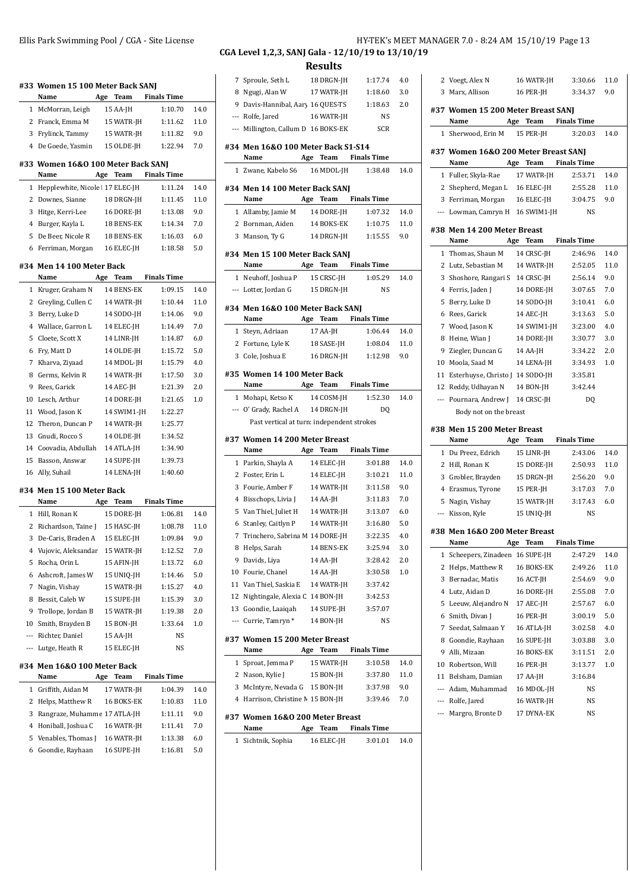|                | #33 Women 15 100 Meter Back SANJ<br>Name   |     | Age Team    | <b>Finals Time</b> |      |
|----------------|--------------------------------------------|-----|-------------|--------------------|------|
|                | 1 McMorran, Leigh                          |     | 15 AA-JH    | 1:10.70            | 14.0 |
|                | 2 Franck. Emma M                           |     | 15 WATR-JH  | 1:11.62            | 11.0 |
|                | 3 Frylinck, Tammy                          |     | 15 WATR-JH  | 1:11.82            | 9.0  |
| $^{4}$         | De Goede, Yasmin                           |     | 15 OLDE-JH  | 1:22.94            | 7.0  |
|                | #33 Women 16&0 100 Meter Back SANJ<br>Name |     | Age Team    | <b>Finals Time</b> |      |
| 1              | Hepplewhite, Nicole 17 ELEC-JH             |     |             | 1:11.24            | 14.0 |
| 2              | Downes, Sianne                             |     | 18 DRGN-JH  | 1:11.45            | 11.0 |
| 3              | Hitge, Kerri-Lee                           |     | 16 DORE-JH  | 1:13.08            | 9.0  |
|                | 4 Burger, Kayla L                          |     | 18 BENS-EK  | 1:14.34            | 7.0  |
| 5              | De Beer, Nicole R                          |     | 18 BENS-EK  | 1:16.03            | 6.0  |
| 6              | Ferriman, Morgan                           |     | 16 ELEC-JH  | 1:18.58            | 5.0  |
|                | #34 Men 14 100 Meter Back                  |     |             |                    |      |
|                | Name                                       | Age | Team        | <b>Finals Time</b> |      |
| 1              | Kruger, Graham N                           |     | 14 BENS-EK  | 1:09.15            | 14.0 |
|                | 2 Greyling, Cullen C                       |     | 14 WATR-JH  | 1:10.44            | 11.0 |
| 3              | Berry, Luke D                              |     | 14 SODO-JH  | 1:14.06            | 9.0  |
|                | 4 Wallace, Garron L                        |     | 14 ELEC-JH  | 1:14.49            | 7.0  |
| 5              | Cloete, Scott X                            |     | 14 LINR-JH  | 1:14.87            | 6.0  |
| 6              | Fry, Matt D                                |     | 14 OLDE-JH  | 1:15.72            | 5.0  |
| 7              | Kharva, Ziyaad                             |     | 14 MDOL-JH  | 1:15.79            | 4.0  |
| 8              | Germs, Kelvin R                            |     | 14 WATR-JH  | 1:17.50            | 3.0  |
| 9              | Rees, Garick                               |     | 14 AEC-JH   | 1:21.39            | 2.0  |
| 10             | Lesch, Arthur                              |     | 14 DORE-JH  | 1:21.65            | 1.0  |
| 11             | Wood, Jason K                              |     | 14 SWIM1-JH | 1:22.27            |      |
|                | 12 Theron, Duncan P                        |     | 14 WATR-JH  | 1:25.77            |      |
|                | 13 Gnudi, Rocco S                          |     | 14 OLDE-JH  | 1:34.52            |      |
|                | 14 Coovadia, Abdullah                      |     | 14 ATLA-JH  | 1:34.90            |      |
| 15             | Basson, Answar                             |     | 14 SUPE-JH  | 1:39.73            |      |
|                | 16 Ally, Suhail                            |     | 14 LENA-JH  | 1:40.60            |      |
|                | #34 Men 15 100 Meter Back                  |     |             |                    |      |
|                | Name                                       |     | Age Team    | <b>Finals Time</b> |      |
|                | 1 Hill, Ronan K                            |     | 15 DORE-JH  | 1:06.81            | 14.0 |
|                | 2 Richardson, Taine J                      |     | 15 HASC-JH  | 1:08.78            | 11.0 |
| 3              | De-Caris, Braden A                         |     | 15 ELEC-JH  | 1:09.84            | 9.0  |
| 4              | Vujovic, Aleksandar                        |     | 15 WATR-JH  | 1:12.52            | 7.0  |
| 5              | Rocha, Orin L                              |     | 15 AFIN-JH  | 1:13.72            | 6.0  |
| 6              | Ashcroft, James W                          |     | 15 UNIQ-JH  | 1:14.46            | 5.0  |
| 7              | Nagin, Vishay                              |     | 15 WATR-JH  | 1:15.27            | 4.0  |
| 8              | Bessit, Caleb W                            |     | 15 SUPE-JH  | 1:15.39            | 3.0  |
| 9              | Trollope, Jordan B                         |     | 15 WATR-JH  | 1:19.38            | 2.0  |
| 10             | Smith, Brayden B                           |     | 15 BON-JH   | 1:33.64            | 1.0  |
| $\overline{a}$ | Richter, Daniel                            |     | 15 AA-JH    | NS                 |      |
| $---$          | Lutge, Heath R                             |     | 15 ELEC-JH  | NS                 |      |
|                | #34 Men 16&0 100 Meter Back<br>Name        | Age | Team        | <b>Finals Time</b> |      |
| 1              | Griffith, Aidan M                          |     | 17 WATR-JH  | 1:04.39            | 14.0 |
| 2              | Helps, Matthew R                           |     | 16 BOKS-EK  | 1:10.83            | 11.0 |
| 3              | Rangraze, Muhamme 17 ATLA-JH               |     |             | 1:11.11            | 9.0  |
| 4              | Honiball, Joshua C                         |     | 16 WATR-JH  | 1:11.41            | 7.0  |
| 5              | Venables, Thomas J                         |     | 16 WATR-JH  | 1:13.38            | 6.0  |
| 6              | Goondie, Rayhaan                           |     | 16 SUPE-JH  | 1:16.81            | 5.0  |

### **CGA Level 1,2,3, SANJ Gala - 12/10/19 to 13/10/19**

**Results**

|                                |                                                                   | would |                        |                      |      |
|--------------------------------|-------------------------------------------------------------------|-------|------------------------|----------------------|------|
|                                | 7 Sproule, Seth L                                                 |       | 18 DRGN-JH             | 1:17.74              | 4.0  |
|                                | 8 Ngugi, Alan W                                                   |       | 17 WATR-JH             | 1:18.60              | 3.0  |
|                                | 9 Davis-Hannibal, Aary 16 QUES-TS                                 |       |                        | 1:18.63              | 2.0  |
|                                | --- Rolfe, Jared                                                  |       | 16 WATR-JH             | NS                   |      |
|                                | --- Millington, Callum D 16 BOKS-EK SCR                           |       |                        |                      |      |
|                                |                                                                   |       |                        |                      |      |
|                                | #34 Men 16&0 100 Meter Back S1-S14                                |       |                        |                      |      |
|                                | Name Age Team Finals Time                                         |       |                        |                      |      |
|                                | 1 Zwane, Kabelo S6 16 MDOL-JH                                     |       |                        | 1:38.48              | 14.0 |
|                                | #34 Men 14 100 Meter Back SANJ                                    |       |                        |                      |      |
|                                | Name Age Team Finals Time                                         |       |                        |                      |      |
|                                | 1 Allamby, Jamie M 14 DORE-JH                                     |       |                        | 1:07.32              | 14.0 |
|                                | 2 Bornman, Aiden 14 BOKS-EK 1:10.75                               |       |                        |                      | 11.0 |
|                                | 3 Manson, Ty G                                                    |       | 14 DRGN-JH             | 1:15.55              | 9.0  |
|                                | #34 Men 15 100 Meter Back SANJ                                    |       |                        |                      |      |
|                                | Name Age Team Finals Time                                         |       |                        |                      |      |
|                                |                                                                   |       |                        | 1:05.29              | 14.0 |
|                                | 1 Neuhoff, Joshua P 15 CRSC-JH<br>--- Lotter, Jordan G 15 DRGN-JH |       |                        | <b>NS</b>            |      |
|                                |                                                                   |       |                        |                      |      |
|                                | #34 Men 16&0 100 Meter Back SANJ                                  |       |                        |                      |      |
|                                | Name                                                              |       |                        | Age Team Finals Time |      |
|                                | 1 Steyn, Adriaan                                                  |       | 17 AA-JH               | 1:06.44              | 14.0 |
|                                | 2 Fortune, Lyle K 18 SASE-JH 1:08.04                              |       |                        |                      | 11.0 |
|                                | 3 Cole, Joshua E 16 DRGN-JH 1:12.98                               |       |                        |                      | 9.0  |
|                                | #35 Women 14 100 Meter Back                                       |       |                        |                      |      |
|                                | Name Age Team Finals Time                                         |       |                        |                      |      |
|                                | 1 Mohapi, Ketso K 14 COSM-JH                                      |       |                        | 1:52.30              | 14.0 |
|                                | --- O' Grady, Rachel A 14 DRGN-JH                                 |       |                        | DQ                   |      |
|                                | Past vertical at turn: independent strokes                        |       |                        |                      |      |
|                                |                                                                   |       |                        |                      |      |
|                                |                                                                   |       |                        |                      |      |
|                                | #37 Women 14 200 Meter Breast                                     |       |                        |                      |      |
|                                | <b>Name</b>                                                       |       |                        | Age Team Finals Time |      |
|                                | 1 Parkin, Shayla A 14 ELEC-JH                                     |       |                        | 3:01.88              | 14.0 |
|                                | 2 Foster, Erin L                                                  |       | 14 ELEC-JH             | 3:10.21              | 11.0 |
| 3                              | Fourie, Amber F                                                   |       |                        | 3:11.58              | 9.0  |
|                                | 4 Bisschops, Livia J                                              |       | 14 WATR-JH<br>14 AA-JH | 3:11.83              | 7.0  |
| 5                              | Van Thiel, Juliet H                                               |       | 14 WATR-JH             | 3:13.07              | 6.0  |
|                                | 6 Stanley, Caitlyn P                                              |       | 14 WATR-JH             | 3:16.80              | 5.0  |
|                                | 7 Trinchero, Sabrina M 14 DORE-JH                                 |       |                        | 3:22.35              | 4.0  |
| 8                              | Helps, Sarah                                                      |       | 14 BENS-EK             | 3:25.94              | 3.0  |
| 9                              |                                                                   |       | 14 AA-JH               | 3:28.42              | 2.0  |
| 10                             | Davids, Liya                                                      |       |                        | 3:30.58              | 1.0  |
|                                | Fourie, Chanel                                                    |       | 14 AA-JH               |                      |      |
| 11                             | Van Thiel, Saskia E                                               |       | 14 WATR-JH             | 3:37.42              |      |
| 12                             | Nightingale, Alexia C 14 BON-JH                                   |       |                        | 3:42.53              |      |
| 13<br>$\overline{\phantom{a}}$ | Goondie, Laaiqah                                                  |       | 14 SUPE-JH             | 3:57.07              |      |
|                                | Currie, Tamryn*                                                   |       | 14 BON-JH              | NS                   |      |
|                                | #37 Women 15 200 Meter Breast                                     |       |                        |                      |      |
|                                | Name                                                              | Age   | <b>Team</b>            | <b>Finals Time</b>   |      |
| 1                              | Sproat, Jemma P                                                   |       | 15 WATR-JH             | 3:10.58              | 14.0 |
| 2                              | Nason, Kylie J                                                    |       | 15 BON-JH              | 3:37.80              | 11.0 |
| 3                              | McIntyre, Nevada G                                                |       | 15 BON-JH              | 3:37.98              | 9.0  |
| 4                              | Harrison, Christine M 15 BON-JH                                   |       |                        | 3:39.46              | 7.0  |
|                                |                                                                   |       |                        |                      |      |
|                                | #37 Women 16&0 200 Meter Breast<br>Name                           | Age   | Team                   | <b>Finals Time</b>   |      |
| 1                              | Sichtnik, Sophia                                                  |       | 16 ELEC-JH             | 3:01.01              | 14.0 |

Ellis Park Swimming Pool / CGA - Site License **HY-TEK's MEET MANAGER 7.0** - 8:24 AM 15/10/19 Page 13

|              | 2 Voegt, Alex N                              | 16 WATR-JH               | 3:30.66            | 11.0        |
|--------------|----------------------------------------------|--------------------------|--------------------|-------------|
|              | 3 Marx, Allison                              | 16 PER-JH                | 3:34.37            | 9.0         |
|              | #37 Women 15 200 Meter Breast SANJ           |                          |                    |             |
|              | Name                                         | Age Team                 | <b>Finals Time</b> |             |
|              | 1 Sherwood, Erin M                           | 15 PER-JH                | 3:20.03            | 14.0        |
|              | #37 Women 16&0 200 Meter Breast SANJ<br>Name | Age<br>Team              | <b>Finals Time</b> |             |
|              | 1 Fuller, Skyla-Rae                          | 17 WATR-JH               | 2:53.71            | 14.0        |
| 2            | Shepherd, Megan L 16 ELEC-JH                 |                          | 2:55.28            | 11.0        |
|              | 3 Ferriman, Morgan 16 ELEC-JH                |                          | 3:04.75            | 9.0         |
|              | --- Lowman, Camryn H 16 SWIM1-JH             |                          | <b>NS</b>          |             |
|              |                                              |                          |                    |             |
|              | #38 Men 14 200 Meter Breast<br>Name          | Age Team                 | <b>Finals Time</b> |             |
|              | 1 Thomas, Shaun M                            | 14 CRSC-JH               | 2:46.96            | 14.0        |
| 2            | Lutz, Sebastian M                            | 14 WATR-JH               | 2:52.05            | 11.0        |
| 3            | Shoshore, Rangari S 14 CRSC-JH               |                          | 2:56.14            | 9.0         |
| 4            | Ferris, Jaden J                              | 14 DORE-JH               | 3:07.65            | 7.0         |
| 5            | Berry, Luke D                                | 14 SODO-JH               | 3:10.41            | 6.0         |
| 6            | Rees, Garick                                 | 14 AEC-JH                | 3:13.63            | 5.0         |
|              | 7 Wood, Jason K                              | 14 SWIM1-JH              | 3:23.00            | 4.0         |
| 8            | Heine, Wian J                                | 14 DORE-JH               | 3:30.77            | 3.0         |
| 9            | Ziegler, Duncan G                            | 14 AA-JH                 | 3:34.22            | 2.0         |
|              | 10 Moola, Saad M                             | 14 LENA-JH               | 3:34.93            | 1.0         |
|              | 11 Esterhuyse, Christo J 14 SODO-JH          |                          | 3:35.81            |             |
|              | 12 Reddy, Udhayan N 14 BON-JH                |                          | 3:42.44            |             |
|              | --- Pournara, Andrew J 14 CRSC-JH            |                          | DQ                 |             |
|              |                                              |                          |                    |             |
|              |                                              |                          |                    |             |
|              | Body not on the breast                       |                          |                    |             |
|              | #38 Men 15 200 Meter Breast                  |                          |                    |             |
| $\mathbf{1}$ | Name                                         | Team<br>Age              | <b>Finals Time</b> |             |
| 2            | Du Preez, Edrich                             | 15 LINR-JH               | 2:43.06            | 14.0        |
| 3            | Hill, Ronan K                                | 15 DORE-JH               | 2:50.93            | 11.0        |
| 4            | Grobler, Brayden                             | 15 DRGN-JH               | 2:56.20<br>3:17.03 | 9.0<br>7.0  |
| 5            | Erasmus, Tyrone                              | 15 PER-JH                |                    | 6.0         |
|              | Nagin, Vishay<br>--- Kisson, Kyle            | 15 WATR-JH<br>15 UNIQ-JH | 3:17.43<br>NS      |             |
|              |                                              |                          |                    |             |
|              | #38 Men 16&0 200 Meter Breast                |                          | <b>Finals Time</b> |             |
|              | Name                                         | Team<br>Age              |                    |             |
| 1            | Scheepers, Zinadeen 16 SUPE-JH               |                          | 2:47.29<br>2:49.26 | 14.0        |
| 2<br>3       | Helps, Matthew R<br>Bernadac, Matis          | 16 BOKS-EK               | 2:54.69            | 11.0<br>9.0 |
| 4            | Lutz, Aidan D                                | 16 ACT-JH<br>16 DORE-JH  | 2:55.08            | 7.0         |
| 5            |                                              |                          |                    |             |
| 6            | Leeuw, Alejandro N<br>Smith, Divan J         | 17 AEC-JH<br>16 PER-IH   | 2:57.67<br>3:00.19 | 6.0<br>5.0  |
| 7            | Seedat, Salmaan Y                            | 16 ATLA-JH               | 3:02.58            | 4.0         |
| 8            | Goondie, Rayhaan                             |                          |                    |             |
| 9            | Alli, Mizaan                                 | 16 SUPE-JH<br>16 BOKS-EK | 3:03.88<br>3:11.51 | 3.0<br>2.0  |
| 10           | Robertson, Will                              | 16 PER-JH                | 3:13.77            | 1.0         |
| 11           | Belsham, Damian                              | 17 AA-JH                 | 3:16.84            |             |
| ---          | Adam, Muhammad                               | 16 MDOL-JH               | NS                 |             |
|              | --- Rolfe, Jared                             | 16 WATR-JH               | NS                 |             |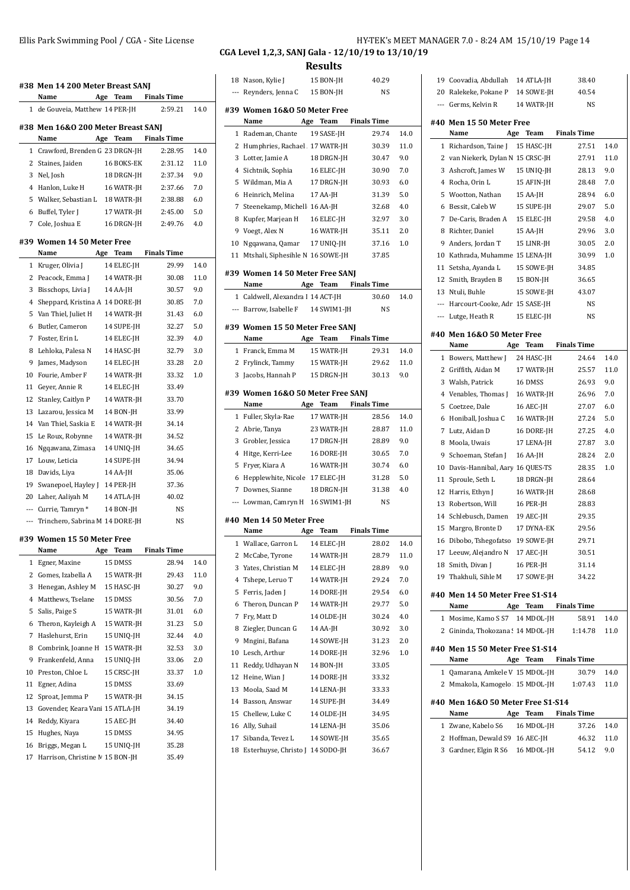|              | #38 Men 14 200 Meter Breast SANJ<br>Name   | Age Team    | <b>Finals Time</b>   |      |
|--------------|--------------------------------------------|-------------|----------------------|------|
|              | 1 de Gouveia, Matthew 14 PER-JH            |             | 2:59.21              | 14.0 |
|              |                                            |             |                      |      |
|              | #38 Men 16&0 200 Meter Breast SANJ<br>Name |             | Age Team Finals Time |      |
| $\mathbf{1}$ | Crawford, Brenden G 23 DRGN-JH             |             | 2:28.95              | 14.0 |
| 2            |                                            | 16 BOKS-EK  | 2:31.12              | 11.0 |
| 3            | Staines, Jaiden<br>Nel, Josh               | 18 DRGN-JH  | 2:37.34              | 9.0  |
| 4            | Hanlon, Luke H                             | 16 WATR-JH  | 2:37.66              | 7.0  |
| 5            | Walker, Sebastian L                        | 18 WATR-IH  | 2:38.88              | 6.0  |
| 6            |                                            | 17 WATR-JH  | 2:45.00              | 5.0  |
|              | Buffel, Tyler J                            |             |                      |      |
|              | 7 Cole, Joshua E                           | 16 DRGN-JH  | 2:49.76              | 4.0  |
|              | #39 Women 14 50 Meter Free                 |             |                      |      |
|              | Name<br>Age                                | Team        | <b>Finals Time</b>   |      |
| 1            | Kruger, Olivia J                           | 14 ELEC-JH  | 29.99                | 14.0 |
| 2            | Peacock, Emma J                            | 14 WATR-JH  | 30.08                | 11.0 |
| 3            | Bisschops, Livia J                         | 14 AA-JH    | 30.57                | 9.0  |
| 4            | Sheppard, Kristina A 14 DORE-JH            |             | 30.85                | 7.0  |
| 5            | Van Thiel, Juliet H                        | 14 WATR-JH  | 31.43                | 6.0  |
| 6            | Butler, Cameron                            | 14 SUPE-JH  | 32.27                | 5.0  |
| 7            | Foster. Erin L                             | 14 ELEC-JH  | 32.39                | 4.0  |
| 8            | Lehloka, Palesa N                          | 14 HASC-JH  | 32.79                | 3.0  |
| 9            | James, Madyson                             | 14 ELEC-JH  | 33.28                | 2.0  |
| 10           | Fourie, Amber F                            | 14 WATR-JH  | 33.32                | 1.0  |
| 11           | Geyer, Annie R                             | 14 ELEC-JH  | 33.49                |      |
| 12           | Stanley, Caitlyn P                         | 14 WATR-JH  | 33.70                |      |
| 13           | Lazarou, Jessica M                         | 14 BON-JH   | 33.99                |      |
|              | 14 Van Thiel, Saskia E                     | 14 WATR-JH  | 34.14                |      |
| 15           | Le Roux, Robynne                           | 14 WATR-JH  | 34.52                |      |
| 16           | Ngqawana, Zimasa                           | 14 UNIQ-JH  | 34.65                |      |
|              | 17 Louw, Leticia                           | 14 SUPE-JH  | 34.94                |      |
| 18           | Davids, Liya                               | 14 AA-JH    | 35.06                |      |
| 19           | Swanepoel, Hayley J                        | 14 PER-JH   | 37.36                |      |
| 20           | Laher, Aaliyah M                           | 14 ATLA-JH  | 40.02                |      |
|              | --- Currie, Tamryn *                       | 14 BON-JH   | NS                   |      |
| $---$        | Trinchero, Sabrina M 14 DORE-JH            |             | NS                   |      |
|              | #39 Women 15 50 Meter Free                 |             |                      |      |
|              | Name<br>Age                                | Team        | <b>Finals Time</b>   |      |
| 1            | Egner, Maxine                              | 15 DMSS     | 28.94                | 14.0 |
| 2            | Gomes, Izabella A                          | 15 WATR-JH  | 29.43                | 11.0 |
| 3            | Henegan, Ashley M                          | 15 HASC-JH  | 30.27                | 9.0  |
| 4            | Matthews, Tselane                          | 15 DMSS     | 30.56                | 7.0  |
| 5            | Salis, Paige S                             | 15 WATR-JH  | 31.01                | 6.0  |
| 6            | Theron, Kayleigh A                         | 15 WATR-JH  | 31.23                | 5.0  |
| 7            | Haslehurst, Erin                           | 15 UNIQ-JH  | 32.44                | 4.0  |
| 8            | Combrink, Joanne H                         | 15 WATR-JH  | 32.53                | 3.0  |
| 9            | Frankenfeld, Anna                          | 15 UNIO-JH  | 33.06                | 2.0  |
| 10           | Preston, Chloe L                           | 15 CRSC-JH  | 33.37                | 1.0  |
| 11           | Egner, Adina                               | 15 DMSS     | 33.69                |      |
| 12           | Sproat, Jemma P                            | 15 WATR-JH  | 34.15                |      |
| 13           | Govender, Keara Vani 15 ATLA-JH            |             | 34.19                |      |
| 14           | Reddy, Kiyara                              | 15 AEC-JH   | 34.40                |      |
| 15           | Hughes, Naya                               | 15 DMSS     | 34.95                |      |
|              | 16 Briggs Megan L                          | 15 JINIO-JH | 35 28                |      |

#### Ellis Park Swimming Pool / CGA - Site License **HY-TEK's MEET MANAGER 7.0** - 8:24 AM 15/10/19 Page 14 **CGA Level 1,2,3, SANJ Gala - 12/10/19 to 13/10/19**

|                | 18 Nason, Kylie J                                            | 15 BON-JH               |                    | 40.29          |      |
|----------------|--------------------------------------------------------------|-------------------------|--------------------|----------------|------|
|                | --- Reynders, Jenna C 15 BON-JH                              |                         |                    | NS             |      |
|                | #39 Women 16&0 50 Meter Free<br>Name                         | Age Team                | <b>Finals Time</b> |                |      |
|                | 1 Rademan, Chante                                            | 19 SASE-JH              |                    | 29.74          | 14.0 |
|                | 2 Humphries, Rachael 17 WATR-JH                              |                         |                    | 30.39          | 11.0 |
|                | 3 Lotter, Jamie A                                            |                         |                    |                | 9.0  |
| $\overline{4}$ |                                                              | 18 DRGN-JH              |                    | 30.47          | 7.0  |
| 5              | Sichtnik, Sophia                                             | 16 ELEC-JH              |                    | 30.90<br>30.93 | 6.0  |
|                | Wildman, Mia A                                               | 17 DRGN-JH              |                    | 31.39          | 5.0  |
| 6              | Heinrich, Melina                                             | 17 AA-JH                |                    |                |      |
| 7              | Steenekamp, Michell 16 AA-JH                                 |                         |                    | 32.68          | 4.0  |
| 8              | Kupfer, Marjean H 16 ELEC-JH                                 |                         |                    | 32.97          | 3.0  |
|                | 9 Voegt, Alex N                                              | 16 WATR-JH              |                    | 35.11          | 2.0  |
| 10             | Ngqawana, Qamar 17 UNIQ-JH                                   |                         |                    | 37.16          | 1.0  |
|                | 11 Mtshali, Siphesihle N 16 SOWE-JH                          |                         |                    | 37.85          |      |
|                | #39 Women 14 50 Meter Free SANJ<br>Name Age Team Finals Time |                         |                    |                |      |
|                | 1 Caldwell, Alexandra I 14 ACT-JH                            |                         |                    | 30.60          | 14.0 |
|                | --- Barrow, Isabelle F 14 SWIM1-JH                           |                         |                    | NS             |      |
|                | #39 Women 15 50 Meter Free SANJ                              |                         |                    |                |      |
|                | Name                                                         | Age Team Finals Time    |                    |                |      |
|                | 1 Franck, Emma M                                             | 15 WATR-JH              |                    | 29.31          | 14.0 |
|                | 2 Frylinck, Tammy 15 WATR-JH                                 |                         |                    | 29.62          | 11.0 |
|                | 3 Jacobs, Hannah P 15 DRGN-JH                                |                         |                    | 30.13          | 9.0  |
|                | #39 Women 16&0 50 Meter Free SANJ                            |                         |                    |                |      |
|                | Name                                                         | Age Team Finals Time    |                    |                |      |
|                | 1 Fuller, Skyla-Rae                                          | 17 WATR-JH              |                    | 28.56          | 14.0 |
|                | 2 Abrie, Tanya                                               | 23 WATR-JH              |                    | 28.87          | 11.0 |
| 3              | Grobler, Jessica                                             | 17 DRGN-JH              |                    | 28.89          | 9.0  |
| 4              | Hitge, Kerri-Lee                                             | 16 DORE-JH              |                    | 30.65          | 7.0  |
| 5              | Fryer, Kiara A                                               | 16 WATR-JH              |                    | 30.74          | 6.0  |
|                |                                                              |                         |                    |                | 5.0  |
| 6              | Hepplewhite, Nicole 17 ELEC-JH                               |                         |                    | 31.28          |      |
|                | 7 Downes, Sianne                                             | 18 DRGN-JH              |                    | 31.38          | 4.0  |
|                | --- Lowman, Camryn H 16 SWIM1-JH                             |                         |                    | NS             |      |
|                | #40 Men 14 50 Meter Free                                     |                         |                    |                |      |
|                | Name<br>Age                                                  | <b>Team</b> Finals Time |                    |                |      |
| $\mathbf{1}$   | Wallace, Garron L 14 ELEC-JH                                 |                         |                    | 28.02          | 14.0 |
| 2              | McCabe, Tyrone                                               | 14 WATR-JH              |                    | 28.79          | 11.0 |
| 3              | Yates, Christian M                                           | 14 ELEC-JH              |                    | 28.89          | 9.0  |
| 4              | Tshepe, Leruo T                                              | 14 WATR-JH              |                    | 29.24          | 7.0  |
| 5              | Ferris, Jaden J                                              | 14 DORE-JH              |                    | 29.54          | 6.0  |
| 6              | Theron, Duncan P                                             | 14 WATR-JH              |                    | 29.77          | 5.0  |
| 7              | Fry, Matt D                                                  | 14 OLDE-JH              |                    | 30.24          | 4.0  |
| 8              | Ziegler, Duncan G                                            | 14 AA-JH                |                    | 30.92          | 3.0  |
| 9              | Mngini, Bafana                                               | 14 SOWE-JH              |                    | 31.23          | 2.0  |
| 10             | Lesch, Arthur                                                | 14 DORE-JH              |                    | 32.96          | 1.0  |
| 11             | Reddy, Udhayan N                                             | 14 BON-JH               |                    | 33.05          |      |
| 12             | Heine, Wian J                                                | 14 DORE-JH              |                    | 33.32          |      |
| 13             | Moola, Saad M                                                | 14 LENA-JH              |                    | 33.33          |      |
| 14             | Basson, Answar                                               | 14 SUPE-JH              |                    | 34.49          |      |
| 15             | Chellew, Luke C                                              | 14 OLDE-JH              |                    | 34.95          |      |
| 16             | Ally, Suhail                                                 | 14 LENA-JH              |                    | 35.06          |      |
| 17             | Sibanda, Tevez L                                             | 14 SOWE-JH              |                    | 35.65          |      |

|              | 19 Coovadia, Abdullah 14 ATLA-JH    |            | 38.40                |      |
|--------------|-------------------------------------|------------|----------------------|------|
|              | 20 Ralekeke, Pokane P 14 SOWE-JH    |            | 40.54                |      |
|              | --- Germs, Kelvin R                 | 14 WATR-JH | <b>NS</b>            |      |
|              | #40 Men 15 50 Meter Free            |            |                      |      |
|              | Name<br>Age                         | Team       | <b>Finals Time</b>   |      |
| 1            | Richardson, Taine J                 | 15 HASC-JH | 27.51                | 14.0 |
|              | 2 van Niekerk, Dylan N 15 CRSC-JH   |            | 27.91                | 11.0 |
|              | 3 Ashcroft, James W                 | 15 UNIQ-JH | 28.13                | 9.0  |
|              | 4 Rocha, Orin L                     | 15 AFIN-JH | 28.48                | 7.0  |
|              | 5 Wootton, Nathan                   | 15 AA-JH   | 28.94                | 6.0  |
|              | 6 Bessit, Caleb W                   | 15 SUPE-JH | 29.07                | 5.0  |
| 7            | De-Caris, Braden A                  | 15 ELEC-JH | 29.58                | 4.0  |
|              | 8 Richter, Daniel                   | 15 AA-JH   | 29.96                | 3.0  |
|              | 9 Anders, Jordan T                  | 15 LINR-JH | 30.05                | 2.0  |
|              | 10 Kathrada, Muhamme 15 LENA-JH     |            | 30.99                | 1.0  |
| 11           | Setsha, Ayanda L                    | 15 SOWE-JH | 34.85                |      |
|              | 12 Smith, Brayden B                 | 15 BON-JH  | 36.65                |      |
|              | 13 Ntuli, Buhle                     | 15 SOWE-JH | 43.07                |      |
|              | --- Harcourt-Cooke, Adr. 15 SASE-JH |            | NS                   |      |
|              | --- Lutge, Heath R                  | 15 ELEC-JH | <b>NS</b>            |      |
|              |                                     |            |                      |      |
|              | #40 Men 16&0 50 Meter Free          |            |                      |      |
|              | Name<br>Age                         | Team       | <b>Finals Time</b>   |      |
|              | 1 Bowers, Matthew J                 | 24 HASC-JH | 24.64                | 14.0 |
|              | 2 Griffith, Aidan M                 | 17 WATR-JH | 25.57                | 11.0 |
|              | 3 Walsh, Patrick                    | 16 DMSS    | 26.93                | 9.0  |
|              | 4 Venables, Thomas J                | 16 WATR-JH | 26.96                | 7.0  |
| 5            | Coetzee, Dale                       | 16 AEC-JH  | 27.07                | 6.0  |
| 6            | Honiball, Joshua C                  | 16 WATR-JH | 27.24                | 5.0  |
| 7            | Lutz, Aidan D                       | 16 DORE-JH | 27.25                | 4.0  |
|              | 8 Moola, Uwais                      | 17 LENA-JH | 27.87                | 3.0  |
| 9            | Schoeman, Stefan J                  | 16 AA-JH   | 28.24                | 2.0  |
| 10           | Davis-Hannibal, Aary 16 QUES-TS     |            | 28.35                | 1.0  |
| 11           | Sproule, Seth L                     | 18 DRGN-JH | 28.64                |      |
| 12           | Harris, Ethyn J                     | 16 WATR-JH | 28.68                |      |
| 13           | Robertson, Will                     | 16 PER-JH  | 28.83                |      |
| 14           | Schlebusch, Damen                   | 19 AEC-JH  | 29.35                |      |
| 15           | Margro, Bronte D                    | 17 DYNA-EK | 29.56                |      |
|              | 16 Dibobo, Tshegofatso 19 SOWE-JH   |            | 29.71                |      |
|              | 17 Leeuw, Alejandro N 17 AEC-JH     |            | 30.51                |      |
|              | 18 Smith, Divan J                   | 16 PER-JH  | 31.14                |      |
|              | 19 Thakhuli, Sihle M                | 17 SOWE-JH | 34.22                |      |
|              | #40 Men 14 50 Meter Free S1-S14     |            |                      |      |
|              | Name<br>Age                         | Team       | <b>Finals Time</b>   |      |
|              | 1 Mosime, Kamo S S7 14 MDOL-JH      |            | 58.91                | 14.0 |
| $\mathbf{2}$ | Gininda, Thokozana : 14 MDOL-JH     |            | 1:14.78              | 11.0 |
|              |                                     |            |                      |      |
|              | #40 Men 15 50 Meter Free S1-S14     |            |                      |      |
|              | Name                                |            | Age Team Finals Time |      |
|              | 1 Qamarana, Amkele V 15 MDOL-JH     |            | 30.79                | 14.0 |
|              | 2 Mmakola, Kamogelo 15 MDOL-JH      |            | 1:07.43              | 11.0 |
|              | #40 Men 16&0 50 Meter Free S1-S14   |            |                      |      |
|              | Name                                | Age Team   | <b>Finals Time</b>   |      |
|              | 1 Zwane, Kabelo S6                  | 16 MDOL-JH | 37.26                | 14.0 |
|              | 2 Hoffman, Dewald S9 16 AEC-JH      |            | 46.32                | 11.0 |
|              | 3 Gardner, Elgin R S6 16 MDOL-JH    |            | 54.12                | 9.0  |
|              |                                     |            |                      |      |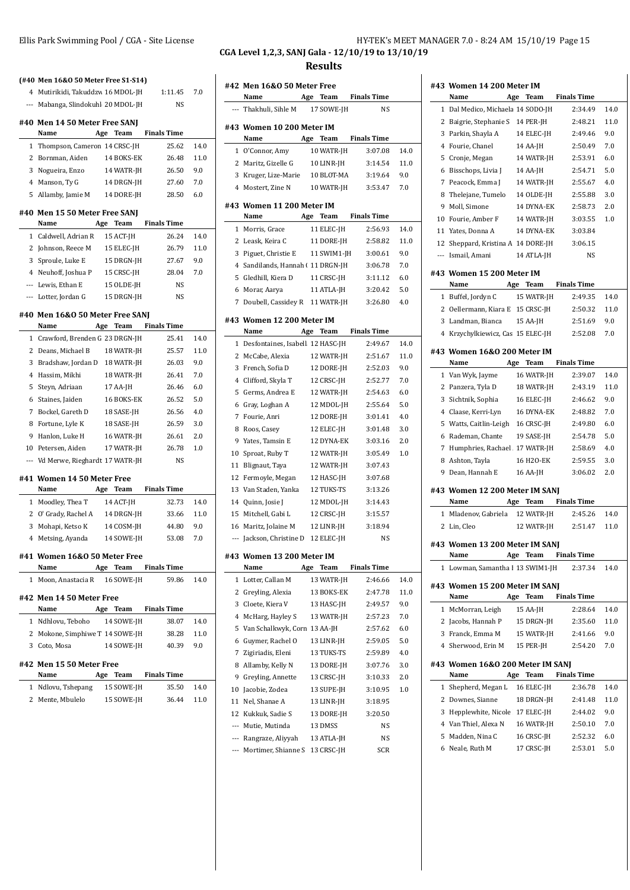| 4 Mutirikidi, Takuddzw 16 MDOL-JH     |            | 1:11.45              | 7.0  |
|---------------------------------------|------------|----------------------|------|
| --- Mabanga, Slindokuhl 20 MDOL-JH    |            | NS                   |      |
|                                       |            |                      |      |
| #40 Men 14 50 Meter Free SANJ<br>Name | Age Team   | <b>Finals Time</b>   |      |
| 1 Thompson, Cameron 14 CRSC-JH        |            | 25.62                | 14.0 |
| 2 Bornman, Aiden                      | 14 BOKS-EK | 26.48                | 11.0 |
| 3 Nogueira, Enzo                      | 14 WATR-JH | 26.50                | 9.0  |
| 4 Manson, Ty G                        | 14 DRGN-JH | 27.60                | 7.0  |
| 5 Allamby, Jamie M 14 DORE-JH         |            | 28.50                | 6.0  |
|                                       |            |                      |      |
| #40 Men 15 50 Meter Free SANJ<br>Name |            | Age Team Finals Time |      |
| 1 Caldwell, Adrian R                  | 15 ACT-JH  | 26.24                | 14.0 |
| 2 Johnson, Reece M 15 ELEC-JH         |            | 26.79                | 11.0 |
| 3 Sproule, Luke E                     | 15 DRGN-JH | 27.67                | 9.0  |
| 4 Neuhoff, Joshua P                   | 15 CRSC-JH | 28.04                | 7.0  |
| --- Lewis, Ethan E                    | 15 OLDE-JH | NS                   |      |
| --- Lotter, Jordan G                  | 15 DRGN-JH | NS                   |      |
|                                       |            |                      |      |
| #40 Men 16&0 50 Meter Free SANJ       |            |                      |      |
| <b>Name</b>                           |            | Age Team Finals Time |      |
| 1 Crawford, Brenden G 23 DRGN-JH      |            | 25.41                | 14.0 |
| 2 Deans, Michael B                    | 18 WATR-JH | 25.57                | 11.0 |
| 3 Bradshaw, Jordan D 18 WATR-JH       |            | 26.03                | 9.0  |
| 4 Hassim, Mikhi                       | 18 WATR-JH | 26.41                | 7.0  |
| 5 Steyn, Adriaan                      | 17 AA-JH   | 26.46                | 6.0  |
| 6 Staines, Jaiden                     | 16 BOKS-EK | 26.52                | 5.0  |
| 7 Bockel, Gareth D                    | 18 SASE-JH | 26.56                | 4.0  |
| 8 Fortune, Lyle K                     | 18 SASE-JH | 26.59                | 3.0  |
| 9 Hanlon, Luke H                      | 16 WATR-JH | 26.61                | 2.0  |
| 10 Petersen, Aiden                    | 17 WATR-JH | 26.78                | 1.0  |
| --- Vd Merwe, Rieghardt 17 WATR-JH    |            | NS                   |      |
| #41 Women 14 50 Meter Free            |            |                      |      |
| Name                                  | Age Team   | <b>Finals Time</b>   |      |
| 1 Moodley, Thea T                     | 14 ACT-JH  | 32.73                | 14.0 |
| 2 O' Grady, Rachel A 14 DRGN-JH       |            | 33.66                | 11.0 |
| 3 Mohapi, Ketso K                     | 14 COSM-JH | 44.80                | 9.0  |
| 4 Metsing, Ayanda 14 SOWE-JH          |            | 53.08                | 7.0  |
| #41 Women 16&0 50 Meter Free          |            |                      |      |
| Name Age Team Finals Time             |            |                      |      |
| 1 Moon, Anastacia R 16 SOWE-JH        |            | 59.86                | 14.0 |
| #42 Men 14 50 Meter Free              |            |                      |      |
| Name Age Team Finals Time             |            |                      |      |
| 1 Ndhlovu, Teboho 14 SOWE-JH          |            | 38.07                | 14.0 |
| 2 Mokone, Simphiwe T 14 SOWE-JH       |            | 38.28                | 11.0 |
| 3 Coto, Mosa                          | 14 SOWE-JH | 40.39                | 9.0  |
| #42 Men 15 50 Meter Free              |            |                      |      |
| Name Age Team Finals Time             |            |                      |      |
| 1 Ndlovu, Tshepang 15 SOWE-JH         |            | 35.50                | 14.0 |
| 2 Mente, Mbulelo 15 SOWE-JH 36.44     |            |                      | 11.0 |

#### Ellis Park Swimming Pool / CGA - Site License **HY-TEK's MEET MANAGER 7.0** - 8:24 AM 15/10/19 Page 15 **CGA Level 1,2,3, SANJ Gala - 12/10/19 to 13/10/19**

|                          | #42 Men 16&0 50 Meter Free<br>Name       | Age | Team        | <b>Finals Time</b> |      |
|--------------------------|------------------------------------------|-----|-------------|--------------------|------|
|                          | --- Thakhuli, Sihle M                    |     | 17 SOWE-JH  | NS                 |      |
|                          |                                          |     |             |                    |      |
|                          | #43 Women 10 200 Meter IM<br>Name        |     | Age Team    | <b>Finals Time</b> |      |
|                          | 1 O'Connor, Amy                          |     | 10 WATR-JH  | 3:07.08            | 14.0 |
|                          | 2 Maritz, Gizelle G                      |     | 10 LINR-JH  | 3:14.54            | 11.0 |
|                          | 3 Kruger, Lize-Marie 10 BLOT-MA          |     |             | 3:19.64            | 9.0  |
|                          | 4 Mostert, Zine N                        |     | 10 WATR-JH  | 3:53.47            | 7.0  |
|                          | #43 Women 11 200 Meter IM                |     |             |                    |      |
|                          | Name                                     | Age | Team        | <b>Finals Time</b> |      |
| 1                        | Morris, Grace                            |     | 11 ELEC-JH  | 2:56.93            | 14.0 |
|                          | 2 Leask, Keira C                         |     | 11 DORE-JH  | 2:58.82            | 11.0 |
| 3                        | Piguet, Christie E                       |     | 11 SWIM1-JH | 3:00.61            | 9.0  |
| 4                        | Sandilands, Hannah (11 DRGN-JH           |     |             | 3:06.78            | 7.0  |
| 5                        | Gledhill, Kiera D                        |     | 11 CRSC-JH  | 3:11.12            | 6.0  |
|                          | 6 Morar, Aarya                           |     | 11 ATLA-JH  | 3:20.42            | 5.0  |
|                          | 7 Doubell, Cassidey R 11 WATR-JH         |     |             | 3:26.80            | 4.0  |
|                          |                                          |     |             |                    |      |
|                          | #43 Women 12 200 Meter IM                |     |             | <b>Finals Time</b> |      |
| 1                        | Name<br>Desfontaines, Isabell 12 HASC-JH | Age | Team        | 2:49.67            | 14.0 |
|                          | 2 McCabe, Alexia                         |     | 12 WATR-JH  | 2:51.67            | 11.0 |
| 3                        | French, Sofia D                          |     | 12 DORE-JH  | 2:52.03            | 9.0  |
|                          |                                          |     |             | 2:52.77            |      |
|                          | 4 Clifford, Skyla T                      |     | 12 CRSC-JH  |                    | 7.0  |
| 5                        | Germs, Andrea E                          |     | 12 WATR-JH  | 2:54.63            | 6.0  |
| 6                        | Gray, Loghan A                           |     | 12 MDOL-JH  | 2:55.64            | 5.0  |
| 7                        | Fourie, Anri                             |     | 12 DORE-JH  | 3:01.41            | 4.0  |
| 8                        | Roos, Casey                              |     | 12 ELEC-JH  | 3:01.48            | 3.0  |
|                          | 9 Yates, Tamsin E                        |     | 12 DYNA-EK  | 3:03.16            | 2.0  |
| 10                       | Sproat, Ruby T                           |     | 12 WATR-JH  | 3:05.49            | 1.0  |
| 11                       | Blignaut, Taya                           |     | 12 WATR-JH  | 3:07.43            |      |
| 12                       | Fermoyle, Megan                          |     | 12 HASC-JH  | 3:07.68<br>3:13.26 |      |
|                          | 13 Van Staden, Yanka                     |     | 12 TUKS-TS  |                    |      |
|                          | 14 Quinn, Josie J                        |     | 12 MDOL-JH  | 3:14.43            |      |
| 15                       | Mitchell, Gabi L                         |     | 12 CRSC-JH  | 3:15.57            |      |
| 16                       | Maritz, Jolaine M                        |     | 12 LINR-JH  | 3:18.94            |      |
| $\overline{\phantom{a}}$ | Jackson, Christine D                     |     | 12 ELEC-JH  | <b>NS</b>          |      |
| #43                      | Women 13 200 Meter IM<br>Name            | Age | Team        | <b>Finals Time</b> |      |
| 1                        | Lotter, Callan M                         |     | 13 WATR-JH  | 2:46.66            | 14.0 |
| 2                        | Greyling, Alexia                         |     | 13 BOKS-EK  | 2:47.78            | 11.0 |
| 3                        | Cloete, Kiera V                          |     | 13 HASC-JH  | 2:49.57            | 9.0  |
| 4                        | McHarg, Hayley S                         |     | 13 WATR-JH  | 2:57.23            | 7.0  |
| 5                        | Van Schalkwyk, Corn 13 AA-JH             |     |             | 2:57.62            | 6.0  |
| 6                        |                                          |     | 13 LINR-JH  | 2:59.05            | 5.0  |
|                          | Guymer, Rachel O                         |     | 13 TUKS-TS  |                    |      |
| 7                        | Zigiriadis, Eleni                        |     |             | 2:59.89            | 4.0  |
| 8                        | Allamby, Kelly N<br>Greyling, Annette    |     | 13 DORE-JH  | 3:07.76<br>3:10.33 | 3.0  |
| 9                        |                                          |     | 13 CRSC-JH  |                    | 2.0  |
| 10                       | Jacobie, Zodea                           |     | 13 SUPE-JH  | 3:10.95            | 1.0  |
| 11                       | Nel, Shanae A                            |     | 13 LINR-JH  | 3:18.95            |      |
| 12                       | Kukkuk, Sadie S                          |     | 13 DORE-JH  | 3:20.50            |      |
| $\overline{\phantom{a}}$ | Mutie, Mutinda                           |     | 13 DMSS     | NS                 |      |
| $\overline{\phantom{a}}$ | Rangraze, Aliyyah                        |     | 13 ATLA-JH  | NS                 |      |
| ---                      | Mortimer, Shianne S                      |     | 13 CRSC-JH  | SCR                |      |

|              | #43 Women 14 200 Meter IM<br>Name        |     | Age Team   | <b>Finals Time</b> |      |
|--------------|------------------------------------------|-----|------------|--------------------|------|
| $\mathbf{1}$ | Dal Medico, Michaela 14 SODO-JH          |     |            | 2:34.49            | 14.0 |
|              | 2 Baigrie, Stephanie S                   |     | 14 PER-JH  | 2:48.21            | 11.0 |
|              | 3 Parkin, Shayla A                       |     | 14 ELEC-JH | 2:49.46            | 9.0  |
|              | 4 Fourie, Chanel                         |     | 14 AA-JH   | 2:50.49            | 7.0  |
|              | 5 Cronje, Megan                          |     | 14 WATR-JH | 2:53.91            | 6.0  |
|              | 6 Bisschops, Livia J                     |     | 14 AA-JH   | 2:54.71            | 5.0  |
|              | 7 Peacock, Emma J                        |     | 14 WATR-JH | 2:55.67            | 4.0  |
|              | 8 Thelejane, Tumelo                      |     | 14 OLDE-JH | 2:55.88            | 3.0  |
|              | 9 Moll, Simone                           |     | 14 DYNA-EK | 2:58.73            | 2.0  |
|              | 10 Fourie, Amber F                       |     | 14 WATR-JH | 3:03.55            | 1.0  |
|              | 11 Yates, Donna A                        |     | 14 DYNA-EK | 3:03.84            |      |
|              | 12 Sheppard, Kristina A 14 DORE-JH       |     |            | 3:06.15            |      |
|              | --- Ismail, Amani                        |     | 14 ATLA-JH | <b>NS</b>          |      |
|              | #43 Women 15 200 Meter IM                |     |            |                    |      |
|              | Name                                     |     | Age Team   | <b>Finals Time</b> |      |
|              | 1 Buffel, Jordyn C                       |     | 15 WATR-JH | 2:49.35            | 14.0 |
|              | 2 Oellermann, Kiara E 15 CRSC-JH         |     |            | 2:50.32            | 11.0 |
|              | 3 Landman, Bianca                        |     | 15 AA-JH   | 2:51.69            | 9.0  |
|              | 4 Krzychylkiewicz, Cas 15 ELEC-JH        |     |            | 2:52.08            | 7.0  |
|              |                                          |     |            |                    |      |
|              | #43 Women 16&0 200 Meter IM<br>Name      | Age | Team       | <b>Finals Time</b> |      |
|              | 1 Van Wyk, Jayme                         |     | 16 WATR-JH | 2:39.07            | 14.0 |
|              | 2 Panzera, Tyla D                        |     | 18 WATR-JH | 2:43.19            | 11.0 |
|              | 3 Sichtnik, Sophia                       |     | 16 ELEC-JH | 2:46.62            | 9.0  |
|              | 4 Claase, Kerri-Lyn                      |     | 16 DYNA-EK | 2:48.82            | 7.0  |
|              | 5 Watts, Caitlin-Leigh                   |     | 16 CRSC-JH | 2:49.80            | 6.0  |
|              | 6 Rademan, Chante                        |     | 19 SASE-JH | 2:54.78            | 5.0  |
|              | 7 Humphries, Rachael . 17 WATR-JH        |     |            | 2:58.69            | 4.0  |
|              | 8 Ashton, Tayla                          |     | 16 H2O-EK  | 2:59.55            | 3.0  |
|              | 9 Dean, Hannah E                         |     | 16 AA-JH   | 3:06.02            | 2.0  |
|              | #43 Women 12 200 Meter IM SANJ           |     |            |                    |      |
|              | Name                                     | Age | Team       | <b>Finals Time</b> |      |
|              | 1 Mladenov, Gabriela                     |     | 12 WATR-JH | 2:45.26            | 14.0 |
|              | 2 Lin, Cleo                              |     | 12 WATR-JH | 2:51.47            | 11.0 |
|              | #43 Women 13 200 Meter IM SANJ<br>Name   | Age | Team       | Finals Time        |      |
| 1            | Lowman, Samantha I 13 SWIM1-JH           |     |            | 2:37.34            | 14.0 |
|              | #43 Women 15 200 Meter IM SANJ<br>Name   | Age | Team       | <b>Finals Time</b> |      |
| 1            | McMorran, Leigh                          |     | 15 AA-JH   | 2:28.64            | 14.0 |
|              | 2 Jacobs, Hannah P                       |     | 15 DRGN-JH | 2:35.60            | 11.0 |
|              | 3 Franck, Emma M                         |     | 15 WATR-JH | 2:41.66            | 9.0  |
|              | 4 Sherwood, Erin M                       |     | 15 PER-JH  | 2:54.20            | 7.0  |
|              | #43 Women 16&0 200 Meter IM SANJ<br>Name |     | Age Team   | <b>Finals Time</b> |      |
| 1            | Shepherd, Megan L                        |     | 16 ELEC-JH | 2:36.78            | 14.0 |
|              | 2 Downes, Sianne                         |     | 18 DRGN-JH | 2:41.48            | 11.0 |
|              | 3 Hepplewhite, Nicole 17 ELEC-JH         |     |            | 2:44.02            | 9.0  |
|              |                                          |     |            |                    |      |
|              | 4 Van Thiel, Alexa N                     |     | 16 WATR-JH | 2:50.10            | 7.0  |
| 5            | Madden, Nina C                           |     | 16 CRSC-JH | 2:52.32            | 6.0  |
| 6            | Neale, Ruth M                            |     | 17 CRSC-JH | 2:53.01            | 5.0  |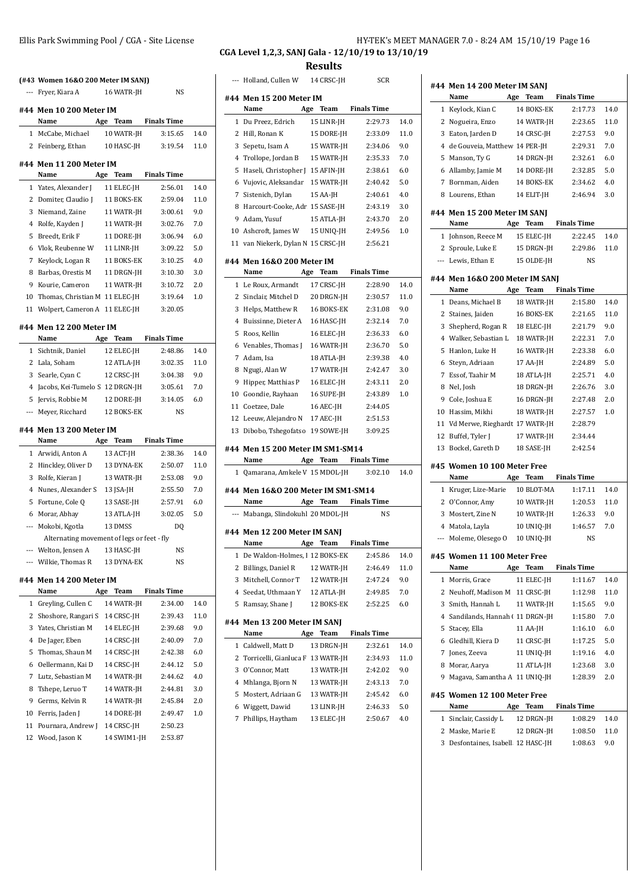|    | (#43 Women 16&0 200 Meter IM SANJ)                                 |                                    |                    |      |
|----|--------------------------------------------------------------------|------------------------------------|--------------------|------|
|    | ---   Fryer, Kiara A                                               | 16 WATR-JH                         | <b>NS</b>          |      |
|    | #44 Men 10 200 Meter IM                                            |                                    |                    |      |
|    | Name<br>1 McCabe, Michael                                          | Age Team Finals Time<br>10 WATR-JH | 3:15.65            | 14.0 |
|    | 2 Feinberg, Ethan                                                  | 10 HASC-JH                         | 3:19.54            | 11.0 |
|    |                                                                    |                                    |                    |      |
|    | #44 Men 11 200 Meter IM<br>Name                                    | Age Team Finals Time               |                    |      |
|    | 1 Yates, Alexander J                                               | 11 ELEC-JH                         | 2:56.01            | 14.0 |
|    | 2 Domiter, Claudio J 11 BOKS-EK                                    |                                    | 2:59.04            | 11.0 |
| 3  | Niemand, Zaine                                                     | 11 WATR-JH                         | 3:00.61            | 9.0  |
|    | 4 Rolfe, Kayden J                                                  | 11 WATR-JH                         | 3:02.76            | 7.0  |
| 5  | Breedt, Erik F                                                     | 11 DORE-JH                         | 3:06.94            | 6.0  |
|    | 6 Vlok, Reubenne W                                                 | 11 LINR-JH                         | 3:09.22            | 5.0  |
| 7  | Keylock, Logan R                                                   | 11 BOKS-EK                         | 3:10.25            | 4.0  |
| 8  | Barbas, Orestis M                                                  | 11 DRGN-JH                         | 3:10.30            | 3.0  |
| 9  | Kourie, Cameron                                                    | 11 WATR-JH                         | 3:10.72            | 2.0  |
|    | 10 Thomas, Christian M 11 ELEC-JH                                  |                                    | 3:19.64            | 1.0  |
|    | 11 Wolpert, Cameron A 11 ELEC-JH                                   |                                    | 3:20.05            |      |
|    | #44 Men 12 200 Meter IM                                            |                                    |                    |      |
|    | Name                                                               | Age Team Finals Time               |                    |      |
| 1  | Sichtnik, Daniel                                                   | 12 ELEC-JH                         | 2:48.86            | 14.0 |
|    | 2 Lala, Soham                                                      | 12 ATLA-JH                         | 3:02.35            | 11.0 |
| 3  | Searle, Cyan C                                                     | 12 CRSC-JH                         | 3:04.38            | 9.0  |
| 4  | Jacobs, Kei-Tumelo S 12 DRGN-JH                                    |                                    | 3:05.61            | 7.0  |
| 5  | Jervis, Robbie M                                                   | 12 DORE-JH                         | 3:14.05            | 6.0  |
|    | --- Meyer, Ricchard                                                | 12 BOKS-EK                         | <b>NS</b>          |      |
|    |                                                                    |                                    |                    |      |
|    | #44 Men 13 200 Meter IM                                            |                                    |                    |      |
|    | Name                                                               | Age Team Finals Time               |                    |      |
|    | 1 Arwidi, Anton A                                                  | 13 ACT-JH                          | 2:38.36            | 14.0 |
|    | 2 Hinckley, Oliver D                                               | 13 DYNA-EK                         | 2:50.07            | 11.0 |
| 3  | Rolfe, Kieran J                                                    | 13 WATR-JH                         | 2:53.08            | 9.0  |
|    | 4 Nunes, Alexander S                                               | 13 JSA-JH                          | 2:55.50<br>2:57.91 | 7.0  |
| 5  | Fortune, Cole Q                                                    | 13 SASE-JH                         | 3:02.05            | 6.0  |
|    | 6 Morar, Abhay                                                     | 13 ATLA-JH                         |                    | 5.0  |
|    | --- Mokobi, Kgotla                                                 | 13 DMSS                            | D <sub>0</sub>     |      |
|    | Alternating movement of legs or feet - fly<br>--- Welton, Jensen A | 13 HASC-JH                         | NS                 |      |
|    | ---   Wilkie, Thomas R                                             | 13 DYNA-EK                         | NS                 |      |
|    |                                                                    |                                    |                    |      |
|    | #44 Men 14 200 Meter IM                                            |                                    |                    |      |
|    | Name                                                               | Team<br>Age                        | <b>Finals Time</b> |      |
| 1  | Greyling, Cullen C                                                 | 14 WATR-JH                         | 2:34.00            | 14.0 |
| 2  | Shoshore, Rangari S                                                | 14 CRSC-JH                         | 2:39.43            | 11.0 |
| 3  | Yates, Christian M                                                 | 14 ELEC-JH                         | 2:39.68            | 9.0  |
| 4  | De Jager, Eben                                                     | 14 CRSC-JH                         | 2:40.09            | 7.0  |
| 5  | Thomas, Shaun M                                                    | 14 CRSC-JH                         | 2:42.38            | 6.0  |
| 6  | Oellermann, Kai D                                                  | 14 CRSC-JH                         | 2:44.12            | 5.0  |
| 7  | Lutz, Sebastian M                                                  | 14 WATR-JH                         | 2:44.62            | 4.0  |
| 8  | Tshepe, Leruo T                                                    | 14 WATR-JH                         | 2:44.81            | 3.0  |
| 9  | Germs, Kelvin R                                                    | 14 WATR-JH                         | 2:45.84            | 2.0  |
| 10 | Ferris, Jaden J                                                    | 14 DORE-JH                         | 2:49.47            | 1.0  |
| 11 | Pournara, Andrew J                                                 | 14 CRSC-JH                         | 2:50.23            |      |
| 12 | Wood, Jason K                                                      | 14 SWIM1-JH                        | 2:53.87            |      |

#### Ellis Park Swimming Pool / CGA - Site License **HY-TEK's MEET MANAGER 7.0** - 8:24 AM 15/10/19 Page 16 **CGA Level 1,2,3, SANJ Gala - 12/10/19 to 13/10/19**

**Results**

|              | Holland, Cullen W                                    |     | 14 CRSC-JH | SCR                     |      |
|--------------|------------------------------------------------------|-----|------------|-------------------------|------|
|              | #44 Men 15 200 Meter IM                              |     |            |                         |      |
|              | Name                                                 |     | Age Team   | <b>Finals Time</b>      |      |
| 1            | Du Preez, Edrich                                     |     | 15 LINR-JH | 2:29.73                 | 14.0 |
| 2            | Hill, Ronan K                                        |     | 15 DORE-JH | 2:33.09                 | 11.0 |
| 3            | Sepetu, Isam A                                       |     | 15 WATR-JH | 2:34.06                 | 9.0  |
| 4            | Trollope, Jordan B                                   |     | 15 WATR-JH | 2:35.33                 | 7.0  |
| 5            | Haseli, Christopher J 15 AFIN-JH                     |     |            | 2:38.61                 | 6.0  |
| 6            | Vujovic, Aleksandar 15 WATR-JH                       |     |            | 2:40.42                 | 5.0  |
| 7            | Sistenich, Dylan                                     |     | 15 AA-JH   | 2:40.61                 | 4.0  |
| 8            | Harcourt-Cooke, Adr 15 SASE-JH                       |     |            | 2:43.19                 | 3.0  |
|              | 9 Adam, Yusuf                                        |     | 15 ATLA-JH | 2:43.70                 | 2.0  |
|              | 10 Ashcroft, James W 15 UNIQ-JH                      |     |            | 2:49.56                 | 1.0  |
|              | 11 van Niekerk, Dylan N 15 CRSC-JH                   |     |            | 2:56.21                 |      |
|              |                                                      |     |            |                         |      |
|              | #44 Men 16&0 200 Meter IM                            |     |            |                         |      |
|              | Name                                                 |     | Age Team   | Finals Time             |      |
|              | 1 Le Roux, Armandt                                   |     | 17 CRSC-JH | 2:28.90                 | 14.0 |
| 2            | Sinclair, Mitchel D                                  |     | 20 DRGN-JH | 2:30.57                 | 11.0 |
| 3            | Helps, Matthew R 16 BOKS-EK                          |     |            | 2:31.08                 | 9.0  |
| 4            | Buissinne, Dieter A 16 HASC-JH                       |     |            | 2:32.14                 | 7.0  |
| 5            | Roos, Kellin                                         |     | 16 ELEC-JH | 2:36.33                 | 6.0  |
| 6            | Venables, Thomas J 16 WATR-JH                        |     |            | 2:36.70                 | 5.0  |
| 7            | Adam, Isa                                            |     | 18 ATLA-JH | 2:39.38                 | 4.0  |
| 8            | Ngugi, Alan W                                        |     | 17 WATR-JH | 2:42.47                 | 3.0  |
| 9            | Hipper, Matthias P                                   |     | 16 ELEC-JH | 2:43.11                 | 2.0  |
|              | 10 Goondie, Rayhaan                                  |     | 16 SUPE-JH | 2:43.89                 | 1.0  |
|              | 11 Coetzee, Dale                                     |     | 16 AEC-JH  | 2:44.05                 |      |
|              | 12 Leeuw, Alejandro N                                |     | 17 AEC-JH  | 2:51.53                 |      |
|              | 13 Dibobo, Tshegofatso 19 SOWE-JH                    |     |            | 3:09.25                 |      |
|              |                                                      |     |            |                         |      |
|              | #44 Men 15 200 Meter IM SM1-SM14                     |     |            |                         |      |
|              | Name                                                 | Age |            | Team Finals Time        |      |
| $\mathbf{1}$ | Qamarana, Amkele V 15 MDOL-JH                        |     |            | 3:02.10                 | 14.0 |
|              | #44 Men 16&0 200 Meter IM SM1-SM14                   |     |            |                         |      |
|              | Name                                                 | Age |            | <b>Team</b> Finals Time |      |
|              | Mabanga, Slindokuhl 20 MDOL-JH                       |     |            | NS                      |      |
|              |                                                      |     |            |                         |      |
|              | #44 Men 12 200 Meter IM SANJ<br>Name                 | Age | Team       | <b>Finals Time</b>      |      |
|              |                                                      |     |            | 2:45.86                 |      |
| 1            | De Waldon-Holmes, 1 12 BOKS-EK<br>Billings, Daniel R |     |            |                         | 14.0 |
| 2            |                                                      |     | 12 WATR-JH | 2:46.49                 | 11.0 |
| 3            | Mitchell, Connor T                                   |     | 12 WATR-JH | 2:47.24                 | 9.0  |
| 4            | Seedat, Uthmaan Y                                    |     | 12 ATLA-JH | 2:49.85                 | 7.0  |
| 5            | Ramsay, Shane J                                      |     | 12 BOKS-EK | 2:52.25                 | 6.0  |
|              | #44 Men 13 200 Meter IM SANJ                         |     |            |                         |      |
|              | Name                                                 |     | Age Team   | <b>Finals Time</b>      |      |
| 1            | Caldwell, Matt D                                     |     | 13 DRGN-JH | 2:32.61                 | 14.0 |
| 2            | Torricelli, Gianluca F 13 WATR-JH                    |     |            | 2:34.93                 | 11.0 |
| 3            | O'Connor, Matt                                       |     | 13 WATR-JH | 2:42.02                 | 9.0  |
| 4            | Mhlanga, Bjorn N                                     |     | 13 WATR-JH | 2:43.13                 | 7.0  |
| 5            | Mostert, Adriaan G                                   |     | 13 WATR-JH | 2:45.42                 | 6.0  |
| 6            | Wiggett, Dawid                                       |     |            |                         | 5.0  |
|              |                                                      |     | 13 LINR-JH | 2:46.33                 |      |
| 7            | Phillips, Haytham                                    |     | 13 ELEC-JH | 2:50.67                 | 4.0  |
|              |                                                      |     |            |                         |      |

|   | #44 Men 14 200 Meter IM SANJ<br>Name | Age Team    | <b>Finals Time</b> |      |
|---|--------------------------------------|-------------|--------------------|------|
|   | 1 Keylock, Kian C                    | 14 BOKS-EK  | 2:17.73            | 14.0 |
|   | 2 Nogueira, Enzo                     | 14 WATR-JH  | 2:23.65            | 11.0 |
|   | 3 Eaton, Jarden D                    | 14 CRSC-JH  | 2:27.53            | 9.0  |
|   | 4 de Gouveia, Matthew 14 PER-JH      |             | 2:29.31            | 7.0  |
|   | 5 Manson, Ty G                       | 14 DRGN-JH  | 2:32.61            | 6.0  |
|   | 6 Allamby, Jamie M                   | 14 DORE-JH  | 2:32.85            | 5.0  |
|   | 7 Bornman, Aiden                     | 14 BOKS-EK  | 2:34.62            | 4.0  |
|   | 8 Lourens, Ethan                     | 14 ELIT-JH  | 2:46.94            | 3.0  |
|   | #44 Men 15 200 Meter IM SANJ         |             |                    |      |
|   | Name                                 | Age Team    | <b>Finals Time</b> |      |
|   | 1 Johnson, Reece M                   | 15 ELEC-JH  | 2:22.45            | 14.0 |
|   | 2 Sproule, Luke E                    | 15 DRGN-JH  | 2:29.86            | 11.0 |
|   | --- Lewis, Ethan E                   | 15 OLDE-JH  | NS                 |      |
|   | #44 Men 16&0 200 Meter IM SANJ       |             |                    |      |
|   | Name                                 | Age<br>Team | <b>Finals Time</b> |      |
|   | 1 Deans. Michael B                   | 18 WATR-JH  | 2:15.80            | 14.0 |
|   | 2 Staines, Jaiden                    | 16 BOKS-EK  | 2:21.65            | 11.0 |
|   | 3 Shepherd, Rogan R                  | 18 ELEC-JH  | 2:21.79            | 9.0  |
|   | 4 Walker, Sebastian L                | 18 WATR-JH  | 2:22.31            | 7.0  |
|   | 5 Hanlon, Luke H                     | 16 WATR-JH  | 2:23.38            | 6.0  |
|   | 6 Steyn, Adriaan                     | 17 AA-JH    | 2:24.89            | 5.0  |
|   | 7 Essof, Taahir M                    | 18 ATLA-JH  | 2:25.71            | 4.0  |
|   | 8 Nel, Josh                          | 18 DRGN-JH  | 2:26.76            | 3.0  |
|   | 9 Cole, Joshua E                     | 16 DRGN-JH  | 2:27.48            | 2.0  |
|   | 10 Hassim, Mikhi                     | 18 WATR-JH  | 2:27.57            | 1.0  |
|   | 11 Vd Merwe, Rieghardt 17 WATR-JH    |             | 2:28.79            |      |
|   | 12 Buffel, Tyler J                   | 17 WATR-JH  | 2:34.44            |      |
|   | 13 Bockel, Gareth D                  | 18 SASE-JH  | 2:42.54            |      |
|   | #45 Women 10 100 Meter Free          |             |                    |      |
|   | Name                                 | Team<br>Age | <b>Finals Time</b> |      |
|   | 1 Kruger, Lize-Marie                 | 10 BLOT-MA  | 1:17.11            | 14.0 |
|   | 2 O'Connor, Amy                      | 10 WATR-JH  | 1:20.53            | 11.0 |
|   | 3 Mostert, Zine N                    | 10 WATR-JH  | 1:26.33            | 9.0  |
|   | 4 Matola, Layla                      | 10 UNIQ-JH  | 1:46.57            | 7.0  |
|   | --- Moleme, Olesego O                | 10 UNIO-JH  | NS                 |      |
|   | #45 Women 11 100 Meter Free<br>Name  | Age<br>Team | <b>Finals Time</b> |      |
| 1 | Morris, Grace                        | 11 ELEC-JH  | 1:11.67            | 14.0 |
|   | 2 Neuhoff, Madison M 11 CRSC-JH      |             | 1:12.98            | 11.0 |
|   | 3 Smith, Hannah L                    | 11 WATR-JH  | 1:15.65            | 9.0  |
|   | 4 Sandilands, Hannah (11 DRGN-JH     |             | 1:15.80            | 7.0  |
|   | 5 Stacev. Ella                       | 11 AA-JH    | 1:16.10            | 6.0  |
|   | 6 Gledhill, Kiera D                  | 11 CRSC-JH  | 1:17.25            | 5.0  |
|   | 7 Jones, Zeeva                       | 11 UNIQ-JH  | 1:19.16            | 4.0  |
|   | 8 Morar, Aarya                       | 11 ATLA-JH  | 1:23.68            | 3.0  |
|   | 9 Magava, Samantha A 11 UNIQ-JH      |             | 1:28.39            | 2.0  |
|   |                                      |             |                    |      |
|   | #45 Women 12 100 Meter Free          |             |                    |      |
|   | Name                                 | Age<br>Team | <b>Finals Time</b> |      |
| 1 | Sinclair, Cassidy L                  | 12 DRGN-JH  | 1:08.29            | 14.0 |
|   | 2 Maske, Marie E                     | 12 DRGN-JH  | 1:08.50            | 11.0 |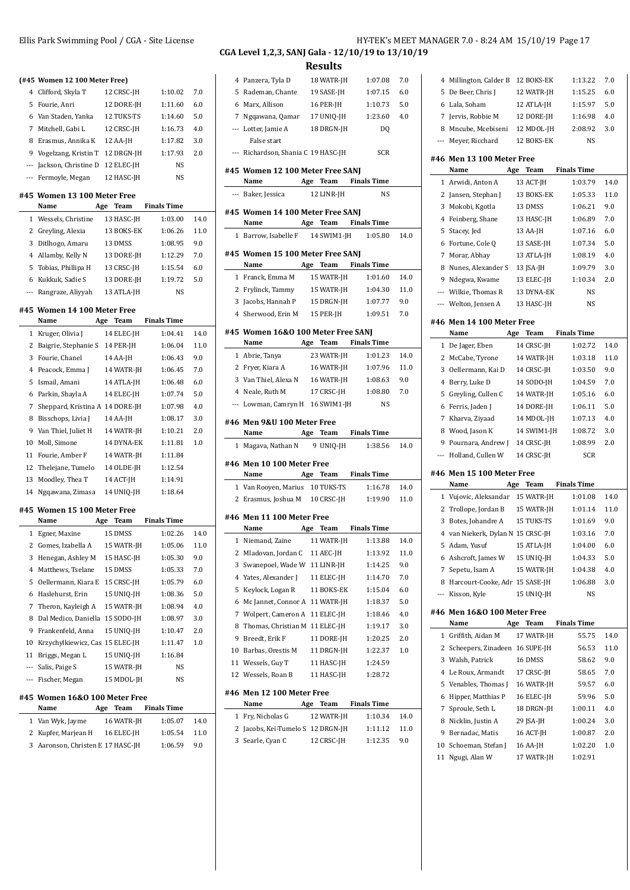|    | (#45 Women 12 100 Meter Free)           |                          |                    |              |
|----|-----------------------------------------|--------------------------|--------------------|--------------|
|    | 4 Clifford, Skyla T                     | 12 CRSC-JH               | 1:10.02            | 7.0          |
|    | 5 Fourie, Anri                          | 12 DORE-JH               | 1:11.60            | 6.0          |
|    | 6 Van Staden, Yanka                     | 12 TUKS-TS               | 1:14.60            | 5.0          |
|    | 7 Mitchell, Gabi L                      | 12 CRSC-JH               | 1:16.73            | 4.0          |
|    | 8 Erasmus, Annika K                     | 12 AA-JH                 | 1:17.82            | 3.0          |
|    | 9 Vogelzang, Kristin T                  | 12 DRGN-JH               | 1:17.93            | 2.0          |
|    | --- Jackson, Christine D                | 12 ELEC-JH               | NS                 |              |
|    | --- Fermoyle, Megan                     | 12 HASC-JH               | <b>NS</b>          |              |
|    | #45 Women 13 100 Meter Free<br>Name     | Age Team                 | <b>Finals Time</b> |              |
|    | 1 Wessels, Christine                    | 13 HASC-JH               | 1:03.00            | 14.0         |
|    | 2 Greyling, Alexia                      | 13 BOKS-EK               | 1:06.26            | 11.0         |
|    | 3 Ditlhogo, Amaru                       | 13 DMSS                  | 1:08.95            | 9.0          |
|    | 4 Allamby, Kelly N                      | 13 DORE-JH               | 1:12.29            | 7.0          |
|    | 5 Tobias, Phillipa H                    | 13 CRSC-JH               | 1:15.54            | 6.0          |
|    | 6 Kukkuk, Sadie S                       | 13 DORE-JH               | 1:19.72            | 5.0          |
|    | --- Rangraze, Aliyyah                   | 13 ATLA-JH               | <b>NS</b>          |              |
|    | #45 Women 14 100 Meter Free             |                          |                    |              |
|    | Name                                    | Age Team                 | <b>Finals Time</b> |              |
|    | 1 Kruger, Olivia J                      | 14 ELEC-JH               | 1:04.41            | 14.0         |
|    | 2 Baigrie, Stephanie S                  | 14 PER-JH                | 1:06.04            | 11.0         |
|    | 3 Fourie, Chanel                        | 14 AA-JH                 | 1:06.43            | 9.0          |
|    | 4 Peacock, Emma J                       | 14 WATR-JH               | 1:06.45            | 7.0          |
| 5  | Ismail, Amani                           | 14 ATLA-JH               | 1:06.48            | 6.0          |
|    | 6 Parkin, Shayla A                      | 14 ELEC-JH               | 1:07.74            | 5.0          |
| 7  | Sheppard, Kristina A 14 DORE-JH         |                          | 1:07.98            | 4.0          |
|    | 8 Bisschops, Livia J                    | 14 AA-JH                 | 1:08.17            | 3.0          |
|    | 9 Van Thiel, Juliet H                   | 14 WATR-JH               | 1:10.21            | 2.0          |
|    | 10 Moll, Simone                         | 14 DYNA-EK               | 1:11.81            | 1.0          |
| 11 | Fourie, Amber F                         | 14 WATR-JH               | 1:11.84            |              |
|    | 12 Thelejane, Tumelo                    | 14 OLDE-JH               | 1:12.54            |              |
|    | 13 Moodley, Thea T                      | 14 ACT-JH                | 1:14.91            |              |
|    | 14 Ngqawana, Zimasa                     | 14 UNIQ-JH               | 1:18.64            |              |
|    | #45 Women 15 100 Meter Free             |                          |                    |              |
|    | Name<br>Age                             | Team                     | <b>Finals Time</b> |              |
| 1  | Egner, Maxine                           | 15 DMSS                  | 1:02.26            | 14.0         |
|    | 2 Gomes, Izabella A                     | 15 WATR-JH               | 1:05.06            | 11.0         |
| 3  | Henegan, Ashley M                       | 15 HASC-JH               | 1:05.30            | 9.0          |
|    | 4 Matthews, Tselane                     | 15 DMSS                  | 1:05.33            | 7.0          |
|    | 5 Oellermann, Kiara E                   | 15 CRSC-JH               | 1:05.79            | 6.0          |
|    | Haslehurst, Erin                        | 15 UNIQ-JH               | 1:08.36            | 5.0          |
| 6  |                                         |                          | 1:08.94            | 4.0          |
|    | 7 Theron, Kayleigh A                    | 15 WATR-JH               |                    | 3.0          |
| 8  | Dal Medico, Daniella                    | 15 SODO-JH               | 1:08.97            |              |
| 9  | Frankenfeld, Anna                       | 15 UNIO-JH               | 1:10.47            | 2.0          |
| 10 | Krzychylkiewicz, Cas 15 ELEC-JH         |                          | 1:11.47            | 1.0          |
|    | 11 Briggs, Megan L                      | 15 UNIQ-JH               | 1:16.84            |              |
|    | --- Salis, Paige S                      | 15 WATR-JH               | NS                 |              |
|    | --- Fischer, Megan                      | 15 MDOL-JH               | NS                 |              |
|    | #45 Women 16&0 100 Meter Free           |                          |                    |              |
|    | Name<br>Age                             | Team                     | <b>Finals Time</b> |              |
|    | 1 Van Wyk, Jayme<br>2 Kupfer, Marjean H | 16 WATR-JH<br>16 ELEC-JH | 1:05.07<br>1:05.54 | 14.0<br>11.0 |

## Panzera, Tyla D 18 WATR-JH 1:07.08 7.0 Rademan, Chante 19 SASE-JH 1:07.15 6.0 Marx, Allison 16 PER-JH 1:10.73 5.0 Ngqawana, Qamar 17 UNIQ-JH 1:23.60 4.0 --- Lotter, Jamie A 18 DRGN-JH DQ False start --- Richardson, Shania C 19 HASC-JH SCR **#45 Women 12 100 Meter Free SANJ Name Age Team Finals Time** --- Baker, Jessica 12 LINR-JH NS **#45 Women 14 100 Meter Free SANJ Name Age Team Finals Time** Barrow, Isabelle F 14 SWIM1-JH 1:05.80 14.0 **#45 Women 15 100 Meter Free SANJ Name Age Team Finals Time** Franck, Emma M 15 WATR-JH 1:01.60 14.0 Frylinck, Tammy 15 WATR-JH 1:04.30 11.0 Jacobs, Hannah P 15 DRGN-JH 1:07.77 9.0 Sherwood, Erin M 15 PER-JH 1:09.51 7.0 **#45 Women 16&O 100 Meter Free SANJ Name Age Team Finals Time** Abrie, Tanya 23 WATR-JH 1:01.23 14.0 Fryer, Kiara A 16 WATR-JH 1:07.96 11.0 3 Van Thiel, Alexa N 16 WATR-JH 1:08.63 9.0 Neale, Ruth M 17 CRSC-JH 1:08.80 7.0 --- Lowman, Camryn H 16 SWIM1-JH NS **#46 Men 9&U 100 Meter Free Name Age Team Finals Time** Magava, Nathan N 9 UNIQ-JH 1:38.56 14.0 **#46 Men 10 100 Meter Free Name Age Team Finals Time** Van Rooyen, Marius 10 TUKS-TS 1:16.78 14.0 2 Erasmus, Joshua M 10 CRSC-JH 1:19.90 11.0 **#46 Men 11 100 Meter Free Name Age Team Finals Time** Niemand, Zaine 11 WATR-JH 1:13.88 14.0 2 Mladovan, Jordan C 11 AEC-JH 1:13.92 11.0 3 Swanepoel, Wade W 11 LINR-JH 1:14.25 9.0 Yates, Alexander J 11 ELEC-JH 1:14.70 7.0 Keylock, Logan R 11 BOKS-EK 1:15.04 6.0 6 Mc Jannet, Connor A 11 WATR-JH 1:18.37 5.0 7 Wolpert, Cameron A 11 ELEC-JH 1:18.46 4.0 8 Thomas, Christian M 11 ELEC-JH 1:19.17 3.0 9 Breedt, Erik F 11 DORE-JH 1:20.25 2.0 Barbas, Orestis M 11 DRGN-JH 1:22.37 1.0 11 Wessels, Guy T 11 HASC-JH 1:24.59 12 Wessels, Roan B 11 HASC-JH 1:28.72 **#46 Men 12 100 Meter Free Name Age Team Finals Time** Fry, Nicholas G 12 WATR-JH 1:10.34 14.0 Jacobs, Kei-Tumelo S 12 DRGN-JH 1:11.12 11.0 Searle, Cyan C 12 CRSC-JH 1:12.35 9.0

Ellis Park Swimming Pool / CGA - Site License **HEET MANAGER 7.0 - 8:24 AM 15/10/19** Page 17 **CGA Level 1,2,3, SANJ Gala - 12/10/19 to 13/10/19**

> Millington, Calder B 12 BOKS-EK 1:13.22 7.0 5 De Beer, Chris J 12 WATR-JH 1:15.25 6.0

| 6                             | Lala, Soham                                     | 12 ATLA-JH  | 1:15.97            | 5.0  |
|-------------------------------|-------------------------------------------------|-------------|--------------------|------|
| 7                             | Jervis, Robbie M                                | 12 DORE-JH  | 1:16.98            | 4.0  |
| 8                             | Mncube, Mcebiseni                               | 12 MDOL-JH  | 2:08.92            | 3.0  |
| ---                           | Meyer, Ricchard                                 | 12 BOKS-EK  | NS                 |      |
|                               |                                                 |             |                    |      |
|                               | #46 Men 13 100 Meter Free                       |             |                    |      |
|                               | Name<br>Age                                     | Team        | <b>Finals Time</b> |      |
| 1                             | Arwidi, Anton A                                 | 13 ACT-JH   | 1:03.79            | 14.0 |
| 2                             | Jansen, Stephan J                               | 13 BOKS-EK  | 1:05.33            | 11.0 |
| 3                             | Mokobi, Kgotla                                  | 13 DMSS     | 1:06.21            | 9.0  |
| 4                             | Feinberg, Shane                                 | 13 HASC-JH  | 1:06.89            | 7.0  |
| 5                             | Stacey, Jed                                     | 13 AA-JH    | 1:07.16            | 6.0  |
| 6                             | Fortune, Cole Q                                 | 13 SASE-JH  | 1:07.34            | 5.0  |
| 7                             | Morar, Abhay                                    | 13 ATLA-JH  | 1:08.19            | 4.0  |
| 8                             | Nunes, Alexander S                              | 13 JSA-JH   | 1:09.79            | 3.0  |
| 9                             | Ndegwa, Kwame                                   | 13 ELEC-JH  | 1:10.34            | 2.0  |
| ---                           | Wilkie, Thomas R                                | 13 DYNA-EK  | NS                 |      |
|                               | --- Welton, Jensen A                            | 13 HASC-JH  | <b>NS</b>          |      |
|                               | #46 Men 14 100 Meter Free                       |             |                    |      |
|                               | Name                                            | Age<br>Team | <b>Finals Time</b> |      |
| 1                             | De Jager, Eben                                  | 14 CRSC-JH  | 1:02.72            | 14.0 |
| 2                             | McCabe, Tyrone                                  | 14 WATR-JH  | 1:03.18            | 11.0 |
| 3                             | Oellermann, Kai D                               | 14 CRSC-JH  | 1:03.50            | 9.0  |
| 4                             | Berry, Luke D                                   | 14 SODO-JH  | 1:04.59            | 7.0  |
| 5                             | Greyling, Cullen C                              | 14 WATR-JH  | 1:05.16            | 6.0  |
| 6                             | Ferris, Jaden J                                 | 14 DORE-JH  | 1:06.11            | 5.0  |
| 7                             | Kharva, Ziyaad                                  | 14 MDOL-JH  | 1:07.13            | 4.0  |
| 8                             | Wood, Jason K                                   | 14 SWIM1-JH | 1:08.72            | 3.0  |
| 9                             | Pournara, Andrew J                              | 14 CRSC-JH  | 1:08.99            | 2.0  |
| ---                           | Holland, Cullen W                               | 14 CRSC-JH  | <b>SCR</b>         |      |
|                               |                                                 |             |                    |      |
|                               | #46 Men 15 100 Meter Free<br>Name<br>Age        | Team        | <b>Finals Time</b> |      |
| 1                             | Vujovic, Aleksandar                             | 15 WATR-JH  | 1:01.08            | 14.0 |
| 2                             | Trollope, Jordan B                              | 15 WATR-JH  | 1:01.14            | 11.0 |
| 3                             | Botes, Johandre A                               | 15 TUKS-TS  | 1:01.69            | 9.0  |
| 4                             | van Niekerk, Dylan N 15 CRSC-JH                 |             | 1:03.16            | 7.0  |
| 5                             | Adam, Yusuf                                     | 15 ATLA-JH  | 1:04.00            | 6.0  |
| 6                             | Ashcroft, James W                               | 15 UNIQ-JH  | 1:04.33            | 5.0  |
| 7                             | Sepetu, Isam A                                  | 15 WATR-JH  | 1:04.38            | 4.0  |
|                               |                                                 |             |                    | 3.0  |
| 8<br>$\overline{\phantom{a}}$ | Harcourt-Cooke, Adr. 15 SASE-JH<br>Kisson, Kyle | 15 UNIQ-JH  | 1:06.88<br>NS      |      |
|                               |                                                 |             |                    |      |
|                               | #46 Men 16&0 100 Meter Free                     |             |                    |      |
|                               | Name                                            | Age<br>Team | <b>Finals Time</b> |      |
| 1                             | Griffith, Aidan M                               | 17 WATR-JH  | 55.75              | 14.0 |
| 2                             | Scheepers, Zinadeen 16 SUPE-JH                  |             | 56.53              | 11.0 |
| 3                             | Walsh, Patrick                                  | 16 DMSS     | 58.62              | 9.0  |
| 4                             | Le Roux, Armandt                                | 17 CRSC-JH  | 58.65              | 7.0  |
| 5                             | Venables, Thomas J                              | 16 WATR-JH  | 59.57              | 6.0  |
| 6                             | Hipper, Matthias P                              | 16 ELEC-JH  | 59.96              | 5.0  |
| 7                             | Sproule, Seth L                                 | 18 DRGN-JH  | 1:00.11            | 4.0  |
| 8                             | Nicklin, Justin A                               | 29 JSA-JH   | 1:00.24            | 3.0  |
| 9                             | Bernadac, Matis                                 | 16 ACT-JH   | 1:00.87            | 2.0  |
| 10                            | Schoeman, Stefan J                              | 16 AA-JH    | 1:02.20            | 1.0  |
| 11                            | Ngugi, Alan W                                   | 17 WATR-JH  | 1:02.91            |      |
|                               |                                                 |             |                    |      |
|                               |                                                 |             |                    |      |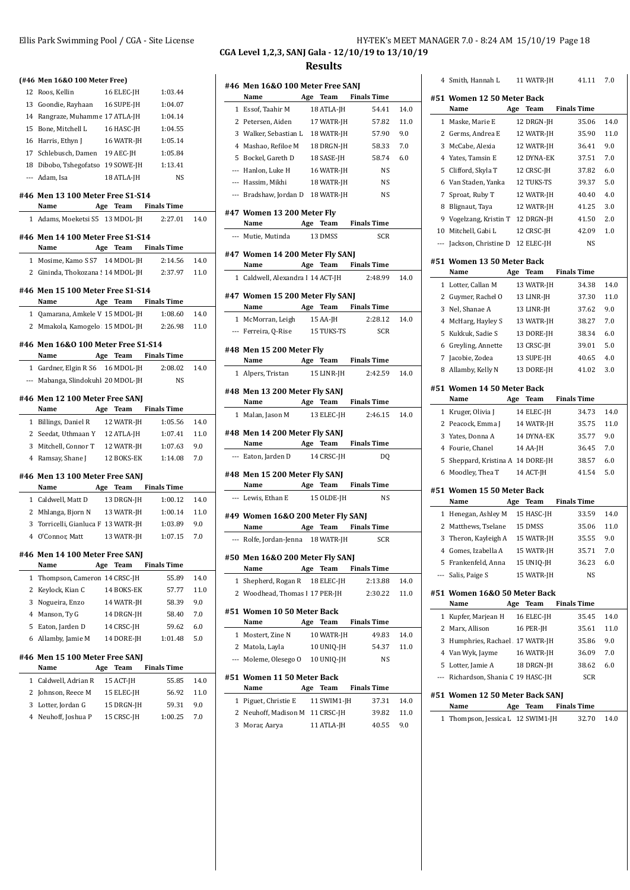| Ellis Park Swimming Pool / CGA - Site License | HY-TEK's MEET MANAGER 7.0 - 8:24 AM 15/10/19 Page 18 |
|-----------------------------------------------|------------------------------------------------------|
|                                               | CGA Level 1,2,3, SANJ Gala - 12/10/19 to 13/10/19    |
|                                               | $D_{\alpha\alpha}$ . $L_{\alpha}$                    |

**Results**

|                          | (#46 Men 16&0 100 Meter Free)              |            |                    |                |                                          |             |                    |      |
|--------------------------|--------------------------------------------|------------|--------------------|----------------|------------------------------------------|-------------|--------------------|------|
|                          | 12 Roos, Kellin                            | 16 ELEC-JH | 1:03.44            |                | #46 Men 16&0 100 Meter Free SANJ<br>Name |             |                    |      |
|                          | 13 Goondie, Rayhaan                        | 16 SUPE-JH | 1:04.07            |                |                                          | Age Team    | <b>Finals Time</b> |      |
|                          | 14 Rangraze, Muhamme 17 ATLA-JH            |            | 1:04.14            |                | 1 Essof, Taahir M                        | 18 ATLA-JH  | 54.41              | 14.0 |
|                          | 15 Bone, Mitchell L                        | 16 HASC-JH | 1:04.55            |                | 2 Petersen, Aiden                        | 17 WATR-JH  | 57.82              | 11.0 |
|                          | 16 Harris, Ethyn J                         | 16 WATR-JH | 1:05.14            |                | 3 Walker, Sebastian L                    | 18 WATR-JH  | 57.90              | 9.0  |
|                          | 17 Schlebusch, Damen                       | 19 AEC-JH  | 1:05.84            | 4              | Mashao, Refiloe M                        | 18 DRGN-JH  | 58.33              | 7.0  |
|                          | 18 Dibobo, Tshegofatso 19 SOWE-JH          |            | 1:13.41            |                | 5 Bockel, Gareth D                       | 18 SASE-JH  | 58.74              | 6.0  |
|                          | --- Adam. Isa                              | 18 ATLA-JH | NS                 | $\overline{a}$ | Hanlon, Luke H                           | 16 WATR-JH  | NS                 |      |
|                          |                                            |            |                    |                | Hassim, Mikhi                            | 18 WATR-JH  | NS                 |      |
|                          | #46 Men 13 100 Meter Free S1-S14<br>Name   | Team       | <b>Finals Time</b> |                | Bradshaw, Jordan D                       | 18 WATR-JH  | NS                 |      |
|                          | Age<br>1 Adams, Moeketsi S5 13 MDOL-JH     |            |                    |                | #47 Women 13 200 Meter Fly               |             |                    |      |
|                          |                                            |            | 2:27.01            | 14.0           | Name                                     | Age Team    | <b>Finals Time</b> |      |
|                          | #46 Men 14 100 Meter Free S1-S14           |            |                    |                | --- Mutie, Mutinda                       | 13 DMSS     | SCR                |      |
|                          | Name                                       | Age Team   | <b>Finals Time</b> |                | #47 Women 14 200 Meter Fly SANJ          |             |                    |      |
|                          | 1 Mosime, Kamo S S7 14 MDOL-JH             |            | 2:14.56            | 14.0           | Name                                     | Age Team    | <b>Finals Time</b> |      |
|                          | 2 Gininda, Thokozana ! 14 MDOL-JH          |            | 2:37.97            | 11.0           | 1 Caldwell, Alexandra I 14 ACT-JH        |             | 2:48.99            | 14.0 |
|                          | #46 Men 15 100 Meter Free S1-S14           |            |                    |                |                                          |             |                    |      |
|                          | Name                                       | Age Team   | <b>Finals Time</b> |                | #47 Women 15 200 Meter Fly SANJ          |             |                    |      |
|                          | 1 Qamarana, Amkele V 15 MDOL-JH            |            | 1:08.60            | 14.0           | Name                                     | Age Team    | <b>Finals Time</b> |      |
|                          | 2 Mmakola, Kamogelo 15 MDOL-JH             |            | 2:26.98            | 11.0           | 1 McMorran, Leigh                        | 15 AA-JH    | 2:28.12            | 14.0 |
|                          |                                            |            |                    |                | --- Ferreira, Q-Rise                     | 15 TUKS-TS  | <b>SCR</b>         |      |
|                          | #46 Men 16&0 100 Meter Free S1-S14<br>Name | Age Team   | <b>Finals Time</b> |                | #48 Men 15 200 Meter Fly                 |             |                    |      |
|                          | 1 Gardner, Elgin R S6 16 MDOL-JH           |            | 2:08.02            | 14.0           | Name                                     | Age Team    | <b>Finals Time</b> |      |
| $\hspace{0.05cm} \cdots$ | Mabanga, Slindokuhl 20 MDOL-JH             |            | <b>NS</b>          |                | 1 Alpers, Tristan                        | 15 LINR-JH  | 2:42.59            | 14.0 |
|                          |                                            |            |                    |                | #48 Men 13 200 Meter Fly SANJ            |             |                    |      |
|                          | #46 Men 12 100 Meter Free SANJ             |            |                    |                | Name                                     | Age Team    | <b>Finals Time</b> |      |
|                          | Name                                       | Age Team   | <b>Finals Time</b> |                | 1 Malan, Jason M                         | 13 ELEC-JH  | 2:46.15            | 14.0 |
|                          | 1 Billings, Daniel R                       | 12 WATR-JH | 1:05.56            | 14.0           |                                          |             |                    |      |
|                          | 2 Seedat, Uthmaan Y                        | 12 ATLA-JH | 1:07.41            | 11.0           | #48 Men 14 200 Meter Fly SANJ            |             | <b>Finals Time</b> |      |
|                          | 3 Mitchell, Connor T                       | 12 WATR-JH | 1:07.63            | 9.0            | Name                                     | Age Team    |                    |      |
|                          | 4 Ramsay, Shane J                          | 12 BOKS-EK | 1:14.08            | 7.0            | --- Eaton, Jarden D                      | 14 CRSC-JH  | DQ                 |      |
|                          | #46 Men 13 100 Meter Free SANJ             |            |                    |                | #48 Men 15 200 Meter Fly SANJ            |             |                    |      |
|                          | Name                                       | Age Team   | <b>Finals Time</b> |                | Name                                     | Age Team    | <b>Finals Time</b> |      |
|                          | 1 Caldwell, Matt D                         | 13 DRGN-JH | 1:00.12            | 14.0           | --- Lewis, Ethan E                       | 15 OLDE-JH  | NS                 |      |
|                          | 2 Mhlanga, Bjorn N                         | 13 WATR-JH | 1:00.14            | 11.0           | #49 Women 16&0 200 Meter Fly SANJ        |             |                    |      |
|                          | 3 Torricelli, Gianluca F 13 WATR-JH        |            | 1:03.89            | 9.0            | Name                                     | Age Team    | <b>Finals Time</b> |      |
|                          | 4 O'Connor, Matt                           | 13 WATR-JH | 1:07.15            | 7.0            | --- Rolfe, Jordan-Jenna 18 WATR-JH       |             | SCR                |      |
|                          | #46 Men 14 100 Meter Free SANJ             |            |                    |                |                                          |             |                    |      |
|                          | Name                                       | Age Team   | <b>Finals Time</b> |                | #50 Men 16&0 200 Meter Fly SANJ          |             |                    |      |
|                          | 1 Thompson, Cameron 14 CRSC-JH             |            | 55.89              | 14.0           | Name                                     | Age Team    | <b>Finals Time</b> |      |
|                          | 2 Keylock, Kian C                          | 14 BOKS-EK | 57.77              | 11.0           | 1 Shepherd, Rogan R                      | 18 ELEC-JH  | 2:13.88            | 14.0 |
|                          | 3 Nogueira, Enzo                           | 14 WATR-JH | 58.39              | 9.0            | 2 Woodhead, Thomas I 17 PER-JH           |             | 2:30.22            | 11.0 |
|                          | 4 Manson, Ty G                             | 14 DRGN-JH | 58.40              | 7.0            | #51 Women 10 50 Meter Back               |             |                    |      |
|                          | 5 Eaton, Jarden D                          | 14 CRSC-JH | 59.62              | 6.0            | Name                                     | Age Team    | <b>Finals Time</b> |      |
|                          | 6 Allamby, Jamie M                         | 14 DORE-JH | 1:01.48            | 5.0            | 1 Mostert, Zine N                        | 10 WATR-JH  | 49.83              | 14.0 |
|                          |                                            |            |                    |                | 2 Matola, Layla                          | 10 UNIQ-JH  | 54.37              | 11.0 |
|                          | #46 Men 15 100 Meter Free SANJ             |            |                    |                | --- Moleme, Olesego O                    | 10 UNIQ-JH  | NS                 |      |
|                          | Name                                       | Age Team   | <b>Finals Time</b> |                | #51 Women 11 50 Meter Back               |             |                    |      |
|                          | 1 Caldwell, Adrian R                       | 15 ACT-JH  | 55.85              | 14.0           | Name                                     | Age Team    | <b>Finals Time</b> |      |
|                          | 2 Johnson, Reece M                         | 15 ELEC-JH | 56.92              | 11.0           | 1 Piguet, Christie E                     | 11 SWIM1-JH | 37.31              | 14.0 |
|                          | 3 Lotter, Jordan G                         | 15 DRGN-JH | 59.31              | 9.0            | 2 Neuhoff, Madison M 11 CRSC-JH          |             | 39.82              | 11.0 |
|                          | 4 Neuhoff, Joshua P                        | 15 CRSC-JH | 1:00.25            | 7.0            | 3 Morar, Aarya                           | 11 ATLA-JH  | 40.55              | 9.0  |
|                          |                                            |            |                    |                |                                          |             |                    |      |

|                | 4 Smith, Hannah L                                      |     | 11 WATR-JH               | 41.11              | 7.0  |
|----------------|--------------------------------------------------------|-----|--------------------------|--------------------|------|
|                | #51 Women 12 50 Meter Back                             |     |                          | <b>Finals Time</b> |      |
| 1              | Name                                                   | Age | Team                     | 35.06              | 14.0 |
|                | Maske, Marie E<br>2 Germs, Andrea E                    |     | 12 DRGN-JH<br>12 WATR-JH | 35.90              | 11.0 |
| 3              | McCabe, Alexia                                         |     |                          |                    | 9.0  |
|                |                                                        |     | 12 WATR-JH               | 36.41              |      |
|                | 4 Yates, Tamsin E                                      |     | 12 DYNA-EK               | 37.51              | 7.0  |
| 5              | Clifford, Skyla T                                      |     | 12 CRSC-JH               | 37.82              | 6.0  |
|                | 6 Van Staden, Yanka                                    |     | 12 TUKS-TS               | 39.37              | 5.0  |
| 7              | Sproat, Ruby T                                         |     | 12 WATR-JH               | 40.40              | 4.0  |
|                | 8 Blignaut, Taya                                       |     | 12 WATR-JH               | 41.25              | 3.0  |
| 9              | Vogelzang, Kristin T 12 DRGN-JH                        |     |                          | 41.50              | 2.0  |
| 10             | Mitchell, Gabi L                                       |     | 12 CRSC-JH               | 42.09              | 1.0  |
| $---$          | Jackson, Christine D 12 ELEC-JH                        |     |                          | <b>NS</b>          |      |
|                | #51 Women 13 50 Meter Back<br>Name                     | Age | Team                     | <b>Finals Time</b> |      |
|                | 1 Lotter, Callan M                                     |     | 13 WATR-JH               | 34.38              | 14.0 |
|                | 2 Guymer, Rachel O                                     |     | 13 LINR-JH               | 37.30              | 11.0 |
| 3              | Nel, Shanae A                                          |     | 13 LINR-JH               | 37.62              | 9.0  |
|                | 4 McHarg, Hayley S                                     |     | 13 WATR-JH               | 38.27              | 7.0  |
| 5              | Kukkuk, Sadie S                                        |     | 13 DORE-JH               | 38.34              | 6.0  |
|                | 6 Greyling, Annette                                    |     | 13 CRSC-JH               | 39.01              | 5.0  |
| 7              | Jacobie, Zodea                                         |     | 13 SUPE-JH               | 40.65              | 4.0  |
| 8              | Allamby, Kelly N                                       |     | 13 DORE-JH               | 41.02              | 3.0  |
|                |                                                        |     |                          |                    |      |
|                | #51 Women 14 50 Meter Back                             |     |                          |                    |      |
|                | Name                                                   |     | Age Team                 | <b>Finals Time</b> |      |
|                | 1 Kruger, Olivia J                                     |     | 14 ELEC-JH               | 34.73              | 14.0 |
| $\overline{2}$ | Peacock, Emma J                                        |     | 14 WATR-JH               | 35.75              | 11.0 |
|                | 3 Yates, Donna A                                       |     | 14 DYNA-EK               | 35.77              | 9.0  |
|                | 4 Fourie, Chanel                                       |     | 14 AA-JH                 | 36.45              | 7.0  |
| 5              | Sheppard, Kristina A 14 DORE-JH                        |     |                          | 38.57              | 6.0  |
|                | 6 Moodley, Thea T                                      |     | 14 ACT-JH                | 41.54              | 5.0  |
|                | #51 Women 15 50 Meter Back                             |     |                          |                    |      |
|                | Name                                                   | Age | <b>Team</b>              | <b>Finals Time</b> |      |
|                | 1 Henegan, Ashley M                                    |     | 15 HASC-JH               | 33.59              | 14.0 |
| 2              | Matthews, Tselane                                      |     | 15 DMSS                  | 35.06              | 11.0 |
| 3              | Theron, Kayleigh A                                     |     | 15 WATR-JH               | 35.55              | 9.0  |
|                | 4 Gomes, Izabella A                                    |     | 15 WATR-JH               | 35.71              | 7.0  |
|                | 5 Frankenfeld, Anna                                    |     | 15 UNIO-JH               | 36.23              | 6.0  |
|                | --- Salis, Paige S                                     |     | 15 WATR-JH               | NS                 |      |
|                | #51 Women 16&0 50 Meter Back<br>Name                   |     | Age Team                 | <b>Finals Time</b> |      |
| 1              | Kupfer, Marjean H                                      |     | 16 ELEC-JH               | 35.45              | 14.0 |
|                |                                                        |     |                          |                    | 11.0 |
| 2<br>3         | Marx, Allison<br>Humphries, Rachael . 17 WATR-JH       |     | 16 PER-JH                | 35.61<br>35.86     | 9.0  |
|                |                                                        |     |                          |                    |      |
|                | 4 Van Wyk, Jayme                                       |     | 16 WATR-JH               | 36.09              | 7.0  |
| 5              | Lotter, Jamie A<br>--- Richardson, Shania C 19 HASC-JH |     | 18 DRGN-JH               | 38.62<br>SCR       | 6.0  |
|                | #51 Women 12 50 Meter Back SANJ                        |     |                          |                    |      |
|                | Name                                                   |     | Age Team                 | <b>Finals Time</b> |      |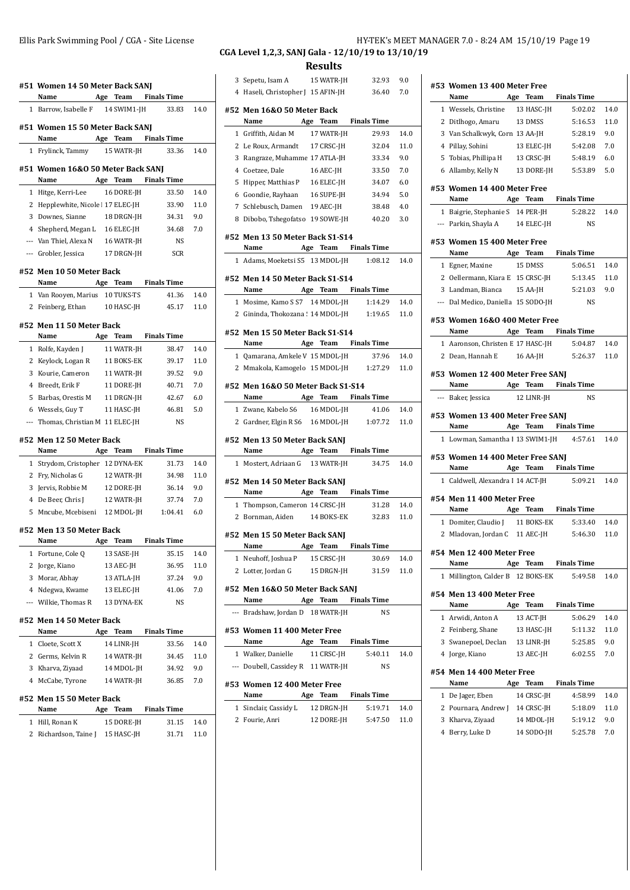|   | #51 Women 14 50 Meter Back SANJ<br>Name Age Team Finals Time      |                      |                |            |
|---|-------------------------------------------------------------------|----------------------|----------------|------------|
|   | 1 Barrow, Isabelle F 14 SWIM1-JH                                  |                      | 33.83          | 14.0       |
|   | #51 Women 15 50 Meter Back SANJ                                   |                      |                |            |
|   | Name                                                              | Age Team Finals Time |                | 14.0       |
|   | 1 Frylinck, Tammy 15 WATR-JH                                      |                      | 33.36          |            |
|   | #51 Women 16&0 50 Meter Back SANJ<br>Name Age Team Finals Time    |                      |                |            |
| 1 | Hitge, Kerri-Lee                                                  | 16 DORE-JH           | 33.50          | 14.0       |
|   | 2 Hepplewhite, Nicole 17 ELEC-JH                                  |                      | 33.90          | 11.0       |
| 3 | Downes, Sianne                                                    | 18 DRGN-JH           | 34.31          | 9.0        |
|   | 4 Shepherd, Megan L 16 ELEC-JH                                    |                      | 34.68          | 7.0        |
|   | --- Van Thiel, Alexa N 16 WATR-JH                                 |                      | NS             |            |
|   | --- Grobler, Jessica 17 DRGN-JH                                   |                      | <b>SCR</b>     |            |
|   | #52 Men 10 50 Meter Back<br>Name                                  | Age Team Finals Time |                |            |
|   | 1 Van Rooyen, Marius 10 TUKS-TS                                   |                      | 41.36          | 14.0       |
|   | 2 Feinberg, Ethan 10 HASC-JH                                      |                      | 45.17          | 11.0       |
|   |                                                                   |                      |                |            |
|   | #52 Men 11 50 Meter Back                                          |                      |                |            |
|   | Name                                                              | Age Team Finals Time | 38.47          |            |
|   | 1 Rolfe, Kayden J<br>2 Keylock, Logan R 11 BOKS-EK                | 11 WATR-JH           |                | 14.0       |
|   |                                                                   |                      | 39.17          | 11.0       |
| 3 | Kourie, Cameron 11 WATR-JH<br>4 Breedt, Erik F                    |                      | 39.52          | 9.0<br>7.0 |
| 5 |                                                                   | 11 DORE-JH           | 40.71          | 6.0        |
|   | Barbas, Orestis M 11 DRGN-JH                                      |                      | 42.67<br>46.81 | 5.0        |
|   | 6 Wessels, Guy T 11 HASC-JH<br>--- Thomas, Christian M 11 ELEC-JH |                      | NS             |            |
|   | #52 Men 12 50 Meter Back                                          |                      |                |            |
|   | Name                                                              | Age Team Finals Time |                |            |
|   | 1 Strydom, Cristopher 12 DYNA-EK                                  |                      | 31.73          | 14.0       |
|   | 2 Fry, Nicholas G 12 WATR-JH                                      |                      | 34.98          | 11.0       |
| 3 | Jervis, Robbie M 12 DORE-JH                                       |                      | 36.14          | 9.0        |
|   | 4 De Beer, Chris J 12 WATR-JH                                     |                      | 37.74          | 7.0        |
| 5 | Mncube, Mcebiseni 12 MDOL-JH 1:04.41                              |                      |                | 6.0        |
|   | #52 Men 13 50 Meter Back                                          |                      |                |            |
|   | Name                                                              | Age Team Finals Time |                |            |
|   | 1 Fortune, Cole Q                                                 | 13 SASE-JH           | 35.15          | 14.0       |
|   | 2 Jorge, Kiano                                                    | 13 AEC-JH            | 36.95          | 11.0       |
|   | 3 Morar, Abhay                                                    | 13 ATLA-JH           | 37.24          | 9.0        |
|   | 4 Ndegwa, Kwame 13 ELEC-JH<br>--- Wilkie, Thomas R 13 DYNA-EK     |                      | 41.06          | 7.0        |
|   |                                                                   |                      | NS             |            |
|   | #52 Men 14 50 Meter Back<br>Name                                  | Age Team Finals Time |                |            |
|   | 1 Cloete, Scott X                                                 | 14 LINR-JH           | 33.56          | 14.0       |
|   | 2 Germs, Kelvin R                                                 | 14 WATR-JH           | 34.45          | 11.0       |
|   | 3 Kharva, Ziyaad                                                  | 14 MDOL-JH           | 34.92          | 9.0        |
|   | 4 McCabe, Tyrone 14 WATR-JH                                       |                      | 36.85          | 7.0        |
|   | #52 Men 15 50 Meter Back                                          |                      |                |            |
|   | Name                                                              | Age Team Finals Time |                |            |
|   | 1 Hill, Ronan K                                                   | 15 DORE-JH           | 31.15          | 14.0       |
|   | 2 Richardson, Taine J 15 HASC-JH                                  |                      | 31.71          | 11.0       |
|   |                                                                   |                      |                |            |

# **CGA Level 1,2,3, SANJ Gala - 12/10/19 to 13/10/19**

**Results**

|   | 3 Sepetu, Isam A 15 WATR-JH                          |            | 32.93                | 9.0  |
|---|------------------------------------------------------|------------|----------------------|------|
|   | 4 Haseli, Christopher J 15 AFIN-JH                   |            | 36.40                | 7.0  |
|   | #52 Men 16&0 50 Meter Back                           |            |                      |      |
|   | Name                                                 |            | Age Team Finals Time |      |
|   | 1 Griffith, Aidan M 17 WATR-JH                       |            | 29.93                | 14.0 |
|   | 2 Le Roux, Armandt 17 CRSC-JH                        |            | 32.04                | 11.0 |
| 3 | Rangraze, Muhamme 17 ATLA-JH                         |            | 33.34                | 9.0  |
|   | 4 Coetzee, Dale                                      | 16 AEC-JH  | 33.50                | 7.0  |
| 5 | Hipper, Matthias P 16 ELEC-JH                        |            | 34.07                | 6.0  |
|   | 6 Goondie, Rayhaan 16 SUPE-JH                        |            | 34.94                | 5.0  |
|   | 7 Schlebusch, Damen 19 AEC-JH                        |            | 38.48                | 4.0  |
|   | 8 Dibobo, Tshegofatso 19 SOWE-JH 40.20               |            |                      | 3.0  |
|   | #52 Men 13 50 Meter Back S1-S14                      |            |                      |      |
|   | Name Age Team Finals Time                            |            |                      |      |
|   | 1 Adams, Moeketsi S5 13 MDOL-JH 1:08.12              |            |                      | 14.0 |
|   |                                                      |            |                      |      |
|   | #52 Men 14 50 Meter Back S1-S14                      |            |                      |      |
|   | Name Age Team Finals Time                            |            |                      |      |
|   | 1 Mosime, Kamo S S7 14 MDOL-JH 1:14.29               |            |                      | 14.0 |
|   | 2 Gininda, Thokozana! 14 MDOL-JH 1:19.65             |            |                      | 11.0 |
|   | #52 Men 15 50 Meter Back S1-S14                      |            |                      |      |
|   | Name Mage Team Finals Time                           |            |                      |      |
|   | 1 Qamarana, Amkele V 15 MDOL-JH                      |            | 37.96                | 14.0 |
|   | 2 Mmakola, Kamogelo 15 MDOL-JH 1:27.29               |            |                      | 11.0 |
|   | #52 Men 16&0 50 Meter Back S1-S14                    |            |                      |      |
|   | Name Age Team Finals Time                            |            |                      |      |
|   |                                                      |            |                      |      |
|   |                                                      |            | 41.06                | 14.0 |
|   | 1 Zwane, Kabelo S6 16 MDOL-JH                        |            |                      | 11.0 |
|   | 2 Gardner, Elgin R S6 16 MDOL-JH 1:07.72             |            |                      |      |
|   | #52 Men 13 50 Meter Back SANJ                        |            |                      |      |
|   | Name Age Team Finals Time                            |            |                      |      |
|   | 1 Mostert, Adriaan G 13 WATR-JH                      |            | 34.75                | 14.0 |
|   | #52 Men 14 50 Meter Back SANJ                        |            |                      |      |
|   | Name                                                 |            | Age Team Finals Time |      |
|   | 1 Thompson, Cameron 14 CRSC-JH                       |            | 31.28                | 14.0 |
|   | 2 Bornman, Aiden 14 BOKS-EK                          |            | 32.83                | 11.0 |
|   | #52 Men 15 50 Meter Back SANJ                        |            |                      |      |
|   | Name                                                 |            | Age Team Finals Time |      |
|   |                                                      |            | 30.69                | 14.0 |
|   | 1 Neuhoff, Joshua P 15 CRSC-JH<br>2 Lotter, Jordan G | 15 DRGN-JH | 31.59                | 11.0 |
|   |                                                      |            |                      |      |
|   | #52 Men 16&0 50 Meter Back SANJ                      |            |                      |      |
|   | Name Age Team Finals Time                            |            |                      |      |
|   | --- Bradshaw, Jordan D 18 WATR-JH                    |            | NS                   |      |
|   | #53 Women 11 400 Meter Free                          |            |                      |      |
|   | Name                                                 |            | Age Team Finals Time |      |
|   | 1 Walker, Danielle                                   | 11 CRSC-JH | 5:40.11              | 14.0 |
|   | --- Doubell, Cassidey R 11 WATR-JH                   |            | NS                   |      |
|   | #53 Women 12 400 Meter Free                          |            |                      |      |
|   | Name                                                 |            | Age Team Finals Time |      |
|   | 1 Sinclair, Cassidy L 12 DRGN-JH                     |            | 5:19.71              | 14.0 |
|   | 2 Fourie, Anri                                       |            | 12 DORE-JH 5:47.50   | 11.0 |

|              | #53 Women 13 400 Meter Free<br>Name                  |            | Age Team Finals Time |             |
|--------------|------------------------------------------------------|------------|----------------------|-------------|
|              |                                                      |            | 5:02.02              | 14.0        |
|              | 1 Wessels, Christine 13 HASC-JH<br>2 Ditlhogo, Amaru | 13 DMSS    | 5:16.53              | 11.0        |
|              | 3 Van Schalkwyk, Corn 13 AA-JH                       |            | 5:28.19              | 9.0         |
|              | 4 Pillay, Sohini                                     | 13 ELEC-IH | 5:42.08              | 7.0         |
|              | 5 Tobias, Phillipa H 13 CRSC-JH                      |            |                      | 6.0         |
|              | 6 Allamby, Kelly N 13 DORE-JH                        |            | 5:48.19<br>5:53.89   | 5.0         |
|              |                                                      |            |                      |             |
|              | #53 Women 14 400 Meter Free<br>Name                  |            | Age Team Finals Time |             |
|              | 1 Baigrie, Stephanie S 14 PER-JH 5:28.22             |            |                      | 14.0        |
|              | --- Parkin, Shayla A 14 ELEC-JH                      |            | N <sub>S</sub>       |             |
|              | #53 Women 15 400 Meter Free                          |            |                      |             |
|              | Name Age Team Finals Time                            |            |                      |             |
|              | 1 Egner, Maxine                                      | 15 DMSS    | 5:06.51              | 14.0        |
|              | 2 Oellermann, Kiara E 15 CRSC-JH                     |            | 5:13.45              | 11.0        |
|              | 3 Landman, Bianca 15 AA-JH                           |            | 5:21.03              | 9.0         |
|              | --- Dal Medico, Daniella 15 SODO-JH                  |            | NS                   |             |
|              | #53 Women 16&0 400 Meter Free                        |            |                      |             |
|              | Name 5 Age Team Finals Time                          |            |                      |             |
|              | 1 Aaronson, Christen E 17 HASC-JH                    |            | 5:04.87              | 14.0        |
|              | 2 Dean, Hannah E 16 AA-JH                            |            | 5:26.37              | 11.0        |
|              | #53 Women 12 400 Meter Free SANJ                     |            |                      |             |
|              | Name                                                 |            | Age Team Finals Time |             |
|              | --- Baker, Jessica 12 LINR-JH                        |            | <b>NS</b>            |             |
|              | #53 Women 13 400 Meter Free SANJ                     |            |                      |             |
|              | Name                                                 |            | Age Team Finals Time |             |
|              | 1 Lowman, Samantha I 13 SWIM1-JH 4:57.61             |            |                      | 14.0        |
|              | #53 Women 14 400 Meter Free SANJ                     |            |                      |             |
|              | Name                                                 |            | Age Team Finals Time |             |
|              | 1 Caldwell, Alexandra I 14 ACT-JH                    |            | 5:09.21              | 14.0        |
|              |                                                      |            |                      |             |
|              | #54 Men 11 400 Meter Free<br>Name                    |            | Age Team Finals Time |             |
|              | 1 Domiter, Claudio J 11 BOKS-EK                      |            | 5:33.40              | 14.0        |
|              |                                                      |            |                      |             |
|              |                                                      |            |                      |             |
|              | 2 Mladovan, Jordan C 11 AEC-JH                       |            | 5:46.30              | 11.0        |
|              | #54 Men 12 400 Meter Free                            |            |                      |             |
|              | Name                                                 |            | Age Team Finals Time |             |
| $\mathbf{1}$ | Millington, Calder B 12 BOKS-EK                      |            | 5:49.58              | 14.0        |
|              | #54 Men 13 400 Meter Free                            |            |                      |             |
|              | Name                                                 | Age Team   | <b>Finals Time</b>   |             |
| 1            | Arwidi, Anton A                                      | 13 ACT-JH  | 5:06.29              | 14.0        |
|              | 2 Feinberg, Shane                                    | 13 HASC-JH | 5:11.32              | 11.0        |
|              | 3 Swanepoel, Declan                                  | 13 LINR-JH | 5:25.85              | 9.0         |
|              | 4 Jorge, Kiano                                       | 13 AEC-JH  | 6:02.55              | 7.0         |
|              | #54 Men 14 400 Meter Free                            |            |                      |             |
|              | Name                                                 | Age Team   | <b>Finals Time</b>   |             |
|              | 1 De Jager, Eben                                     | 14 CRSC-JH | 4:58.99              | 14.0        |
|              | 2 Pournara, Andrew J 14 CRSC-JH<br>3 Kharva, Ziyaad  | 14 MDOL-JH | 5:18.09<br>5:19.12   | 11.0<br>9.0 |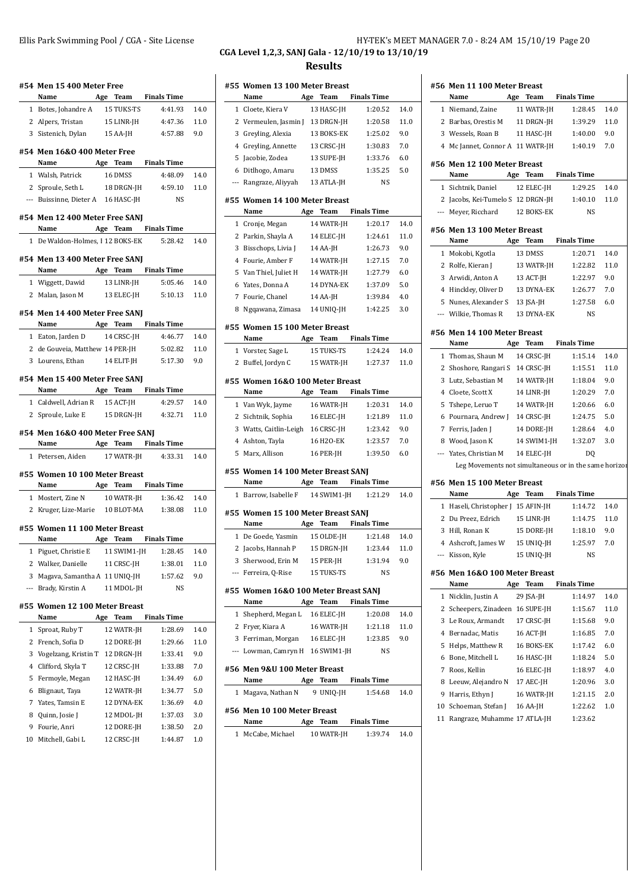| Ellis Park Swimming Pool / CGA - Site License | HY-TEK's MEET MANAGER 7.0 - 8:24 AM 15/10/19 Page 20 |
|-----------------------------------------------|------------------------------------------------------|
|                                               | CGA Level 1,2,3, SANJ Gala - 12/10/19 to 13/10/19    |
|                                               | <b>Results</b>                                       |

**#56 Men 11 100 Meter Breast**

**#54 Men 15 400 Meter Free Name Age Team Finals Time** 1 Botes, Johandre A 15 TUKS-TS 4:41.93 14.0 2 Alpers, Tristan 15 LINR-JH 4:47.36 11.0 3 Sistenich, Dylan 15 AA-JH 4:57.88 9.0 **#54 Men 16&O 400 Meter Free Name Age Team Finals Time** 1 Walsh, Patrick 16 DMSS 4:48.09 14.0 2 Sproule, Seth L 18 DRGN-JH 4:59.10 11.0 --- Buissinne, Dieter A 16 HASC-JH NS **#54 Men 12 400 Meter Free SANJ Name Age Team Finals Time** 1 De Waldon-Holmes, I 12 BOKS-EK 5:28.42 14.0 **#54 Men 13 400 Meter Free SANJ Name Age Team Finals Time** 1 Wiggett, Dawid 13 LINR-JH 5:05.46 14.0 2 Malan, Jason M 13 ELEC-JH 5:10.13 11.0 **#54 Men 14 400 Meter Free SANJ Name Age Team Finals Time** 1 Eaton, Jarden D 14 CRSC-JH 4:46.77 14.0 2 de Gouveia, Matthew 14 PER-JH 5:02.82 11.0 3 Lourens, Ethan 14 ELIT-JH 5:17.30 9.0 **#54 Men 15 400 Meter Free SANJ Name Age Team Finals Time** 1 Caldwell, Adrian R 15 ACT-JH 4:29.57 14.0 2 Sproule, Luke E 15 DRGN-JH 4:32.71 11.0 **#54 Men 16&O 400 Meter Free SANJ Name Age Team Finals Time** 1 Petersen, Aiden 17 WATR-JH 4:33.31 14.0 **#55 Women 10 100 Meter Breast Name Age Team Finals Time** 1 Mostert, Zine N 10 WATR-JH 1:36.42 14.0 2 Kruger, Lize-Marie 10 BLOT-MA 1:38.08 11.0 **#55 Women 11 100 Meter Breast Name Age Team Finals Time** 1 Piguet, Christie E 11 SWIM1-JH 1:28.45 14.0 2 Walker, Danielle 11 CRSC-JH 1:38.01 11.0 3 Magava, Samantha A 11 UNIQ-JH 1:57.62 9.0 --- Brady, Kirstin A 11 MDOL-JH NS **#55 Women 12 100 Meter Breast Name Age Team Finals Time** 1 Sproat, Ruby T 12 WATR-JH 1:28.69 14.0 2 French, Sofia D 12 DORE-JH 1:29.66 11.0 3 Vogelzang, Kristin T 12 DRGN-JH 1:33.41 9.0 4 Clifford, Skyla T 12 CRSC-JH 1:33.88 7.0 5 Fermoyle, Megan 12 HASC-JH 1:34.49 6.0 6 Blignaut, Taya 12 WATR-JH 1:34.77 5.0 7 Yates, Tamsin E 12 DYNA-EK 1:36.69 4.0 8 Quinn, Josie J 12 MDOL-JH 1:37.03 3.0 9 Fourie, Anri 12 DORE-JH 1:38.50 2.0 10 Mitchell, Gabi L 12 CRSC-JH 1:44.87 1.0

|              | #55 Women 13 100 Meter Breast<br>Name      | Age | Team              | <b>Finals Time</b>   |      |
|--------------|--------------------------------------------|-----|-------------------|----------------------|------|
|              | 1 Cloete, Kiera V                          |     | 13 HASC-JH        | 1:20.52              | 14.0 |
|              | 2 Vermeulen, Jasmin J 13 DRGN-JH           |     |                   | 1:20.58              | 11.0 |
|              | 3 Greyling, Alexia                         |     | 13 BOKS-EK        | 1:25.02              | 9.0  |
|              | 4 Greyling, Annette                        |     | 13 CRSC-JH        | 1:30.83              | 7.0  |
| 5            | Jacobie, Zodea                             |     | 13 SUPE-JH        | 1:33.76              | 6.0  |
| 6            | Ditlhogo, Amaru                            |     | 13 DMSS           | 1:35.25              | 5.0  |
|              | --- Rangraze, Aliyyah                      |     | 13 ATLA-JH        | <b>NS</b>            |      |
|              |                                            |     |                   |                      |      |
|              | #55 Women 14 100 Meter Breast<br>Name      |     | Age Team          | <b>Finals Time</b>   |      |
|              | 1 Cronje, Megan                            |     | 14 WATR-JH        | 1:20.17              | 14.0 |
|              | 2 Parkin, Shayla A                         |     | 14 ELEC-JH        | 1:24.61              | 11.0 |
|              | 3 Bisschops, Livia J                       |     | 14 AA-JH          | 1:26.73              | 9.0  |
|              | 4 Fourie, Amber F                          |     | 14 WATR-JH        | 1:27.15              | 7.0  |
|              | 5 Van Thiel, Juliet H                      |     | 14 WATR-JH        | 1:27.79              | 6.0  |
| 6            | Yates, Donna A                             |     | 14 DYNA-EK        | 1:37.09              | 5.0  |
|              | 7 Fourie, Chanel                           |     | 14 AA-JH          | 1:39.84              | 4.0  |
| 8            | Nggawana, Zimasa                           |     | 14 UNIQ-JH        | 1:42.25              | 3.0  |
|              | #55 Women 15 100 Meter Breast              |     |                   |                      |      |
|              | Name                                       | Age | Team              | <b>Finals Time</b>   |      |
|              | 1 Vorster, Sage L                          |     | 15 TUKS-TS        | 1:24.24              | 14.0 |
| 2            | Buffel, Jordyn C                           |     | 15 WATR-JH        | 1:27.37              | 11.0 |
|              |                                            |     |                   |                      |      |
|              | #55 Women 16&0 100 Meter Breast<br>Name    |     | Age Team          | <b>Finals Time</b>   |      |
|              | 1 Van Wyk, Jayme                           |     | 16 WATR-JH        | 1:20.31              | 14.0 |
|              | 2 Sichtnik, Sophia                         |     | 16 ELEC-JH        | 1:21.89              | 11.0 |
|              | 3 Watts, Caitlin-Leigh 16 CRSC-JH          |     |                   | 1:23.42              | 9.0  |
| 4            | Ashton, Tayla                              |     | 16 H2O-EK         | 1:23.57              | 7.0  |
| 5            | Marx, Allison                              |     | 16 PER-JH         | 1:39.50              | 6.0  |
|              |                                            |     |                   |                      |      |
|              | #55 Women 14 100 Meter Breast SANJ         |     |                   |                      |      |
|              | Name                                       |     | Age Team          | <b>Finals Time</b>   |      |
| 1            | Barrow, Isabelle F                         |     | 14 SWIM1-JH       | 1:21.29              | 14.0 |
|              | #55 Women 15 100 Meter Breast SANJ<br>Name | Age | Team              | <b>Finals Time</b>   |      |
|              | 1 De Goede, Yasmin 15 OLDE-JH              |     |                   | 1:21.48              | 14.0 |
|              | 2 Jacobs, Hannah P                         |     | 15 DRGN-JH        | 1:23.44              | 11.0 |
|              | 3 Sherwood, Erin M                         |     | 15 PER-JH         | 1:31.94              | 9.0  |
|              | --- Ferreira, Q-Rise                       |     | <b>15 TUKS-TS</b> | NS                   |      |
|              |                                            |     |                   |                      |      |
|              | #55 Women 16&0 100 Meter Breast SANJ       |     |                   |                      |      |
|              | <b>Name</b>                                |     |                   | Age Team Finals Time |      |
|              | 1 Shepherd, Megan L                        |     | 16 ELEC-JH        | 1:20.08              | 14.0 |
|              | 2 Fryer, Kiara A                           |     | 16 WATR-JH        | 1:21.18              | 11.0 |
|              | 3 Ferriman, Morgan 16 ELEC-JH              |     |                   | 1:23.85              | 9.0  |
|              | --- Lowman, Camryn H 16 SWIM1-JH           |     |                   | NS                   |      |
|              | #56 Men 9&U 100 Meter Breast               |     |                   |                      |      |
|              | Name                                       |     | Age Team          | <b>Finals Time</b>   |      |
|              | 1 Magava, Nathan N                         |     | 9 UNIQ-JH         | 1:54.68              | 14.0 |
|              | #56 Men 10 100 Meter Breast                |     |                   |                      |      |
|              | Name                                       |     | Age Team          | <b>Finals Time</b>   |      |
| $\mathbf{1}$ | McCabe, Michael                            |     | 10 WATR-JH        | 1:39.74              | 14.0 |
|              |                                            |     |                   |                      |      |

|    | Name                                                  |     | Age Team     | Finals Time        |      |
|----|-------------------------------------------------------|-----|--------------|--------------------|------|
|    | 1 Niemand, Zaine                                      |     | 11 WATR-JH   | 1:28.45            | 14.0 |
|    | 2 Barbas, Orestis M 11 DRGN-JH                        |     |              | 1:39.29            | 11.0 |
|    | 3 Wessels, Roan B                                     |     | 11 HASC-JH   | 1:40.00            | 9.0  |
|    | 4 Mc Jannet, Connor A 11 WATR-JH                      |     |              | 1:40.19            | 7.0  |
|    |                                                       |     |              |                    |      |
|    | #56 Men 12 100 Meter Breast<br>Name                   |     | Age Team     | <b>Finals Time</b> |      |
|    | 1 Sichtnik, Daniel                                    |     | 12 ELEC-JH   | 1:29.25            | 14.0 |
|    | 2 Jacobs, Kei-Tumelo S 12 DRGN-JH                     |     |              | 1:40.10            | 11.0 |
|    | --- Meyer, Ricchard                                   |     | 12 BOKS-EK   | NS                 |      |
|    |                                                       |     |              |                    |      |
|    | #56 Men 13 100 Meter Breast                           |     |              |                    |      |
|    | Name                                                  |     | Age Team     | <b>Finals Time</b> |      |
|    | 1 Mokobi, Kgotla                                      |     | 13 DMSS      | 1:20.71            | 14.0 |
|    | 2 Rolfe, Kieran J                                     |     | 13 WATR-JH   | 1:22.82            | 11.0 |
|    | 3 Arwidi, Anton A                                     |     | 13 ACT-JH    | 1:22.97            | 9.0  |
|    | 4 Hinckley, Oliver D                                  |     | 13 DYNA-EK   | 1:26.77            | 7.0  |
|    | 5 Nunes, Alexander S                                  |     | 13 $ SA- H $ | 1:27.58            | 6.0  |
|    | --- Wilkie, Thomas R                                  |     | 13 DYNA-EK   | NS                 |      |
|    | #56 Men 14 100 Meter Breast                           |     |              |                    |      |
|    | Name                                                  |     | Age Team     | <b>Finals Time</b> |      |
|    | 1 Thomas, Shaun M 14 CRSC-JH                          |     |              | 1:15.14            | 14.0 |
|    | 2 Shoshore, Rangari S 14 CRSC-JH                      |     |              | 1:15.51            | 11.0 |
|    | 3 Lutz, Sebastian M 14 WATR-JH                        |     |              | 1:18.04            | 9.0  |
|    | 4 Cloete, Scott X                                     |     | 14 LINR-JH   | 1:20.29            | 7.0  |
|    | 5 Tshepe, Leruo T                                     |     | 14 WATR-JH   | 1:20.66            | 6.0  |
|    | 6 Pournara, Andrew J 14 CRSC-JH                       |     |              | 1:24.75            | 5.0  |
|    | 7 Ferris, Jaden J                                     |     | 14 DORE-JH   | 1:28.64            | 4.0  |
|    | 8 Wood, Jason K                                       |     | 14 SWIM1-JH  | 1:32.07            | 3.0  |
|    | --- Yates, Christian M                                |     | 14 ELEC-JH   | DQ                 |      |
|    | Leg Movements not simultaneous or in the same horizor |     |              |                    |      |
|    |                                                       |     |              |                    |      |
|    | #56 Men 15 100 Meter Breast<br>Name                   |     | Age Team     | <b>Finals Time</b> |      |
|    | 1 Haseli, Christopher J 15 AFIN-JH                    |     |              | 1:14.72            | 14.0 |
|    | 2 Du Preez, Edrich                                    |     | 15 LINR-JH   | 1:14.75            | 11.0 |
|    | 3 Hill, Ronan K                                       |     | 15 DORE-JH   | 1:18.10            | 9.0  |
|    | 4 Ashcroft, James W                                   |     | 15 UNIO-JH   | 1:25.97            | 7.0  |
|    | --- Kisson, Kyle                                      |     | 15 UNIO-JH   | NS                 |      |
|    |                                                       |     |              |                    |      |
|    | #56 Men 16&0 100 Meter Breast                         |     |              |                    |      |
|    | Name                                                  | Age | Team         | <b>Finals Time</b> |      |
| 1  | Nicklin, Justin A                                     |     | 29 JSA-JH    | 1:14.97            | 14.0 |
| 2  | Scheepers, Zinadeen 16 SUPE-JH                        |     |              | 1:15.67            | 11.0 |
|    | 3 Le Roux, Armandt                                    |     | 17 CRSC-JH   | 1:15.68            | 9.0  |
|    | 4 Bernadac, Matis                                     |     | 16 ACT-JH    | 1:16.85            | 7.0  |
|    | 5 Helps, Matthew R                                    |     | 16 BOKS-EK   | 1:17.42            | 6.0  |
|    | 6 Bone, Mitchell L                                    |     | 16 HASC-JH   | 1:18.24            | 5.0  |
|    | 7 Roos, Kellin                                        |     | 16 ELEC-JH   | 1:18.97            | 4.0  |
|    | 8 Leeuw, Alejandro N                                  |     | 17 AEC-JH    | 1:20.96            | 3.0  |
|    | 9 Harris, Ethyn J                                     |     | 16 WATR-JH   | 1:21.15            | 2.0  |
| 10 | Schoeman, Stefan J                                    |     | 16 AA-JH     | 1:22.62            | 1.0  |
| 11 | Rangraze, Muhamme 17 ATLA-JH                          |     |              | 1:23.62            |      |
|    |                                                       |     |              |                    |      |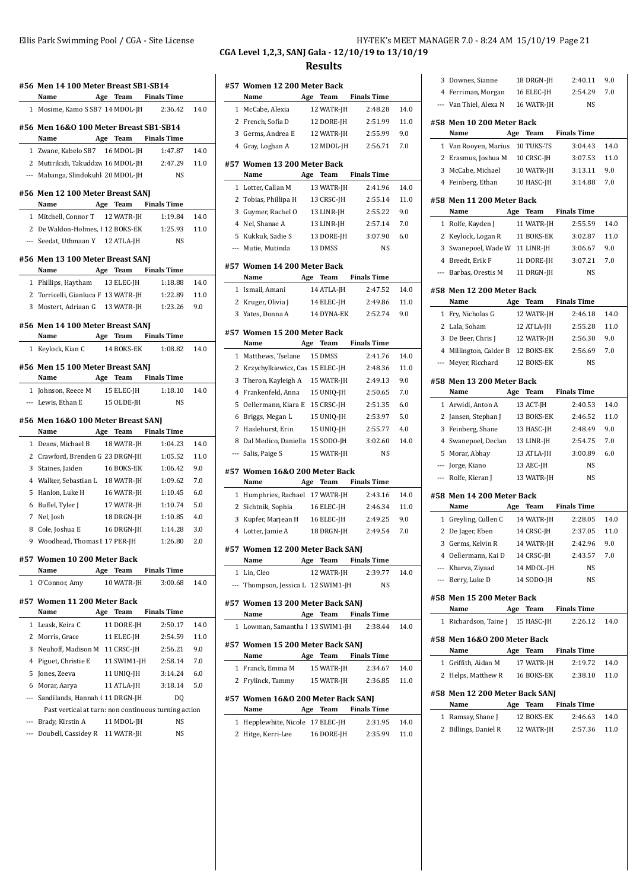|                     | #56 Men 14 100 Meter Breast SB1-SB14<br>Name Age Team Finals Time |     |             |                      |      |
|---------------------|-------------------------------------------------------------------|-----|-------------|----------------------|------|
|                     | 1 Mosime, Kamo S SB7 14 MDOL-JH 2:36.42                           |     |             |                      | 14.0 |
|                     | #56 Men 16&0 100 Meter Breast SB1-SB14                            |     |             |                      |      |
|                     | Name Age Team Finals Time                                         |     |             |                      |      |
|                     | 1 Zwane, Kabelo SB7 16 MDOL-JH 1:47.87                            |     |             |                      | 14.0 |
|                     | 2 Mutirikidi, Takuddzw 16 MDOL-JH 2:47.29                         |     |             |                      | 11.0 |
|                     | --- Mabanga, Slindokuhl 20 MDOL-JH                                |     |             | NS                   |      |
|                     | #56 Men 12 100 Meter Breast SANJ<br>Name Age Team Finals Time     |     |             |                      |      |
|                     | 1 Mitchell, Connor T 12 WATR-JH                                   |     |             | 1:19.84              | 14.0 |
|                     | 2 De Waldon-Holmes, I 12 BOKS-EK 1:25.93                          |     |             |                      | 11.0 |
|                     | --- Seedat, Uthmaan Y 12 ATLA-JH                                  |     |             | <b>NS</b>            |      |
|                     | #56 Men 13 100 Meter Breast SANJ                                  |     |             |                      |      |
|                     | Name                                                              |     |             | Age Team Finals Time |      |
|                     | 1 Phillips, Haytham 13 ELEC-JH                                    |     |             | 1:18.88              | 14.0 |
|                     | 2 Torricelli, Gianluca F 13 WATR-JH                               |     |             | 1:22.89              | 11.0 |
|                     | 3 Mostert, Adriaan G 13 WATR-JH                                   |     |             | 1:23.26              | 9.0  |
|                     |                                                                   |     |             |                      |      |
|                     | #56 Men 14 100 Meter Breast SANJ                                  |     |             |                      |      |
|                     | Name Age Team Finals Time                                         |     |             |                      |      |
|                     | 1 Keylock, Kian C 14 BOKS-EK 1:08.82                              |     |             |                      | 14.0 |
|                     | #56 Men 15 100 Meter Breast SANJ<br>Name Age Team Finals Time     |     |             |                      |      |
|                     | 1 Johnson, Reece M                                                |     | 15 ELEC-JH  | 1:18.10              | 14.0 |
|                     | --- Lewis, Ethan E                                                |     | 15 OLDE-JH  | <b>NS</b>            |      |
|                     | #56 Men 16&0 100 Meter Breast SANJ<br>Name                        |     |             | Age Team Finals Time |      |
|                     | 1 Deans, Michael B 18 WATR-JH                                     |     |             | 1:04.23              | 14.0 |
|                     | 2 Crawford, Brenden G 23 DRGN-JH                                  |     |             | 1:05.52              | 11.0 |
|                     | 3 Staines, Jaiden                                                 |     |             | 16 BOKS-EK 1:06.42   | 9.0  |
|                     | 4 Walker, Sebastian L 18 WATR-JH                                  |     |             | 1:09.62              | 7.0  |
| 5                   | Hanlon, Luke H                                                    |     | 16 WATR-JH  | 1:10.45              | 6.0  |
|                     | 6 Buffel, Tyler J                                                 |     | 17 WATR-JH  | 1:10.74              | 5.0  |
|                     | 7 Nel, Josh                                                       |     | 18 DRGN-IH  | 1:10.85              | 4.0  |
|                     | 8 Cole, Joshua E                                                  |     | 16 DRGN-IH  | 1:14.28              | 3.0  |
|                     | 9 Woodhead, Thomas I 17 PER-JH 1:26.80                            |     |             |                      | 2.0  |
|                     | #57 Women 10 200 Meter Back<br>Name                               | Age | Team        | <b>Finals Time</b>   |      |
|                     | 1 O'Connor, Amy                                                   |     | 10 WATR-JH  | 3:00.68              | 14.0 |
|                     |                                                                   |     |             |                      |      |
|                     | #57 Women 11 200 Meter Back<br>Name                               |     | Age Team    | <b>Finals Time</b>   |      |
|                     | 1 Leask, Keira C                                                  |     | 11 DORE-JH  | 2:50.17              | 14.0 |
| 2                   | Morris, Grace                                                     |     | 11 ELEC-JH  | 2:54.59              | 11.0 |
| 3                   | Neuhoff, Madison M 11 CRSC-JH                                     |     |             | 2:56.21              | 9.0  |
| $\overline{4}$      | Piguet, Christie E                                                |     | 11 SWIM1-JH | 2:58.14              | 7.0  |
| 5                   | Jones, Zeeva                                                      |     | 11 UNIQ-JH  | 3:14.24              | 6.0  |
|                     | 6 Morar, Aarya                                                    |     | 11 ATLA-JH  | 3:18.14              | 5.0  |
|                     | --- Sandilands, Hannah (11 DRGN-JH                                |     |             | DQ                   |      |
|                     | Past vertical at turn: non continuous turning action              |     |             |                      |      |
|                     | --- Brady, Kirstin A                                              |     | 11 MDOL-JH  | NS                   |      |
| $\qquad \qquad - -$ | Doubell, Cassidey R 11 WATR-JH                                    |     |             | NS                   |      |

## Ellis Park Swimming Pool / CGA - Site License HY-TEK's MEET MANAGER 7.0 - 8:24 AM 15/10/19 Page 21 **CGA Level 1,2,3, SANJ Gala - 12/10/19 to 13/10/19**

|     | #57 Women 12 200 Meter Back         |     |            |                      |      |
|-----|-------------------------------------|-----|------------|----------------------|------|
|     | Name                                | Age | Team       | <b>Finals Time</b>   |      |
| 1   | McCabe, Alexia                      |     | 12 WATR-JH | 2:48.28              | 14.0 |
| 2   | French, Sofia D                     |     | 12 DORE-JH | 2:51.99              | 11.0 |
| 3   | Germs, Andrea E                     |     | 12 WATR-JH | 2:55.99              | 9.0  |
| 4   | Gray, Loghan A                      |     | 12 MDOL-IH | 2:56.71              | 7.0  |
|     | #57 Women 13 200 Meter Back         |     |            |                      |      |
|     | Name                                | Age | Team       | <b>Finals Time</b>   |      |
| 1   | Lotter, Callan M                    |     | 13 WATR-JH | 2:41.96              | 14.0 |
| 2   | Tobias, Phillipa H                  |     | 13 CRSC-JH | 2:55.14              | 11.0 |
| 3   | Guymer, Rachel O                    |     | 13 LINR-JH | 2:55.22              | 9.0  |
| 4   | Nel, Shanae A                       |     | 13 LINR-JH | 2:57.14              | 7.0  |
| 5   | Kukkuk, Sadie S                     |     | 13 DORE-JH | 3:07.90              | 6.0  |
| --- | Mutie, Mutinda                      |     | 13 DMSS    | NS                   |      |
|     | #57 Women 14 200 Meter Back         |     |            |                      |      |
|     | Name                                | Age | Team       | <b>Finals Time</b>   |      |
| 1   | Ismail, Amani                       |     | 14 ATLA-JH | 2:47.52              | 14.0 |
| 2   | Kruger, Olivia J                    |     | 14 ELEC-JH | 2:49.86              | 11.0 |
|     | 3 Yates, Donna A                    |     | 14 DYNA-EK | 2:52.74              | 9.0  |
|     | #57 Women 15 200 Meter Back         |     |            |                      |      |
|     | Name                                | Age | Team       | <b>Finals Time</b>   |      |
| 1   | Matthews, Tselane                   |     | 15 DMSS    | 2:41.76              | 14.0 |
| 2   | Krzychylkiewicz, Cas 15 ELEC-JH     |     |            | 2:48.36              | 11.0 |
| 3   | Theron, Kayleigh A                  |     | 15 WATR-JH | 2:49.13              | 9.0  |
| 4   | Frankenfeld, Anna                   |     | 15 UNIQ-JH | 2:50.65              | 7.0  |
| 5   | Oellermann, Kiara E                 |     | 15 CRSC-JH | 2:51.35              | 6.0  |
| 6   | Briggs, Megan L                     |     | 15 UNIQ-JH | 2:53.97              | 5.0  |
| 7   | Haslehurst, Erin                    |     | 15 UNIQ-JH | 2:55.77              | 4.0  |
| 8   | Dal Medico, Daniella 15 SODO-JH     |     |            | 3:02.60              | 14.0 |
| --- | Salis, Paige S                      |     | 15 WATR-JH | NS                   |      |
|     | #57 Women 16&0 200 Meter Back       |     |            |                      |      |
|     | Name                                | Age | Team       | <b>Finals Time</b>   |      |
| 1   | Humphries, Rachael 17 WATR-JH       |     |            | 2:43.16              | 14.0 |
| 2   | Sichtnik, Sophia                    |     | 16 ELEC-JH | 2:46.34              | 11.0 |
| 3   | Kupfer, Marjean H                   |     | 16 ELEC-JH | 2:49.25              | 9.0  |
| 4   | Lotter, Jamie A                     |     | 18 DRGN-JH | 2:49.54              | 7.0  |
|     | #57 Women 12 200 Meter Back SANI    |     |            |                      |      |
|     | Name                                |     |            | Age Team Finals Time |      |
|     | 1 Lin, Cleo                         |     | 12 WATR-JH | 2:39.77              | 14.0 |
|     | --- Thompson, Jessica L 12 SWIM1-JH |     |            | NS                   |      |
|     | #57 Women 13 200 Meter Back SANJ    |     |            |                      |      |
|     | Name                                |     |            | Age Team Finals Time |      |
|     | 1 Lowman, Samantha I 13 SWIM1-JH    |     |            | 2:38.44              | 14.0 |
|     | #57 Women 15 200 Meter Back SANJ    |     |            |                      |      |
|     | Name                                |     | Age Team   | <b>Finals Time</b>   |      |
|     | 1 Franck, Emma M                    |     | 15 WATR-JH | 2:34.67              | 14.0 |
|     | 2 Frylinck, Tammy 15 WATR-JH        |     |            | 2:36.85              | 11.0 |
|     | #57 Women 16&0 200 Meter Back SANJ  |     |            |                      |      |
|     | Name                                |     |            | Age Team Finals Time |      |
|     | 1 Hepplewhite, Nicole 17 ELEC-JH    |     |            | 2:31.95              | 14.0 |
| 2   | Hitge, Kerri-Lee                    |     | 16 DORE-JH | 2:35.99              | 11.0 |
|     |                                     |     |            |                      |      |

|                          | 3 Downes, Sianne                                         |  | 18 DRGN-JH | 2:40.11              | 9.0  |  |  |
|--------------------------|----------------------------------------------------------|--|------------|----------------------|------|--|--|
|                          | 4 Ferriman, Morgan                                       |  | 16 ELEC-JH | 2:54.29              | 7.0  |  |  |
|                          | --- Van Thiel, Alexa N                                   |  | 16 WATR-JH | NS                   |      |  |  |
|                          | #58 Men 10 200 Meter Back                                |  |            |                      |      |  |  |
|                          | Name                                                     |  | Age Team   | <b>Finals Time</b>   |      |  |  |
|                          | 1 Van Rooyen, Marius                                     |  | 10 TUKS-TS | 3:04.43              | 14.0 |  |  |
|                          | 2 Erasmus, Joshua M 10 CRSC-JH                           |  |            | 3:07.53              | 11.0 |  |  |
|                          | 3 McCabe, Michael                                        |  | 10 WATR-JH | 3:13.11              | 9.0  |  |  |
|                          | 4 Feinberg, Ethan                                        |  | 10 HASC-JH | 3:14.88              | 7.0  |  |  |
|                          |                                                          |  |            |                      |      |  |  |
|                          | #58 Men 11 200 Meter Back                                |  |            |                      |      |  |  |
|                          | Name                                                     |  | Age Team   | <b>Finals Time</b>   |      |  |  |
|                          | 1 Rolfe, Kayden J                                        |  | 11 WATR-JH | 2:55.59              | 14.0 |  |  |
|                          | 2 Keylock, Logan R                                       |  | 11 BOKS-EK | 3:02.87              | 11.0 |  |  |
|                          | 3 Swanepoel, Wade W 11 LINR-JH                           |  |            | 3:06.67              | 9.0  |  |  |
|                          | 4 Breedt, Erik F                                         |  | 11 DORE-JH | 3:07.21              | 7.0  |  |  |
| $\overline{\phantom{a}}$ | Barbas, Orestis M                                        |  | 11 DRGN-JH | <b>NS</b>            |      |  |  |
|                          | #58 Men 12 200 Meter Back                                |  |            |                      |      |  |  |
|                          | Name                                                     |  | Age Team   | <b>Finals Time</b>   |      |  |  |
|                          | 1 Fry, Nicholas G                                        |  | 12 WATR-JH | 2:46.18              | 14.0 |  |  |
|                          | 2 Lala, Soham                                            |  | 12 ATLA-JH | 2:55.28              | 11.0 |  |  |
|                          | 3 De Beer, Chris J                                       |  | 12 WATR-JH | 2:56.30              | 9.0  |  |  |
|                          | 4 Millington, Calder B 12 BOKS-EK                        |  |            | 2:56.69              | 7.0  |  |  |
| $\overline{\phantom{a}}$ | Meyer, Ricchard                                          |  | 12 BOKS-EK | NS                   |      |  |  |
|                          |                                                          |  |            |                      |      |  |  |
|                          | #58 Men 13 200 Meter Back                                |  |            |                      |      |  |  |
|                          | Name                                                     |  | Age Team   | <b>Finals Time</b>   |      |  |  |
| 1                        | Arwidi, Anton A                                          |  | 13 ACT-JH  | 2:40.53              | 14.0 |  |  |
|                          | 2 Jansen, Stephan J                                      |  | 13 BOKS-EK | 2:46.52              | 11.0 |  |  |
|                          | 3 Feinberg, Shane                                        |  | 13 HASC-JH | 2:48.49              | 9.0  |  |  |
|                          | 4 Swanepoel, Declan                                      |  | 13 LINR-JH | 2:54.75              | 7.0  |  |  |
|                          | 5 Morar, Abhay                                           |  | 13 ATLA-JH | 3:00.89              | 6.0  |  |  |
|                          | --- Jorge, Kiano                                         |  | 13 AEC-JH  | NS                   |      |  |  |
|                          | --- Rolfe, Kieran J                                      |  | 13 WATR-JH | NS                   |      |  |  |
|                          | #58 Men 14 200 Meter Back                                |  |            |                      |      |  |  |
|                          | Name                                                     |  | Age Team   | <b>Finals Time</b>   |      |  |  |
|                          | 1 Greyling, Cullen C                                     |  | 14 WATR-JH | 2:28.05              | 14.0 |  |  |
|                          | 2 De Jager, Eben                                         |  | 14 CRSC-JH | 2:37.05              | 11.0 |  |  |
|                          | 3 Germs, Kelvin R                                        |  | 14 WATR-JH | 2:42.96              | 9.0  |  |  |
|                          | 4 Oellermann, Kai D                                      |  | 14 CRSC-JH | 2:43.57              | 7.0  |  |  |
|                          | --- Kharva, Ziyaad                                       |  | 14 MDOL-JH | NS                   |      |  |  |
|                          | --- Berry, Luke D                                        |  | 14 SODO-JH | NS                   |      |  |  |
|                          | #58 Men 15 200 Meter Back                                |  |            |                      |      |  |  |
|                          | Name                                                     |  |            | Age Team Finals Time |      |  |  |
|                          | 1 Richardson, Taine J 15 HASC-JH 2:26.12                 |  |            |                      | 14.0 |  |  |
|                          |                                                          |  |            |                      |      |  |  |
|                          | #58 Men 16&0 200 Meter Back<br>Name Age Team Finals Time |  |            |                      |      |  |  |
|                          |                                                          |  |            |                      |      |  |  |
|                          | 1 Griffith, Aidan M                                      |  | 17 WATR-JH | 2:19.72              | 14.0 |  |  |
|                          | 2 Helps, Matthew R 16 BOKS-EK                            |  |            | 2:38.10              | 11.0 |  |  |
|                          | #58 Men 12 200 Meter Back SANJ                           |  |            |                      |      |  |  |
|                          | Name                                                     |  | Age Team   | Finals Time          |      |  |  |
|                          | 1 Ramsay, Shane J                                        |  | 12 BOKS-EK | 2:46.63              | 14.0 |  |  |
|                          | 2 Billings, Daniel R 12 WATR-JH 2:57.36                  |  |            |                      | 11.0 |  |  |
|                          |                                                          |  |            |                      |      |  |  |
|                          |                                                          |  |            |                      |      |  |  |
|                          |                                                          |  |            |                      |      |  |  |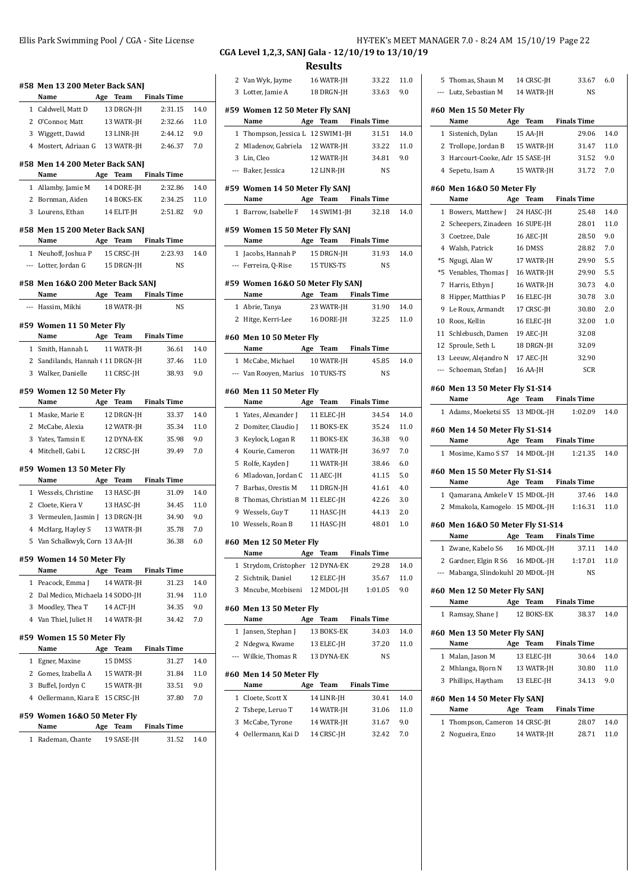| #58 Men 13 200 Meter Back SANJ                                            |                   |                      |         |
|---------------------------------------------------------------------------|-------------------|----------------------|---------|
| Name Age Team Finals Time                                                 |                   |                      |         |
| 1 Caldwell, Matt D                                                        | 13 DRGN-JH        | 2:31.15              | 14.0    |
| 2 O'Connor, Matt                                                          | 13 WATR-JH        | 2:32.66              | 11.0    |
| 3 Wiggett, Dawid                                                          | $13$ LINR-JH $\,$ | 2:44.12              | 9.0     |
| 4 Mostert, Adriaan G 13 WATR-JH                                           |                   | 2:46.37              | 7.0     |
| #58 Men 14 200 Meter Back SANJ<br>Name Age Team Finals Time               |                   |                      |         |
| 1 Allamby, Jamie M 14 DORE-JH 2:32.86                                     |                   |                      | 14.0    |
| 2 Bornman, Aiden 14 BOKS-EK                                               |                   | 2:34.25              | 11.0    |
| 3 Lourens, Ethan 14 ELIT-JH 2:51.82                                       |                   |                      | 9.0     |
| #58 Men 15 200 Meter Back SANJ                                            |                   |                      |         |
| Name Age Team Finals Time                                                 |                   |                      |         |
| 1 Neuhoff, Joshua P 15 CRSC-JH 2:23.93<br>--- Lotter, Jordan G 15 DRGN-JH |                   |                      | 14.0    |
|                                                                           |                   | NS                   |         |
| #58 Men 16&0 200 Meter Back SANJ<br>Name Age Team Finals Time             |                   |                      |         |
| --- Hassim, Mikhi                                                         | 18 WATR-JH        | <b>NS</b>            |         |
| #59 Women 11 50 Meter Fly<br>Name Age Team Finals Time                    |                   |                      |         |
| 1 Smith, Hannah L 11 WATR-JH                                              |                   | 36.61                | 14.0    |
| 2 Sandilands, Hannah (11 DRGN-JH                                          |                   | 37.46                | 11.0    |
| 3 Walker, Danielle 11 CRSC-JH                                             |                   | 38.93                | 9.0     |
| #59 Women 12 50 Meter Fly                                                 |                   |                      |         |
| Name                                                                      |                   | Age Team Finals Time |         |
| 1 Maske, Marie E                                                          | 12 DRGN-JH        | 33.37                | 14.0    |
| 2 McCabe, Alexia                                                          | 12 WATR-JH        | 35.34                | 11.0    |
| 3 Yates, Tamsin E                                                         | 12 DYNA-EK        | 35.98                | 9.0     |
| 4 Mitchell, Gabi L                                                        | 12 CRSC-JH        | 39.49                | 7.0     |
| #59 Women 13 50 Meter Fly<br>Name Age Team Finals Time                    |                   |                      |         |
| 1 Wessels, Christine 13 HASC-JH                                           |                   | 31.09                | 14.0    |
| 2 Cloete, Kiera V 13 HASC-JH                                              |                   | 34.45                | 11.0    |
| 3 Vermeulen, Jasmin J 13 DRGN-JH 34.90                                    |                   |                      | 9.0     |
| 4 McHarg, Hayley S 13 WATR-JH                                             |                   | 35.78                | 7.0     |
| 5 Van Schalkwyk, Corn 13 AA-JH                                            |                   | 36.38                | $6.0\,$ |
| #59 Women 14 50 Meter Fly<br>Name                                         | Age Team          | <b>Finals Time</b>   |         |
| 1 Peacock, Emma J                                                         | 14 WATR-JH        | 31.23                | 14.0    |
| 2 Dal Medico, Michaela 14 SODO-JH                                         |                   | 31.94                | 11.0    |
| 3 Moodley, Thea T                                                         | 14 ACT-JH         | 34.35                | 9.0     |
| 4 Van Thiel, Juliet H                                                     | 14 WATR-JH        | 34.42                | 7.0     |
| #59 Women 15 50 Meter Fly<br>Name $\qquad$                                | Age Team          | <b>Finals Time</b>   |         |
| 1 Egner, Maxine                                                           | 15 DMSS           | 31.27                | 14.0    |
| 2 Gomes, Izabella A                                                       | 15 WATR-JH        | 31.84                | 11.0    |
| 3 Buffel, Jordyn C                                                        | 15 WATR-JH        | 33.51                | 9.0     |
| 4 Oellermann, Kiara E 15 CRSC-JH                                          |                   | 37.80                | 7.0     |
| #59 Women 16&0 50 Meter Fly<br>Name                                       | Age Team          | <b>Finals Time</b>   |         |
| 1 Rademan, Chante                                                         | 19 SASE-JH        | 31.52                | 14.0    |

#### Ellis Park Swimming Pool / CGA - Site License HY-TEK's MEET MANAGER 7.0 - 8:24 AM 15/10/19 Page 22 **CGA Level 1,2,3, SANJ Gala - 12/10/19 to 13/10/19**

**Results**

|   |                                       |     | would                    |                               |              |
|---|---------------------------------------|-----|--------------------------|-------------------------------|--------------|
|   | 2 Van Wyk, Jayme                      |     | 16 WATR-JH               | 33.22                         | 11.0         |
|   | 3 Lotter, Jamie A                     |     | 18 DRGN-JH               | 33.63                         | 9.0          |
|   | #59 Women 12 50 Meter Fly SANJ        |     |                          |                               |              |
|   | Name                                  | Age |                          | <b>Team</b> Finals Time       |              |
| 1 | Thompson, Jessica L 12 SWIM1-JH       |     |                          | 31.51                         | 14.0         |
|   | 2 Mladenov, Gabriela 12 WATR-JH       |     |                          | 33.22                         | 11.0         |
|   | 3 Lin, Cleo                           |     | 12 WATR-JH               | 34.81                         | 9.0          |
|   | --- Baker, Jessica                    |     | 12 LINR-JH               | NS                            |              |
|   |                                       |     |                          |                               |              |
|   | #59 Women 14 50 Meter Fly SANJ        |     |                          |                               |              |
|   | Name                                  |     |                          | Age Team Finals Time<br>32.18 | 14.0         |
|   | 1 Barrow, Isabelle F                  |     | 14 SWIM1-JH              |                               |              |
|   | #59 Women 15 50 Meter Fly SANJ        |     |                          |                               |              |
|   | Name                                  |     | Age Team                 | <b>Finals Time</b>            |              |
|   | 1 Jacobs, Hannah P                    |     | 15 DRGN-JH               | 31.93                         | 14.0         |
|   | --- Ferreira, Q-Rise 15 TUKS-TS       |     |                          | <b>NS</b>                     |              |
|   | #59 Women 16&0 50 Meter Fly SANJ      |     |                          |                               |              |
|   | Name Age Team Finals Time             |     |                          |                               |              |
|   | 1 Abrie, Tanya                        |     | 23 WATR-JH               | 31.90                         | 14.0         |
|   | 2 Hitge, Kerri-Lee 16 DORE-JH         |     |                          | 32.25                         | 11.0         |
|   |                                       |     |                          |                               |              |
|   | #60 Men 10 50 Meter Fly<br>Name       |     |                          | Age Team Finals Time          |              |
|   | 1 McCabe, Michael                     |     | 10 WATR-JH               | 45.85                         | 14.0         |
|   | --- Van Rooyen, Marius 10 TUKS-TS     |     |                          | NS                            |              |
|   |                                       |     |                          |                               |              |
|   | #60 Men 11 50 Meter Fly               |     |                          |                               |              |
|   | Name                                  |     |                          | Age Team Finals Time          |              |
|   |                                       |     |                          |                               |              |
|   | 1 Yates, Alexander J                  |     | 11 ELEC-JH               | 34.54                         | 14.0         |
|   | 2 Domiter, Claudio J                  |     | 11 BOKS-EK               | 35.24                         | 11.0         |
| 3 | Keylock, Logan R                      |     | 11 BOKS-EK               | 36.38                         | 9.0          |
| 4 | Kourie, Cameron                       |     | 11 WATR-JH               | 36.97                         | 7.0          |
| 5 | Rolfe, Kayden J                       |     | 11 WATR-JH               | 38.46                         | 6.0          |
| 6 | Mladovan, Jordan C                    |     | 11 AEC-JH                | 41.15                         | 5.0          |
| 7 | Barbas, Orestis M                     |     | 11 DRGN-JH               | 41.61                         | 4.0          |
| 8 | Thomas, Christian M 11 ELEC-JH        |     |                          | 42.26                         | 3.0          |
|   | 9 Wessels, Guy T                      |     | 11 HASC-JH               | 44.13                         | 2.0          |
|   | 10 Wessels, Roan B                    |     | 11 HASC-JH               | 48.01                         | 1.0          |
|   |                                       |     |                          |                               |              |
|   | #60 Men 12 50 Meter Fly<br>Name       |     |                          | Age Team Finals Time          |              |
| 1 | Strydom, Cristopher 12 DYNA-EK        |     |                          | 29.28                         | 14.0         |
| 2 | Sichtnik, Daniel                      |     | 12 ELEC-JH               | 35.67                         | 11.0         |
|   | 3 Mncube, Mcebiseni 12 MDOL-JH        |     |                          | 1:01.05                       | 9.0          |
|   |                                       |     |                          |                               |              |
|   | #60 Men 13 50 Meter Fly               |     |                          |                               |              |
|   | Name                                  |     | Age Team                 | <b>Finals Time</b>            |              |
| 1 | Jansen, Stephan J                     |     | 13 BOKS-EK               | 34.03<br>37.20                | 14.0<br>11.0 |
|   | 2 Ndegwa, Kwame                       |     | 13 ELEC-JH               |                               |              |
|   | --- Wilkie, Thomas R                  |     | 13 DYNA-EK               | NS                            |              |
|   | #60 Men 14 50 Meter Fly               |     |                          |                               |              |
|   | Name                                  |     | Age Team                 | <b>Finals Time</b>            |              |
| 1 | Cloete, Scott X                       |     | 14 LINR-JH               | 30.41                         | 14.0         |
| 2 | Tshepe, Leruo T                       |     | 14 WATR-JH               | 31.06                         | 11.0         |
| 3 | McCabe, Tyrone<br>4 Oellermann, Kai D |     | 14 WATR-JH<br>14 CRSC-JH | 31.67<br>32.42                | 9.0<br>7.0   |

|              | 5 Thomas, Shaun M                                    |     | 14 CRSC-JH               | 33.67                | 6.0         |
|--------------|------------------------------------------------------|-----|--------------------------|----------------------|-------------|
|              | --- Lutz, Sebastian M 14 WATR-JH                     |     |                          | <b>NS</b>            |             |
|              | #60 Men 15 50 Meter Fly                              |     |                          |                      |             |
|              | Name                                                 |     | Age Team                 | <b>Finals Time</b>   |             |
|              | 1 Sistenich, Dylan                                   |     | 15 AA-JH                 | 29.06                | 14.0        |
|              | 2 Trollope, Jordan B                                 |     | 15 WATR-JH               | 31.47                | 11.0        |
|              | 3 Harcourt-Cooke, Adr. 15 SASE-JH                    |     |                          | 31.52                | 9.0         |
|              | 4 Sepetu, Isam A                                     |     | 15 WATR-JH               | 31.72                | 7.0         |
|              | #60 Men 16&0 50 Meter Fly                            |     |                          |                      |             |
|              | Name                                                 |     | Age Team                 | <b>Finals Time</b>   |             |
|              | 1 Bowers, Matthew J                                  |     | 24 HASC-JH               | 25.48                | 14.0        |
|              | 2 Scheepers, Zinadeen 16 SUPE-JH                     |     |                          | 28.01                | 11.0        |
|              | 3 Coetzee, Dale                                      |     | 16 AEC-JH                | 28.50                | 9.0         |
|              | 4 Walsh, Patrick                                     |     | 16 DMSS                  | 28.82                | 7.0<br>5.5  |
|              | *5 Ngugi, Alan W<br>*5 Venables, Thomas J 16 WATR-JH |     | 17 WATR-JH               | 29.90                | 5.5         |
|              |                                                      |     | 16 WATR-JH               | 29.90<br>30.73       | 4.0         |
|              | 7 Harris, Ethyn J<br>8 Hipper, Matthias P            |     | 16 ELEC-JH               | 30.78                | 3.0         |
|              | 9 Le Roux, Armandt                                   |     | 17 CRSC-JH               | 30.80                | 2.0         |
|              | 10 Roos, Kellin                                      |     | 16 ELEC-JH               | 32.00                | 1.0         |
|              | 11 Schlebusch, Damen 19 AEC-JH                       |     |                          | 32.08                |             |
|              | 12 Sproule, Seth L                                   |     | 18 DRGN-JH               | 32.09                |             |
|              | 13 Leeuw, Alejandro N                                |     | 17 AEC-JH                | 32.90                |             |
|              | --- Schoeman, Stefan J                               |     | 16 AA-JH                 | <b>SCR</b>           |             |
|              | #60 Men 13 50 Meter Fly S1-S14                       |     |                          |                      |             |
|              | Name                                                 |     |                          | Age Team Finals Time |             |
|              | 1 Adams, Moeketsi S5 13 MDOL-JH                      |     |                          | 1:02.09              | 14.0        |
|              | #60 Men 14 50 Meter Fly S1-S14                       |     |                          |                      |             |
|              | Name                                                 |     |                          | Age Team Finals Time |             |
|              | 1 Mosime, Kamo S S7 14 MDOL-JH                       |     |                          | 1:21.35              | 14.0        |
|              | #60 Men 15 50 Meter Fly S1-S14                       |     |                          |                      |             |
|              | Name                                                 |     |                          | Age Team Finals Time |             |
|              | 1 Qamarana, Amkele V 15 MDOL-JH                      |     |                          | 37.46                | 14.0        |
|              | 2 Mmakola, Kamogelo 15 MDOL-JH                       |     |                          | 1:16.31              | 11.0        |
|              | #60 Men 16&0 50 Meter Fly S1-S14<br>Name             | Age | Team                     | <b>Finals Time</b>   |             |
|              | 1 Zwane, Kabelo S6                                   |     | 16 MDOL-JH               | 37.11                | 14.0        |
|              | 2 Gardner, Elgin R S6                                |     | 16 MDOL-JH               | 1:17.01              | 11.0        |
|              | --- Mabanga, Slindokuhl 20 MDOL-JH                   |     |                          | NS                   |             |
|              | #60 Men 12 50 Meter Fly SANI                         |     |                          |                      |             |
|              | Name                                                 | Age | Team                     | <b>Finals Time</b>   |             |
| $\mathbf{1}$ | Ramsay, Shane J                                      |     | 12 BOKS-EK               | 38.37                | 14.0        |
|              | #60 Men 13 50 Meter Fly SANJ                         |     | Team                     | <b>Finals Time</b>   |             |
|              | Name<br>1 Malan, Jason M                             | Age | 13 ELEC-JH               | 30.64                | 14.0        |
|              |                                                      |     |                          |                      |             |
|              | 2 Mhlanga, Bjorn N<br>3 Phillips, Haytham            |     | 13 WATR-JH<br>13 ELEC-JH | 30.80<br>34.13       | 11.0<br>9.0 |
|              |                                                      |     |                          |                      |             |
|              |                                                      |     |                          |                      |             |
|              | #60 Men 14 50 Meter Fly SANJ                         |     |                          |                      |             |
|              | Name                                                 | Age | Team                     | <b>Finals Time</b>   |             |
|              | 1 Thompson, Cameron 14 CRSC-JH                       |     |                          | 28.07                | 14.0        |
| 2            | Nogueira, Enzo                                       |     | 14 WATR-JH               | 28.71                | 11.0        |